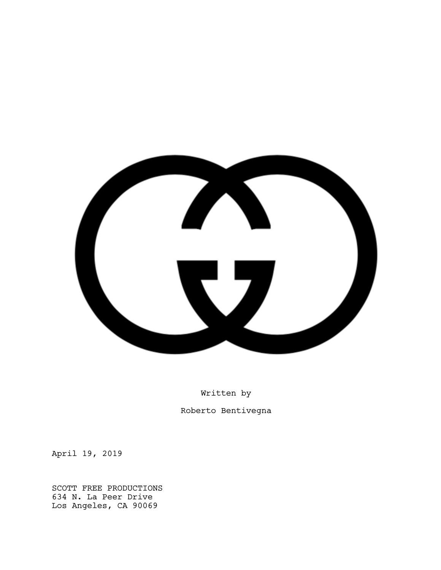

Written by Roberto Bentivegna

April 19, 2019

SCOTT FREE PRODUCTIONS 634 N. La Peer Drive Los Angeles, CA 90069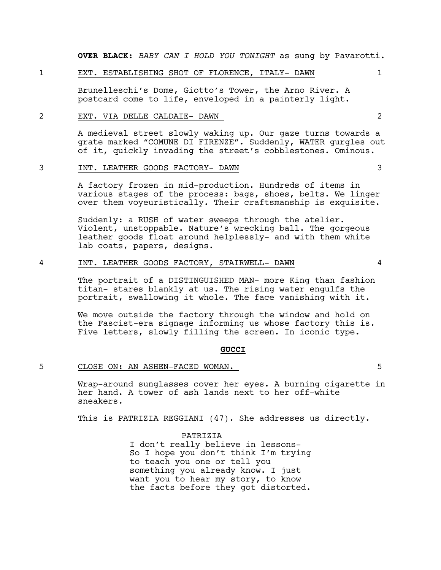**OVER BLACK**: *BABY CAN I HOLD YOU TONIGHT* as sung by Pavarotti.

#### 1 EXT. ESTABLISHING SHOT OF FLORENCE, ITALY- DAWN 1

Brunelleschi's Dome, Giotto's Tower, the Arno River. A postcard come to life, enveloped in a painterly light.

#### 2 EXT. VIA DELLE CALDAIE- DAWN 2

A medieval street slowly waking up. Our gaze turns towards a grate marked "COMUNE DI FIRENZE". Suddenly, WATER gurgles out of it, quickly invading the street's cobblestones. Ominous.

#### 3 INT. LEATHER GOODS FACTORY- DAWN 3

A factory frozen in mid-production. Hundreds of items in various stages of the process: bags, shoes, belts. We linger over them voyeuristically. Their craftsmanship is exquisite.

Suddenly: a RUSH of water sweeps through the atelier. Violent, unstoppable. Nature's wrecking ball. The gorgeous leather goods float around helplessly- and with them white lab coats, papers, designs.

#### 4 INT. LEATHER GOODS FACTORY, STAIRWELL- DAWN 4

The portrait of a DISTINGUISHED MAN- more King than fashion titan- stares blankly at us. The rising water engulfs the portrait, swallowing it whole. The face vanishing with it.

We move outside the factory through the window and hold on the Fascist-era signage informing us whose factory this is. Five letters, slowly filling the screen. In iconic type.

#### **GUCCI**

#### 5 CLOSE ON: AN ASHEN-FACED WOMAN. 5

Wrap-around sunglasses cover her eyes. A burning cigarette in her hand. A tower of ash lands next to her off-white sneakers.

This is PATRIZIA REGGIANI (47). She addresses us directly.

PATRIZIA I don't really believe in lessons-So I hope you don't think I'm trying to teach you one or tell you something you already know. I just want you to hear my story, to know the facts before they got distorted.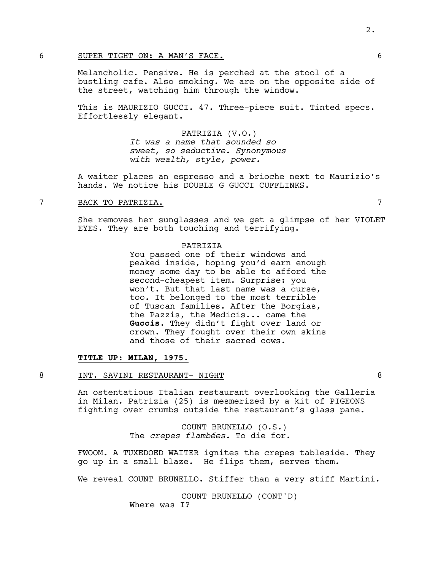#### 6 SUPER TIGHT ON: A MAN'S FACE. 6

Melancholic. Pensive. He is perched at the stool of a bustling cafe. Also smoking. We are on the opposite side of the street, watching him through the window.

This is MAURIZIO GUCCI. 47. Three-piece suit. Tinted specs. Effortlessly elegant.

> PATRIZIA (V.O.) *It was a name that sounded so sweet, so seductive. Synonymous with wealth, style, power.*

A waiter places an espresso and a brioche next to Maurizio's hands. We notice his DOUBLE G GUCCI CUFFLINKS.

# 7 BACK TO PATRIZIA. 7

She removes her sunglasses and we get a glimpse of her VIOLET EYES. They are both touching and terrifying.

#### **PATRIZIA**

You passed one of their windows and peaked inside, hoping you'd earn enough money some day to be able to afford the second-cheapest item. Surprise: you won't. But that last name was a curse, too. It belonged to the most terrible of Tuscan families. After the Borgias, the Pazzis, the Medicis... came the **Guccis**. They didn't fight over land or crown. They fought over their own skins and those of their sacred cows.

# **TITLE UP: MILAN, 1975.**

#### 8 INT. SAVINI RESTAURANT- NIGHT 8

An ostentatious Italian restaurant overlooking the Galleria in Milan. Patrizia (25) is mesmerized by a kit of PIGEONS fighting over crumbs outside the restaurant's glass pane.

> COUNT BRUNELLO (O.S.) The *crepes flambées.* To die for.

FWOOM. A TUXEDOED WAITER ignites the crepes tableside. They go up in a small blaze. He flips them, serves them.

We reveal COUNT BRUNELLO. Stiffer than a very stiff Martini.

COUNT BRUNELLO (CONT'D) Where was I?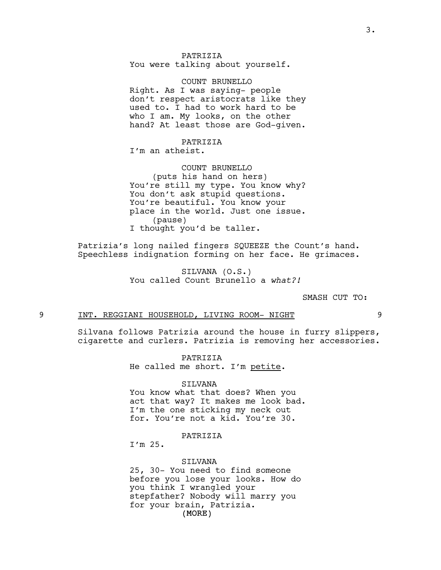COUNT BRUNELLO Right. As I was saying- people don't respect aristocrats like they used to. I had to work hard to be who I am. My looks, on the other hand? At least those are God-given.

# PATRIZIA

I'm an atheist.

#### COUNT BRUNELLO

(puts his hand on hers) You're still my type. You know why? You don't ask stupid questions. You're beautiful. You know your place in the world. Just one issue. (pause) I thought you'd be taller.

Patrizia's long nailed fingers SQUEEZE the Count's hand. Speechless indignation forming on her face. He grimaces.

> SILVANA (O.S.) You called Count Brunello a *what?!*

> > SMASH CUT TO:

# 9 INT. REGGIANI HOUSEHOLD, LIVING ROOM- NIGHT 9

Silvana follows Patrizia around the house in furry slippers, cigarette and curlers. Patrizia is removing her accessories.

> PATRIZIA He called me short. I'm petite.

#### SILVANA

You know what that does? When you act that way? It makes me look bad. I'm the one sticking my neck out for. You're not a kid. You're 30.

#### PATRIZIA

I'm 25.

#### SILVANA

(MORE) 25, 30- You need to find someone before you lose your looks. How do you think I wrangled your stepfather? Nobody will marry you for your brain, Patrizia.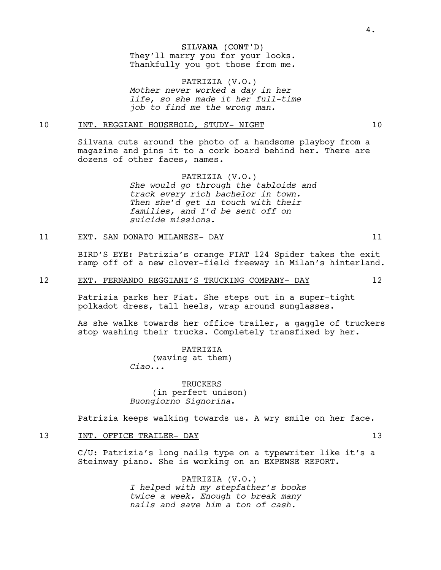#### SILVANA (CONT'D)

They'll marry you for your looks. Thankfully you got those from me.

PATRIZIA (V.O.) *Mother never worked a day in her life, so she made it her full-time job to find me the wrong man.*

# 10 INT. REGGIANI HOUSEHOLD, STUDY- NIGHT 10

Silvana cuts around the photo of a handsome playboy from a magazine and pins it to a cork board behind her. There are dozens of other faces, names.

> PATRIZIA (V.O.) *She would go through the tabloids and track every rich bachelor in town. Then she'd get in touch with their families, and I'd be sent off on suicide missions.*

#### 11 EXT. SAN DONATO MILANESE- DAY 11

BIRD'S EYE: Patrizia's orange FIAT 124 Spider takes the exit ramp off of a new clover-field freeway in Milan's hinterland.

#### 12 EXT. FERNANDO REGGIANI'S TRUCKING COMPANY- DAY 12

Patrizia parks her Fiat. She steps out in a super-tight polkadot dress, tall heels, wrap around sunglasses.

As she walks towards her office trailer, a gaggle of truckers stop washing their trucks. Completely transfixed by her.

> PATRIZIA (waving at them) *Ciao...*

**TRUCKERS** (in perfect unison) *Buongiorno Signorina*.

Patrizia keeps walking towards us. A wry smile on her face.

# 13 INT. OFFICE TRAILER- DAY 13

C/U: Patrizia's long nails type on a typewriter like it's a Steinway piano. She is working on an EXPENSE REPORT.

> PATRIZIA (V.O.) *I helped with my stepfather's books twice a week. Enough to break many nails and save him a ton of cash.*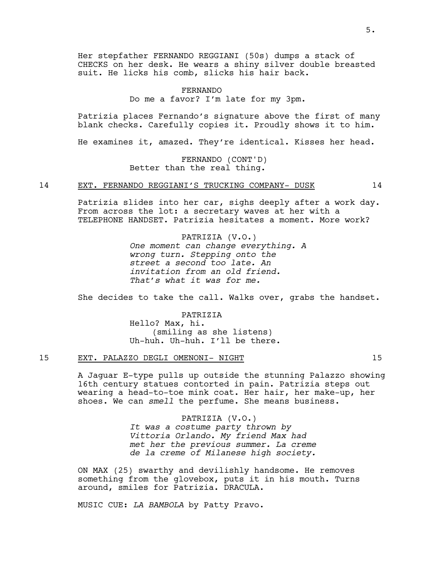Her stepfather FERNANDO REGGIANI (50s) dumps a stack of CHECKS on her desk. He wears a shiny silver double breasted suit. He licks his comb, slicks his hair back.

> FERNANDO Do me a favor? I'm late for my 3pm.

Patrizia places Fernando's signature above the first of many blank checks. Carefully copies it. Proudly shows it to him.

He examines it, amazed. They're identical. Kisses her head.

FERNANDO (CONT'D) Better than the real thing.

#### 14 EXT. FERNANDO REGGIANI'S TRUCKING COMPANY- DUSK 14

Patrizia slides into her car, sighs deeply after a work day. From across the lot: a secretary waves at her with a TELEPHONE HANDSET. Patrizia hesitates a moment. More work?

> PATRIZIA (V.O.) *One moment can change everything. A wrong turn. Stepping onto the street a second too late. An invitation from an old friend. That's what it was for me.*

She decides to take the call. Walks over, grabs the handset.

PATRIZIA Hello? Max, hi. (smiling as she listens) Uh-huh. Uh-huh. I'll be there.

#### 15 EXT. PALAZZO DEGLI OMENONI- NIGHT 15

A Jaguar E-type pulls up outside the stunning Palazzo showing 16th century statues contorted in pain. Patrizia steps out wearing a head-to-toe mink coat. Her hair, her make-up, her shoes. We can *smell* the perfume. She means business.

> PATRIZIA (V.O.) *It was a costume party thrown by Vittoria Orlando. My friend Max had met her the previous summer. La creme de la creme of Milanese high society.*

ON MAX (25) swarthy and devilishly handsome. He removes something from the glovebox, puts it in his mouth. Turns around, smiles for Patrizia. DRACULA.

MUSIC CUE: *LA BAMBOLA* by Patty Pravo.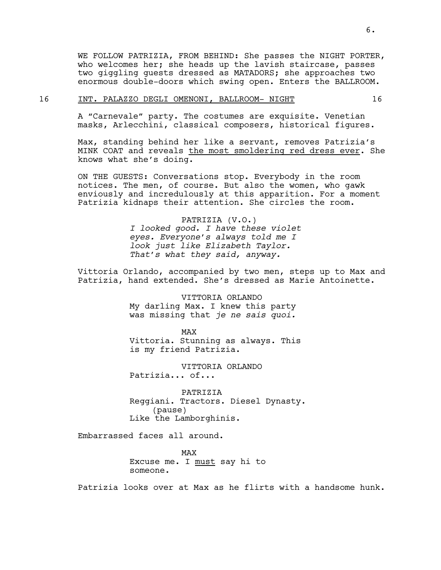WE FOLLOW PATRIZIA, FROM BEHIND: She passes the NIGHT PORTER, who welcomes her; she heads up the lavish staircase, passes two giggling guests dressed as MATADORS; she approaches two enormous double-doors which swing open. Enters the BALLROOM.

#### 16 INT. PALAZZO DEGLI OMENONI, BALLROOM- NIGHT 16

A "Carnevale" party. The costumes are exquisite. Venetian masks, Arlecchini, classical composers, historical figures.

Max, standing behind her like a servant, removes Patrizia's MINK COAT and reveals the most smoldering red dress ever. She knows what she's doing.

ON THE GUESTS: Conversations stop. Everybody in the room notices. The men, of course. But also the women, who gawk enviously and incredulously at this apparition. For a moment Patrizia kidnaps their attention. She circles the room.

> PATRIZIA (V.O.) *I looked good. I have these violet eyes. Everyone's always told me I look just like Elizabeth Taylor. That's what they said, anyway.*

Vittoria Orlando, accompanied by two men, steps up to Max and Patrizia, hand extended. She's dressed as Marie Antoinette.

> VITTORIA ORLANDO My darling Max. I knew this party was missing that *je ne sais quoi.*

> > MAX

Vittoria. Stunning as always. This is my friend Patrizia.

VITTORIA ORLANDO Patrizia... of...

PATRIZIA Reggiani. Tractors. Diesel Dynasty. (pause) Like the Lamborghinis.

Embarrassed faces all around.

MAX Excuse me. I must say hi to someone.

Patrizia looks over at Max as he flirts with a handsome hunk.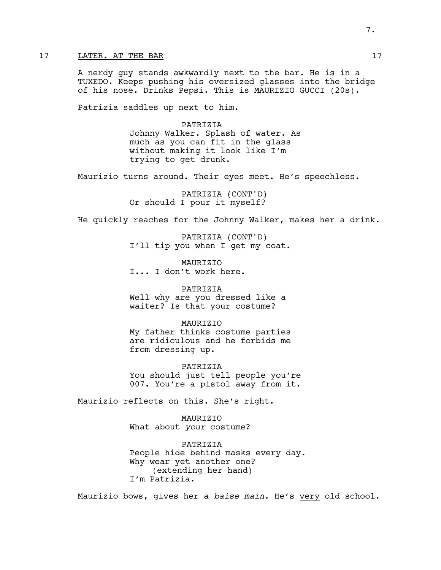# 17 LATER. AT THE BAR 17

A nerdy guy stands awkwardly next to the bar. He is in a TUXEDO. Keeps pushing his oversized glasses into the bridge of his nose. Drinks Pepsi. This is MAURIZIO GUCCI (20s).

Patrizia saddles up next to him.

PATRIZIA Johnny Walker. Splash of water. As much as you can fit in the glass without making it look like I'm trying to get drunk.

Maurizio turns around. Their eyes meet. He's speechless.

PATRIZIA (CONT'D) Or should I pour it myself?

He quickly reaches for the Johnny Walker, makes her a drink.

PATRIZIA (CONT'D) I'll tip you when I get my coat.

**MAURTZTO** I... I don't work here.

PATRIZIA Well why are you dressed like a waiter? Is that your costume?

**MAURTZTO** My father thinks costume parties are ridiculous and he forbids me from dressing up.

PATRIZIA You should just tell people you're 007. You're a pistol away from it.

Maurizio reflects on this. She's right.

MAURIZIO What about *your* costume?

PATRIZIA People hide behind masks every day. Why wear yet another one? (extending her hand) I'm Patrizia.

Maurizio bows, gives her a *baise main*. He's very old school.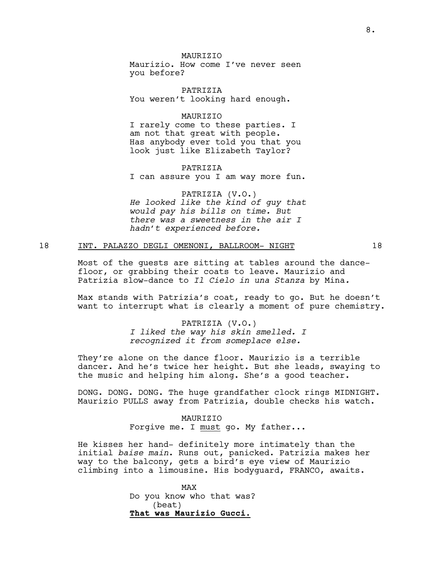# **MAURTZTO**

Maurizio. How come I've never seen you before?

PATRIZIA You weren't looking hard enough.

# MAURIZIO

I rarely come to these parties. I am not that great with people. Has anybody ever told you that you look just like Elizabeth Taylor?

PATRIZIA I can assure you I am way more fun.

PATRIZIA (V.O.) *He looked like the kind of guy that would pay his bills on time. But there was a sweetness in the air I hadn't experienced before.* 

#### 18 INT. PALAZZO DEGLI OMENONI, BALLROOM- NIGHT 18

Most of the guests are sitting at tables around the dancefloor, or grabbing their coats to leave. Maurizio and Patrizia slow-dance to *Il Cielo in una Stanza* by Mina*.* 

Max stands with Patrizia's coat, ready to go. But he doesn't want to interrupt what is clearly a moment of pure chemistry.

> PATRIZIA (V.O.) *I liked the way his skin smelled. I recognized it from someplace else.*

They're alone on the dance floor. Maurizio is a terrible dancer. And he's twice her height. But she leads, swaying to the music and helping him along. She's a good teacher.

DONG. DONG. DONG. The huge grandfather clock rings MIDNIGHT. Maurizio PULLS away from Patrizia, double checks his watch.

> MAURIZIO Forgive me. I must go. My father...

He kisses her hand- definitely more intimately than the initial *baise main*. Runs out, panicked. Patrizia makes her way to the balcony, gets a bird's eye view of Maurizio climbing into a limousine. His bodyguard, FRANCO, awaits.

> MAX Do you know who that was? (beat) **That was Maurizio Gucci.**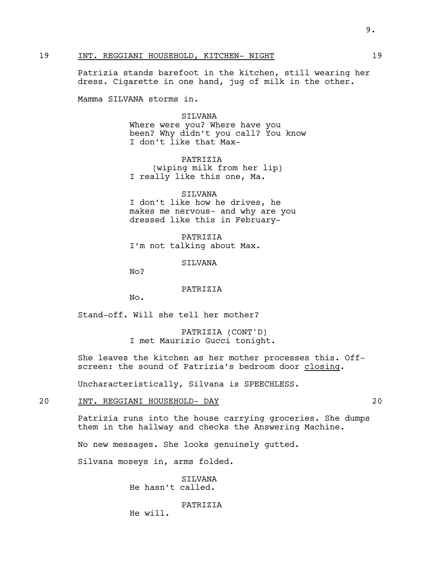# 19 INT. REGGIANI HOUSEHOLD, KITCHEN- NIGHT 19

Patrizia stands barefoot in the kitchen, still wearing her dress. Cigarette in one hand, jug of milk in the other.

Mamma SILVANA storms in.

#### SILVANA

Where were you? Where have you been? Why didn't you call? You know I don't like that Max-

PATRIZIA (wiping milk from her lip) I really like this one, Ma.

SILVANA I don't like how he drives, he makes me nervous- and why are you dressed like this in February-

PATRIZIA I'm not talking about Max.

**STIVANA** 

No?

#### PATRIZIA

No.

Stand-off. Will she tell her mother?

PATRIZIA (CONT'D) I met Maurizio Gucci tonight.

She leaves the kitchen as her mother processes this. Offscreen: the sound of Patrizia's bedroom door closing.

Uncharacteristically, Silvana is SPEECHLESS.

#### 20 INT. REGGIANI HOUSEHOLD- DAY 20

Patrizia runs into the house carrying groceries. She dumps them in the hallway and checks the Answering Machine.

No new messages. She looks genuinely gutted.

Silvana moseys in, arms folded.

SILVANA He hasn't called.

PATRIZIA

He will.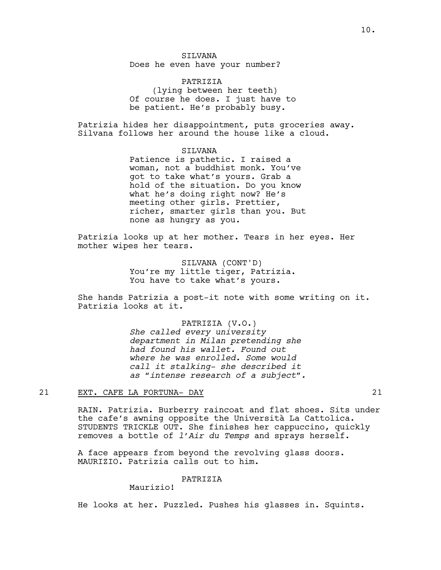Does he even have your number?

PATRIZIA (lying between her teeth) Of course he does. I just have to be patient. He's probably busy.

Patrizia hides her disappointment, puts groceries away. Silvana follows her around the house like a cloud.

> SILVANA Patience is pathetic. I raised a woman, not a buddhist monk. You've got to take what's yours. Grab a hold of the situation. Do you know what he's doing right now? He's meeting other girls. Prettier, richer, smarter girls than you. But none as hungry as you.

Patrizia looks up at her mother. Tears in her eyes. Her mother wipes her tears.

> SILVANA (CONT'D) You're my little tiger, Patrizia. You have to take what's yours.

She hands Patrizia a post-it note with some writing on it. Patrizia looks at it.

> PATRIZIA (V.O.) *She called every university department in Milan pretending she had found his wallet. Found out where he was enrolled. Some would call it stalking- she described it as "intense research of a subject".*

# 21 EXT. CAFE LA FORTUNA- DAY 21

RAIN. Patrizia. Burberry raincoat and flat shoes. Sits under the cafe's awning opposite the Università La Cattolica. STUDENTS TRICKLE OUT. She finishes her cappuccino, quickly removes a bottle of *l'Air du Temps* and sprays herself.

A face appears from beyond the revolving glass doors. MAURIZIO. Patrizia calls out to him.

# PATRIZIA

Maurizio!

He looks at her. Puzzled. Pushes his glasses in. Squints.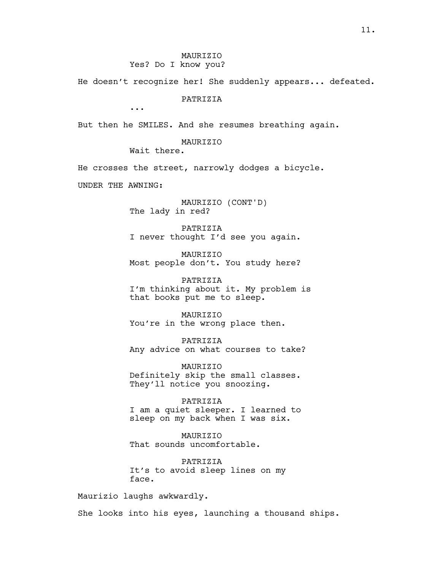He doesn't recognize her! She suddenly appears... defeated.

PATRIZIA

...

But then he SMILES. And she resumes breathing again.

MAURIZIO

Wait there.

He crosses the street, narrowly dodges a bicycle.

UNDER THE AWNING:

MAURIZIO (CONT'D) The lady in red?

PATRIZIA I never thought I'd see you again.

MAURIZIO Most people don't. You study here?

PATRIZIA I'm thinking about it. My problem is that books put me to sleep.

MAURIZIO You're in the wrong place then.

PATRIZIA Any advice on what courses to take?

MAURIZIO Definitely skip the small classes. They'll notice you snoozing.

PATRIZIA I am a quiet sleeper. I learned to sleep on my back when I was six.

MAURIZIO That sounds uncomfortable.

PATRIZIA It's to avoid sleep lines on my face.

Maurizio laughs awkwardly.

She looks into his eyes, launching a thousand ships.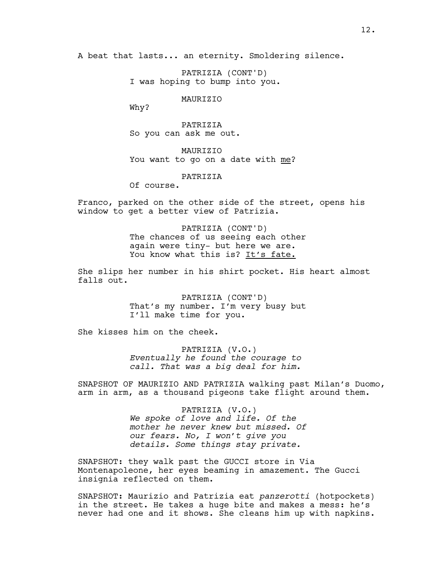A beat that lasts... an eternity. Smoldering silence.

PATRIZIA (CONT'D) I was hoping to bump into you.

MAURIZIO

Why?

PATRIZIA So you can ask me out.

MAURIZIO You want to go on a date with me?

PATRIZIA

Of course.

Franco, parked on the other side of the street, opens his window to get a better view of Patrizia.

> PATRIZIA (CONT'D) The chances of us seeing each other again were tiny- but here we are. You know what this is? It's fate.

She slips her number in his shirt pocket. His heart almost falls out.

> PATRIZIA (CONT'D) That's my number. I'm very busy but I'll make time for you.

She kisses him on the cheek.

PATRIZIA (V.O.) *Eventually he found the courage to call. That was a big deal for him.*

SNAPSHOT OF MAURIZIO AND PATRIZIA walking past Milan's Duomo, arm in arm, as a thousand pigeons take flight around them.

> PATRIZIA (V.O.) *We spoke of love and life. Of the mother he never knew but missed. Of our fears. No, I won't give you details. Some things stay private.*

SNAPSHOT: they walk past the GUCCI store in Via Montenapoleone, her eyes beaming in amazement. The Gucci insignia reflected on them.

SNAPSHOT: Maurizio and Patrizia eat *panzerotti* (hotpockets) in the street. He takes a huge bite and makes a mess: he's never had one and it shows. She cleans him up with napkins.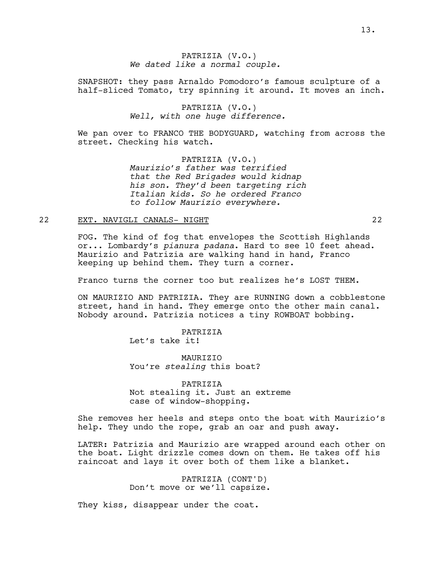# PATRIZIA (V.O.) *We dated like a normal couple.*

SNAPSHOT: they pass Arnaldo Pomodoro's famous sculpture of a half-sliced Tomato, try spinning it around. It moves an inch.

# PATRIZIA (V.O.) *Well, with one huge difference.*

We pan over to FRANCO THE BODYGUARD, watching from across the street. Checking his watch.

> PATRIZIA (V.O.) *Maurizio's father was terrified that the Red Brigades would kidnap his son. They'd been targeting rich Italian kids. So he ordered Franco to follow Maurizio everywhere.*

# 22 EXT. NAVIGLI CANALS- NIGHT 22

FOG. The kind of fog that envelopes the Scottish Highlands or... Lombardy's *pianura padana*. Hard to see 10 feet ahead. Maurizio and Patrizia are walking hand in hand, Franco keeping up behind them. They turn a corner.

Franco turns the corner too but realizes he's LOST THEM.

ON MAURIZIO AND PATRIZIA. They are RUNNING down a cobblestone street, hand in hand. They emerge onto the other main canal. Nobody around. Patrizia notices a tiny ROWBOAT bobbing.

> PATRIZIA Let's take it!

**MAURTZTO** You're *stealing* this boat?

PATRIZIA Not stealing it. Just an extreme case of window-shopping.

She removes her heels and steps onto the boat with Maurizio's help. They undo the rope, grab an oar and push away.

LATER: Patrizia and Maurizio are wrapped around each other on the boat. Light drizzle comes down on them. He takes off his raincoat and lays it over both of them like a blanket.

> PATRIZIA (CONT'D) Don't move or we'll capsize.

They kiss, disappear under the coat.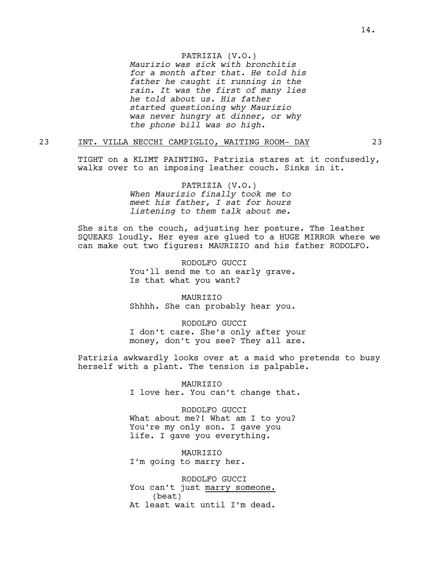#### PATRIZIA (V.O.)

*Maurizio was sick with bronchitis for a month after that. He told his father he caught it running in the rain. It was the first of many lies he told about us. His father started questioning why Maurizio was never hungry at dinner, or why the phone bill was so high.*

# 23 INT. VILLA NECCHI CAMPIGLIO, WAITING ROOM- DAY 23

TIGHT on a KLIMT PAINTING. Patrizia stares at it confusedly, walks over to an imposing leather couch. Sinks in it.

> PATRIZIA (V.O.) *When Maurizio finally took me to meet his father, I sat for hours listening to them talk about me.*

She sits on the couch, adjusting her posture. The leather SQUEAKS loudly. Her eyes are glued to a HUGE MIRROR where we can make out two figures: MAURIZIO and his father RODOLFO.

> RODOLFO GUCCI You'll send me to an early grave. Is that what you want?

> MAURIZIO Shhhh. She can probably hear you.

RODOLFO GUCCI I don't care. She's only after your money, don't you see? They all are.

Patrizia awkwardly looks over at a maid who pretends to busy herself with a plant. The tension is palpable.

> MAURIZIO I love her. You can't change that.

RODOLFO GUCCI What about me?! What am I to you? You're my only son. I gave you life. I gave you everything.

MAURIZIO I'm going to marry her.

RODOLFO GUCCI You can't just marry someone. (beat) At least wait until I'm dead.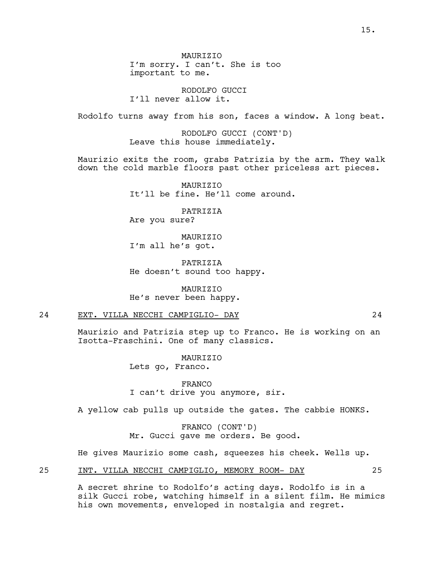**MAURTZTO** I'm sorry. I can't. She is too important to me.

RODOLFO GUCCI I'll never allow it.

Rodolfo turns away from his son, faces a window. A long beat.

RODOLFO GUCCI (CONT'D) Leave this house immediately.

Maurizio exits the room, grabs Patrizia by the arm. They walk down the cold marble floors past other priceless art pieces.

> **MAURTZTO** It'll be fine. He'll come around.

PATRIZIA Are you sure?

MAURIZIO I'm all he's got.

PATRIZIA He doesn't sound too happy.

MAURIZIO He's never been happy.

# 24 EXT. VILLA NECCHI CAMPIGLIO- DAY 24

Maurizio and Patrizia step up to Franco. He is working on an Isotta-Fraschini. One of many classics.

> MAURIZIO Lets go, Franco.

FRANCO I can't drive you anymore, sir.

A yellow cab pulls up outside the gates. The cabbie HONKS.

FRANCO (CONT'D) Mr. Gucci gave me orders. Be good.

He gives Maurizio some cash, squeezes his cheek. Wells up.

25 INT. VILLA NECCHI CAMPIGLIO, MEMORY ROOM- DAY 25

A secret shrine to Rodolfo's acting days. Rodolfo is in a silk Gucci robe, watching himself in a silent film. He mimics his own movements, enveloped in nostalgia and regret.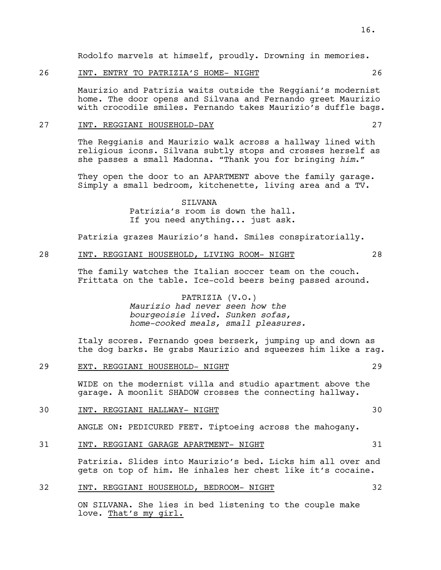Rodolfo marvels at himself, proudly. Drowning in memories.

# 26 INT. ENTRY TO PATRIZIA'S HOME- NIGHT 26

Maurizio and Patrizia waits outside the Reggiani's modernist home. The door opens and Silvana and Fernando greet Maurizio with crocodile smiles. Fernando takes Maurizio's duffle bags.

# 27 INT. REGGIANI HOUSEHOLD-DAY 27

The Reggianis and Maurizio walk across a hallway lined with religious icons. Silvana subtly stops and crosses herself as she passes a small Madonna. "Thank you for bringing *him*."

They open the door to an APARTMENT above the family garage. Simply a small bedroom, kitchenette, living area and a TV.

> SILVANA Patrizia's room is down the hall. If you need anything... just ask.

Patrizia grazes Maurizio's hand. Smiles conspiratorially.

# 28 INT. REGGIANI HOUSEHOLD, LIVING ROOM- NIGHT 28

The family watches the Italian soccer team on the couch. Frittata on the table. Ice-cold beers being passed around.

# PATRIZIA (V.O.) *Maurizio had never seen how the bourgeoisie lived. Sunken sofas, home-cooked meals, small pleasures.*

Italy scores. Fernando goes berserk, jumping up and down as the dog barks. He grabs Maurizio and squeezes him like a rag.

#### 29 EXT. REGGIANI HOUSEHOLD- NIGHT 29

WIDE on the modernist villa and studio apartment above the garage. A moonlit SHADOW crosses the connecting hallway.

30 INT. REGGIANI HALLWAY- NIGHT 30

ANGLE ON: PEDICURED FEET. Tiptoeing across the mahogany.

#### 31 INT. REGGIANI GARAGE APARTMENT- NIGHT 31

Patrizia. Slides into Maurizio's bed. Licks him all over and gets on top of him. He inhales her chest like it's cocaine.

# 32 INT. REGGIANI HOUSEHOLD, BEDROOM- NIGHT 32

ON SILVANA. She lies in bed listening to the couple make love. That's my girl.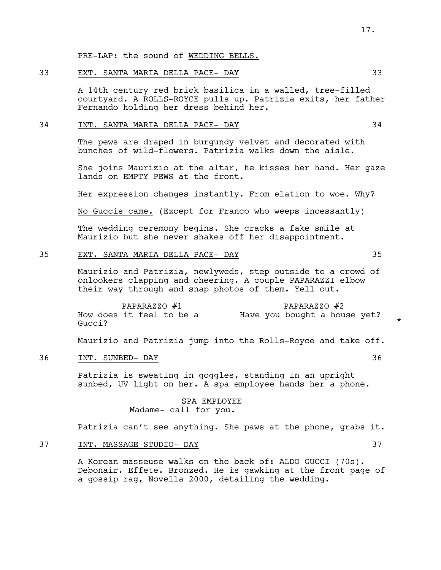#### 33 EXT. SANTA MARIA DELLA PACE- DAY 33

A 14th century red brick basilica in a walled, tree-filled courtyard. A ROLLS-ROYCE pulls up. Patrizia exits, her father Fernando holding her dress behind her.

# 34 INT. SANTA MARIA DELLA PACE- DAY 34

The pews are draped in burgundy velvet and decorated with bunches of wild-flowers. Patrizia walks down the aisle.

She joins Maurizio at the altar, he kisses her hand. Her gaze lands on EMPTY PEWS at the front.

Her expression changes instantly. From elation to woe. Why?

No Guccis came. (Except for Franco who weeps incessantly)

The wedding ceremony begins. She cracks a fake smile at Maurizio but she never shakes off her disappointment.

# 35 EXT. SANTA MARIA DELLA PACE- DAY 35

Maurizio and Patrizia, newlyweds, step outside to a crowd of onlookers clapping and cheering. A couple PAPARAZZI elbow their way through and snap photos of them. Yell out.

PAPARAZZO #1 How does it feel to be a Gucci? PAPARAZZO #2 Have you bought a house yet?

Maurizio and Patrizia jump into the Rolls-Royce and take off.

36 INT. SUNBED- DAY 36

Patrizia is sweating in goggles, standing in an upright sunbed, UV light on her. A spa employee hands her a phone.

# SPA EMPLOYEE Madame- call for you.

Patrizia can't see anything. She paws at the phone, grabs it.

# 37 INT. MASSAGE STUDIO- DAY 37

A Korean masseuse walks on the back of: ALDO GUCCI (70s). Debonair. Effete. Bronzed. He is gawking at the front page of a gossip rag, Novella 2000, detailing the wedding.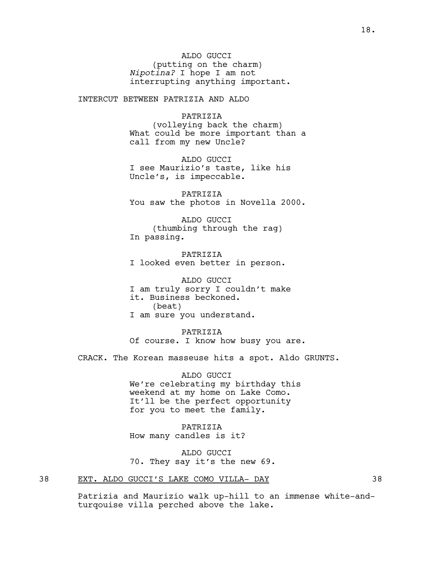ALDO GUCCI (putting on the charm) *Nipotina?* I hope I am not interrupting anything important.

INTERCUT BETWEEN PATRIZIA AND ALDO

PATRIZIA

(volleying back the charm) What could be more important than a call from my new Uncle?

ALDO GUCCI I see Maurizio's taste, like his Uncle's, is impeccable.

PATRIZIA You saw the photos in Novella 2000.

ALDO GUCCI (thumbing through the rag) In passing.

PATRIZIA I looked even better in person.

ALDO GUCCI I am truly sorry I couldn't make it. Business beckoned. (beat) I am sure you understand.

PATRIZIA Of course. I know how busy you are.

CRACK. The Korean masseuse hits a spot. Aldo GRUNTS.

ALDO GUCCI We're celebrating my birthday this weekend at my home on Lake Como. It'll be the perfect opportunity for you to meet the family.

PATRIZIA How many candles is it?

ALDO GUCCI 70. They say it's the new 69.

38 EXT. ALDO GUCCI'S LAKE COMO VILLA- DAY 38

Patrizia and Maurizio walk up-hill to an immense white-andturqouise villa perched above the lake.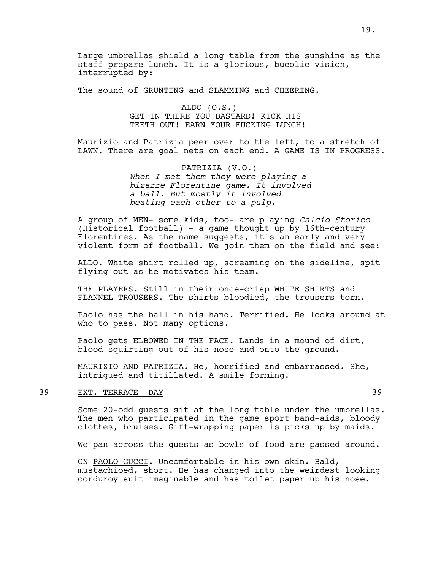Large umbrellas shield a long table from the sunshine as the staff prepare lunch. It is a glorious, bucolic vision, interrupted by:

The sound of GRUNTING and SLAMMING and CHEERING.

ALDO (O.S.) GET IN THERE YOU BASTARD! KICK HIS TEETH OUT! EARN YOUR FUCKING LUNCH!

Maurizio and Patrizia peer over to the left, to a stretch of LAWN. There are goal nets on each end. A GAME IS IN PROGRESS.

> PATRIZIA (V.O.) *When I met them they were playing a bizarre Florentine game. It involved a ball. But mostly it involved beating each other to a pulp.*

A group of MEN- some kids, too- are playing *Calcio Storico*  (Historical football) - a game thought up by 16th-century Florentines. As the name suggests, it's an early and very violent form of football. We join them on the field and see:

ALDO. White shirt rolled up, screaming on the sideline, spit flying out as he motivates his team.

THE PLAYERS. Still in their once-crisp WHITE SHIRTS and FLANNEL TROUSERS. The shirts bloodied, the trousers torn.

Paolo has the ball in his hand. Terrified. He looks around at who to pass. Not many options.

Paolo gets ELBOWED IN THE FACE. Lands in a mound of dirt, blood squirting out of his nose and onto the ground.

MAURIZIO AND PATRIZIA. He, horrified and embarrassed. She, intrigued and titillated. A smile forming.

# 39 EXT. TERRACE- DAY 39

Some 20-odd guests sit at the long table under the umbrellas. The men who participated in the game sport band-aids, bloody clothes, bruises. Gift-wrapping paper is picks up by maids.

We pan across the quests as bowls of food are passed around.

ON PAOLO GUCCI. Uncomfortable in his own skin. Bald, mustachioed, short. He has changed into the weirdest looking corduroy suit imaginable and has toilet paper up his nose.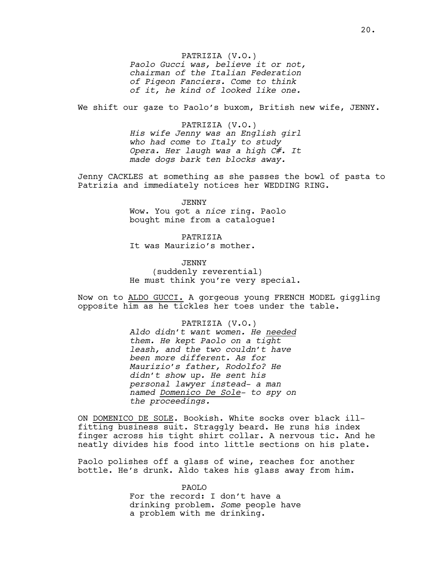PATRIZIA (V.O.) *Paolo Gucci was, believe it or not, chairman of the Italian Federation of Pigeon Fanciers. Come to think of it, he kind of looked like one.*

We shift our gaze to Paolo's buxom, British new wife, JENNY.

PATRIZIA (V.O.) *His wife Jenny was an English girl who had come to Italy to study Opera. Her laugh was a high C#. It made dogs bark ten blocks away.*

Jenny CACKLES at something as she passes the bowl of pasta to Patrizia and immediately notices her WEDDING RING.

> JENNY Wow. You got a *nice* ring. Paolo bought mine from a catalogue!

PATRIZIA It was Maurizio's mother.

**JENNY** (suddenly reverential) He must think you're very special.

Now on to ALDO GUCCI. A gorgeous young FRENCH MODEL giggling opposite him as he tickles her toes under the table.

> PATRIZIA (V.O.) *Aldo didn't want women. He needed them. He kept Paolo on a tight leash, and the two couldn't have been more different. As for Maurizio's father, Rodolfo? He didn't show up. He sent his personal lawyer instead- a man named Domenico De Sole- to spy on the proceedings.*

ON DOMENICO DE SOLE. Bookish. White socks over black illfitting business suit. Straggly beard. He runs his index finger across his tight shirt collar. A nervous tic. And he neatly divides his food into little sections on his plate.

Paolo polishes off a glass of wine, reaches for another bottle. He's drunk. Aldo takes his glass away from him.

> PAOLO For the record: I don't have a drinking problem. *Some* people have a problem with me drinking.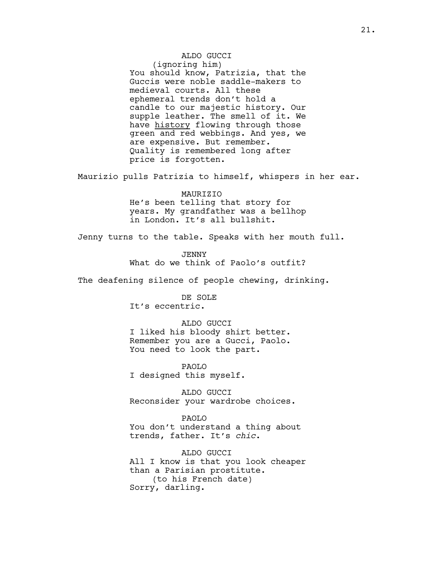ALDO GUCCI (ignoring him) You should know, Patrizia, that the Guccis were noble saddle-makers to medieval courts. All these ephemeral trends don't hold a candle to our majestic history. Our supple leather. The smell of it. We have history flowing through those green and red webbings. And yes, we are expensive. But remember. Quality is remembered long after price is forgotten.

Maurizio pulls Patrizia to himself, whispers in her ear.

MAURIZIO He's been telling that story for years. My grandfather was a bellhop in London. It's all bullshit.

Jenny turns to the table. Speaks with her mouth full.

JENNY What do we think of Paolo's outfit?

The deafening silence of people chewing, drinking.

DE SOLE It's eccentric.

ALDO GUCCI I liked his bloody shirt better. Remember you are a Gucci, Paolo. You need to look the part.

PAOLO I designed this myself.

ALDO GUCCI Reconsider your wardrobe choices.

PAOLO You don't understand a thing about trends, father. It's *chic*.

ALDO GUCCI All I know is that you look cheaper than a Parisian prostitute. (to his French date) Sorry, darling.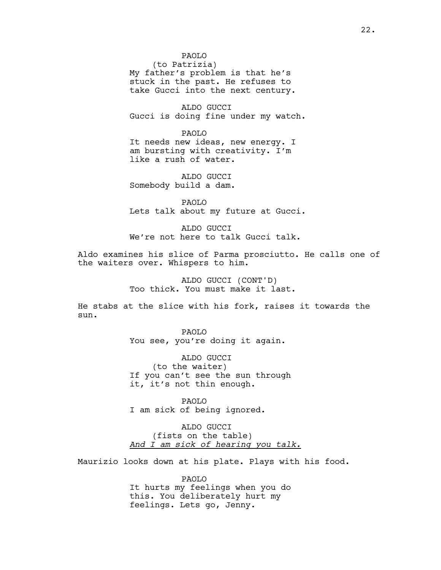#### PAOLO

(to Patrizia) My father's problem is that he's stuck in the past. He refuses to take Gucci into the next century.

ALDO GUCCI Gucci is doing fine under my watch.

PAOLO It needs new ideas, new energy. I am bursting with creativity. I'm like a rush of water.

ALDO GUCCI Somebody build a dam.

PAOLO Lets talk about my future at Gucci.

ALDO GUCCI We're not here to talk Gucci talk.

Aldo examines his slice of Parma prosciutto. He calls one of the waiters over. Whispers to him.

> ALDO GUCCI (CONT'D) Too thick. You must make it last.

He stabs at the slice with his fork, raises it towards the sun.

> PAOLO You see, you're doing it again.

ALDO GUCCI (to the waiter) If you can't see the sun through it, it's not thin enough.

PAOLO I am sick of being ignored.

ALDO GUCCI (fists on the table) *And I am sick of hearing you talk.*

Maurizio looks down at his plate. Plays with his food.

PAOLO It hurts my feelings when you do this. You deliberately hurt my feelings. Lets go, Jenny.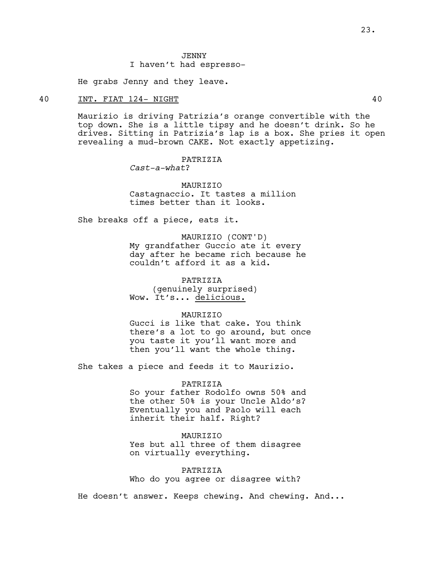#### **JENNY**

# I haven't had espresso-

He grabs Jenny and they leave.

# 40 INT. FIAT 124- NIGHT 40

Maurizio is driving Patrizia's orange convertible with the top down. She is a little tipsy and he doesn't drink. So he drives. Sitting in Patrizia's lap is a box. She pries it open revealing a mud-brown CAKE. Not exactly appetizing.

#### PATRIZIA

*Cast-a-what*?

MAURIZIO Castagnaccio. It tastes a million times better than it looks.

She breaks off a piece, eats it.

MAURIZIO (CONT'D) My grandfather Guccio ate it every day after he became rich because he couldn't afford it as a kid.

PATRIZIA (genuinely surprised) Wow. It's... delicious.

#### **MAURTZIO**

Gucci is like that cake. You think there's a lot to go around, but once you taste it you'll want more and then you'll want the whole thing.

She takes a piece and feeds it to Maurizio.

#### PATRIZIA

So your father Rodolfo owns 50% and the other 50% is your Uncle Aldo's? Eventually you and Paolo will each inherit their half. Right?

#### MAURIZIO

Yes but all three of them disagree on virtually everything.

PATRIZIA Who do you agree or disagree with?

He doesn't answer. Keeps chewing. And chewing. And...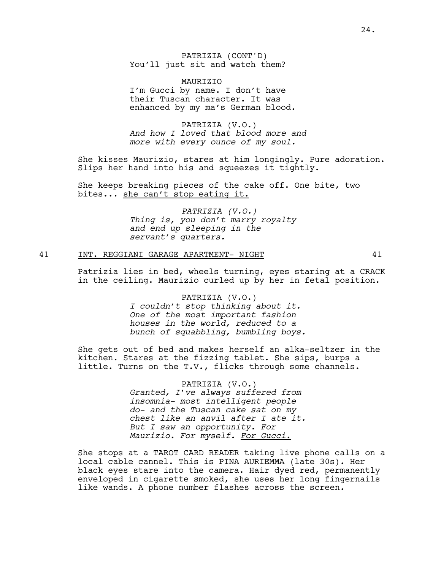PATRIZIA (CONT'D) You'll just sit and watch them?

MAURIZIO I'm Gucci by name. I don't have their Tuscan character. It was enhanced by my ma's German blood.

PATRIZIA (V.O.) *And how I loved that blood more and more with every ounce of my soul.*

She kisses Maurizio, stares at him longingly. Pure adoration. Slips her hand into his and squeezes it tightly.

She keeps breaking pieces of the cake off. One bite, two bites... she can't stop eating it.

> *PATRIZIA (V.O.) Thing is, you don't marry royalty and end up sleeping in the servant's quarters.*

#### 41 INT. REGGIANI GARAGE APARTMENT- NIGHT 41

Patrizia lies in bed, wheels turning, eyes staring at a CRACK in the ceiling. Maurizio curled up by her in fetal position.

> PATRIZIA (V.O.) *I couldn't stop thinking about it. One of the most important fashion houses in the world, reduced to a bunch of squabbling, bumbling boys.*

She gets out of bed and makes herself an alka-seltzer in the kitchen. Stares at the fizzing tablet. She sips, burps a little. Turns on the T.V., flicks through some channels.

> PATRIZIA (V.O.) *Granted, I've always suffered from insomnia- most intelligent people do- and the Tuscan cake sat on my chest like an anvil after I ate it. But I saw an opportunity. For Maurizio. For myself. For Gucci.*

She stops at a TAROT CARD READER taking live phone calls on a local cable cannel. This is PINA AURIEMMA (late 30s). Her black eyes stare into the camera. Hair dyed red, permanently enveloped in cigarette smoked, she uses her long fingernails like wands. A phone number flashes across the screen.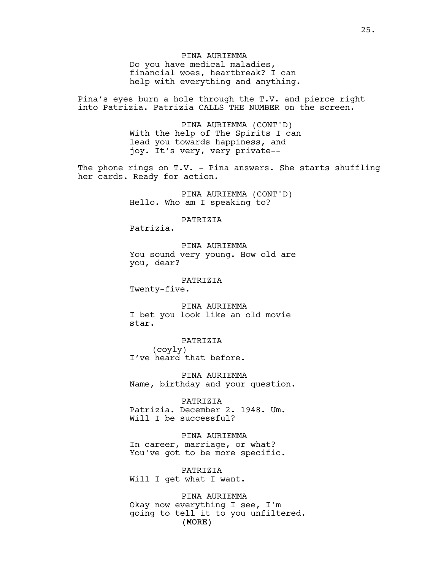PINA AURIEMMA Do you have medical maladies, financial woes, heartbreak? I can help with everything and anything.

Pina's eyes burn a hole through the T.V. and pierce right into Patrizia. Patrizia CALLS THE NUMBER on the screen.

> PINA AURIEMMA (CONT'D) With the help of The Spirits I can lead you towards happiness, and joy. It's very, very private--

The phone rings on  $T.V.$  - Pina answers. She starts shuffling her cards. Ready for action.

> PINA AURIEMMA (CONT'D) Hello. Who am I speaking to?

#### PATRIZIA

Patrizia.

PINA AURIEMMA You sound very young. How old are you, dear?

PATRIZIA

Twenty-five.

PINA AURIEMMA I bet you look like an old movie star.

PATRIZIA (coyly) I've heard that before.

PINA AURIEMMA Name, birthday and your question.

PATRIZIA Patrizia. December 2. 1948. Um. Will I be successful?

PINA AURIEMMA In career, marriage, or what? You've got to be more specific.

PATRIZIA Will I get what I want.

(MORE) PINA AURIEMMA Okay now everything I see, I'm going to tell it to you unfiltered.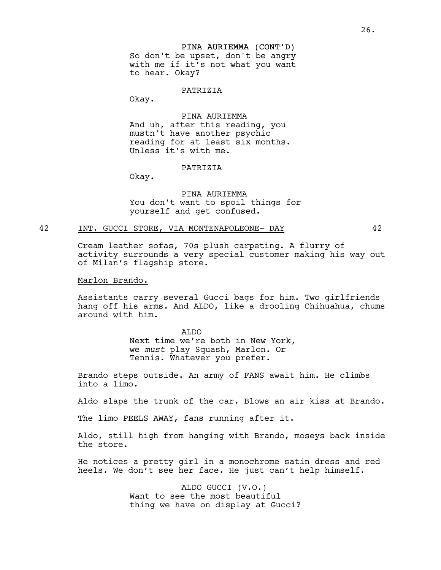# PINA AURIEMMA (CONT'D) So don't be upset, don't be angry with me if it's not what you want to hear. Okay?

#### PATRIZIA

Okay.

# PINA AURIEMMA

And uh, after this reading, you mustn't have another psychic reading for at least six months. Unless it's with me.

#### PATRIZIA

Okay.

PINA AURIEMMA You don't want to spoil things for yourself and get confused.

#### 42 INT. GUCCI STORE, VIA MONTENAPOLEONE- DAY 42

Cream leather sofas, 70s plush carpeting. A flurry of activity surrounds a very special customer making his way out of Milan's flagship store.

#### Marlon Brando.

Assistants carry several Gucci bags for him. Two girlfriends hang off his arms. And ALDO, like a drooling Chihuahua, chums around with him.

> ALDO Next time we're both in New York, we *must* play Squash, Marlon. Or Tennis. Whatever you prefer.

Brando steps outside. An army of FANS await him. He climbs into a limo.

Aldo slaps the trunk of the car. Blows an air kiss at Brando.

The limo PEELS AWAY, fans running after it.

Aldo, still high from hanging with Brando, moseys back inside the store.

He notices a pretty girl in a monochrome satin dress and red heels. We don't see her face. He just can't help himself.

> ALDO GUCCI (V.O.) Want to see the most beautiful thing we have on display at Gucci?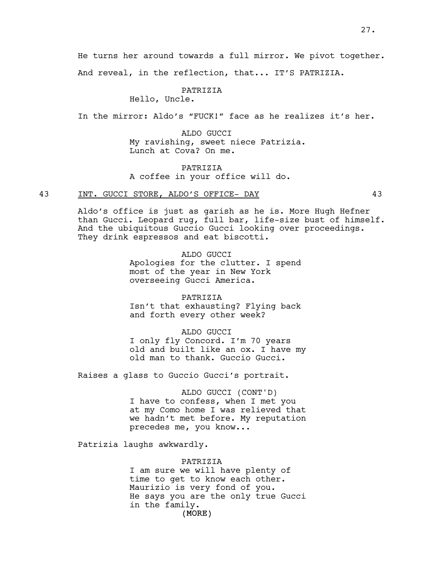He turns her around towards a full mirror. We pivot together.

And reveal, in the reflection, that... IT'S PATRIZIA.

PATRIZIA

Hello, Uncle.

In the mirror: Aldo's "FUCK!" face as he realizes it's her.

ALDO GUCCI My ravishing, sweet niece Patrizia. Lunch at Cova? On me.

**PATRIZIA** A coffee in your office will do.

# 43 INT. GUCCI STORE, ALDO'S OFFICE- DAY 43

Aldo's office is just as garish as he is. More Hugh Hefner than Gucci. Leopard rug, full bar, life-size bust of himself. And the ubiquitous Guccio Gucci looking over proceedings. They drink espressos and eat biscotti.

> ALDO GUCCI Apologies for the clutter. I spend most of the year in New York overseeing Gucci America.

> > PATRIZIA

Isn't that exhausting? Flying back and forth every other week?

#### ALDO GUCCI

I only fly Concord. I'm 70 years old and built like an ox. I have my old man to thank. Guccio Gucci.

Raises a glass to Guccio Gucci's portrait.

# ALDO GUCCI (CONT'D)

I have to confess, when I met you at my Como home I was relieved that we hadn't met before. My reputation precedes me, you know...

Patrizia laughs awkwardly.

#### PATRIZIA

(MORE) I am sure we will have plenty of time to get to know each other. Maurizio is very fond of you. He says you are the only true Gucci in the family.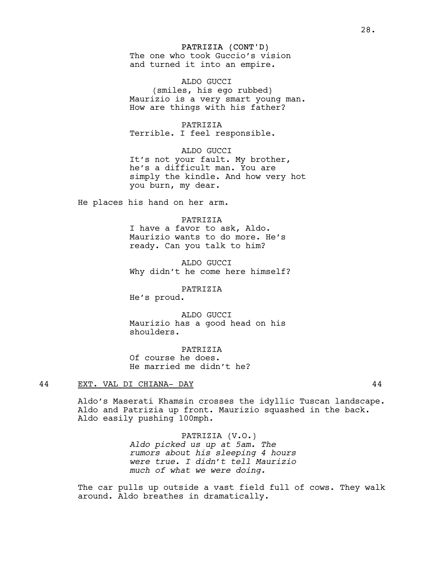# PATRIZIA (CONT'D)

The one who took Guccio's vision and turned it into an empire.

ALDO GUCCI (smiles, his ego rubbed) Maurizio is a very smart young man. How are things with his father?

PATRIZIA Terrible. I feel responsible.

ALDO GUCCI It's not your fault. My brother, he's a difficult man. You are simply the kindle. And how very hot you burn, my dear.

He places his hand on her arm.

PATRIZIA

I have a favor to ask, Aldo. Maurizio wants to do more. He's ready. Can you talk to him?

ALDO GUCCI Why didn't he come here himself?

PATRIZIA

He's proud.

ALDO GUCCI Maurizio has a good head on his shoulders.

PATRIZIA Of course he does. He married me didn't he?

#### 44 EXT. VAL DI CHIANA- DAY 44

Aldo's Maserati Khamsin crosses the idyllic Tuscan landscape. Aldo and Patrizia up front. Maurizio squashed in the back. Aldo easily pushing 100mph.

> PATRIZIA (V.O.) *Aldo picked us up at 5am. The rumors about his sleeping 4 hours were true. I didn't tell Maurizio much of what we were doing.*

The car pulls up outside a vast field full of cows. They walk around. Aldo breathes in dramatically.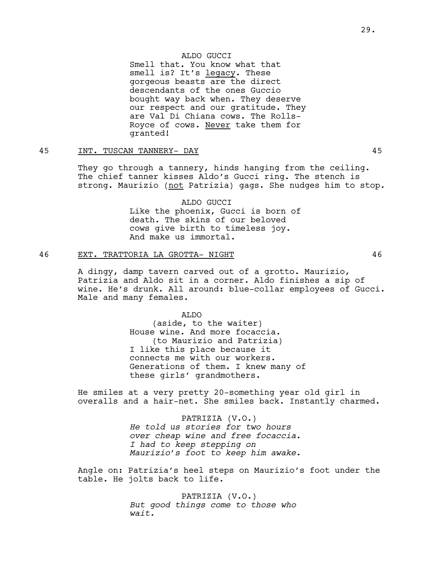#### ALDO GUCCI

Smell that. You know what that smell is? It's legacy. These gorgeous beasts are the direct descendants of the ones Guccio bought way back when. They deserve our respect and our gratitude. They are Val Di Chiana cows. The Rolls-Royce of cows. Never take them for granted!

# 45 INT. TUSCAN TANNERY- DAY 45

They go through a tannery, hinds hanging from the ceiling. The chief tanner kisses Aldo's Gucci ring. The stench is strong. Maurizio (not Patrizia) gags. She nudges him to stop.

#### ALDO GUCCI

Like the phoenix, Gucci is born of death. The skins of our beloved cows give birth to timeless joy. And make us immortal.

# 46 EXT. TRATTORIA LA GROTTA- NIGHT 46

A dingy, damp tavern carved out of a grotto. Maurizio, Patrizia and Aldo sit in a corner. Aldo finishes a sip of wine. He's drunk. All around: blue-collar employees of Gucci. Male and many females.

#### ALDO

(aside, to the waiter) House wine. And more focaccia. (to Maurizio and Patrizia) I like this place because it connects me with our workers. Generations of them. I knew many of these girls' grandmothers.

He smiles at a very pretty 20-something year old girl in overalls and a hair-net. She smiles back. Instantly charmed.

> PATRIZIA (V.O.) *He told us stories for two hours over cheap wine and free focaccia. I had to keep stepping on Maurizio's foot to keep him awake.*

Angle on: Patrizia's heel steps on Maurizio's foot under the table. He jolts back to life.

> PATRIZIA (V.O.) *But good things come to those who wait.*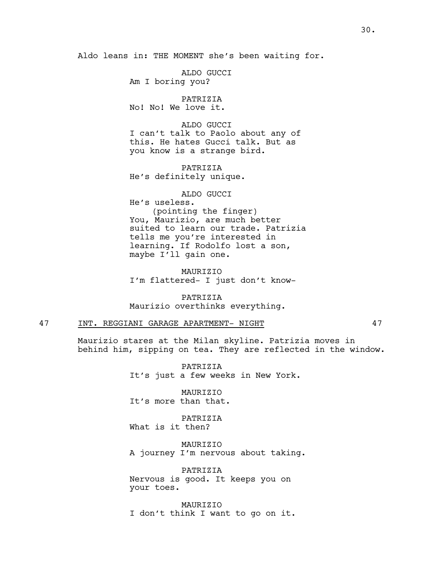Aldo leans in: THE MOMENT she's been waiting for.

ALDO GUCCI Am I boring you?

PATRIZIA No! No! We love it.

ALDO GUCCI I can't talk to Paolo about any of this. He hates Gucci talk. But as you know is a strange bird.

PATRIZIA He's definitely unique.

ALDO GUCCI He's useless. (pointing the finger) You, Maurizio, are much better suited to learn our trade. Patrizia tells me you're interested in learning. If Rodolfo lost a son, maybe I'll gain one.

MAURIZIO I'm flattered- I just don't know-

PATRIZIA Maurizio overthinks everything.

# 47 INT. REGGIANI GARAGE APARTMENT- NIGHT 47

Maurizio stares at the Milan skyline. Patrizia moves in behind him, sipping on tea. They are reflected in the window.

> PATRIZIA It's just a few weeks in New York.

MAURIZIO It's more than that.

PATRIZIA What is it then?

MAURIZIO A journey I'm nervous about taking.

PATRIZIA Nervous is good. It keeps you on your toes.

MAURIZIO I don't think I want to go on it.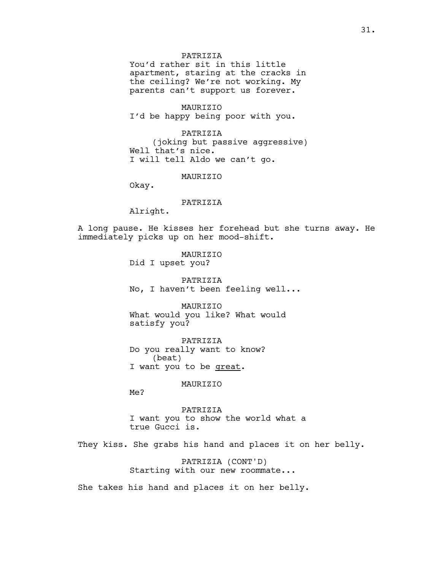#### PATRIZIA

You'd rather sit in this little apartment, staring at the cracks in the ceiling? We're not working. My parents can't support us forever.

MAURIZIO I'd be happy being poor with you.

PATRIZIA (joking but passive aggressive) Well that's nice. I will tell Aldo we can't go.

#### MAURIZIO

Okay.

# PATRIZIA

Alright.

A long pause. He kisses her forehead but she turns away. He immediately picks up on her mood-shift.

> MAURIZIO Did I upset you?

PATRIZIA No, I haven't been feeling well...

**MAURTZTO** What would you like? What would satisfy you?

PATRIZIA Do you really want to know? (beat) I want you to be great.

MAURIZIO

Me?

PATRIZIA I want you to show the world what a true Gucci is.

They kiss. She grabs his hand and places it on her belly.

PATRIZIA (CONT'D) Starting with our new roommate...

She takes his hand and places it on her belly.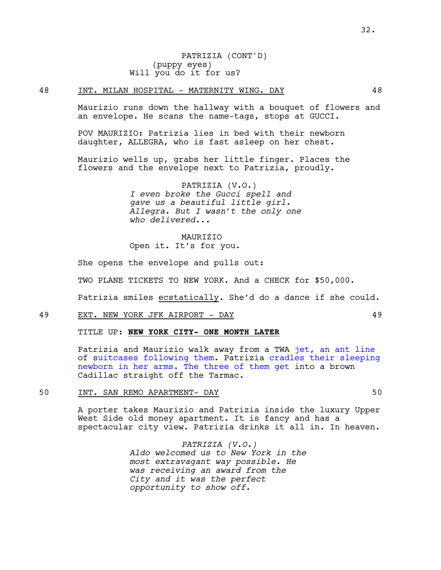#### 48 INT. MILAN HOSPITAL - MATERNITY WING. DAY 48

Maurizio runs down the hallway with a bouquet of flowers and an envelope. He scans the name-tags, stops at GUCCI.

POV MAURIZIO: Patrizia lies in bed with their newborn daughter, ALLEGRA, who is fast asleep on her chest.

Maurizio wells up, grabs her little finger. Places the flowers and the envelope next to Patrizia, proudly.

> PATRIZIA (V.O.) *I even broke the Gucci spell and gave us a beautiful little girl. Allegra. But I wasn't the only one who delivered...*

MAURIZIO Open it. It's for you.

She opens the envelope and pulls out:

TWO PLANE TICKETS TO NEW YORK. And a CHECK for \$50,000.

Patrizia smiles ecstatically. She'd do a dance if she could.

#### 49 EXT. NEW YORK JFK AIRPORT - DAY 49

TITLE UP: **NEW YORK CITY- ONE MONTH LATER**

Patrizia and Maurizio walk away from a TWA jet, an ant line of suitcases following them. Patrizia cradles their sleeping newborn in her arms. The three of them get into a brown Cadillac straight off the Tarmac.

# 50 INT. SAN REMO APARTMENT- DAY 50

A porter takes Maurizio and Patrizia inside the luxury Upper West Side old money apartment. It is fancy and has a spectacular city view. Patrizia drinks it all in. In heaven.

> *PATRIZIA (V.O.) Aldo welcomed us to New York in the most extravagant way possible. He was receiving an award from the City and it was the perfect opportunity to show off.*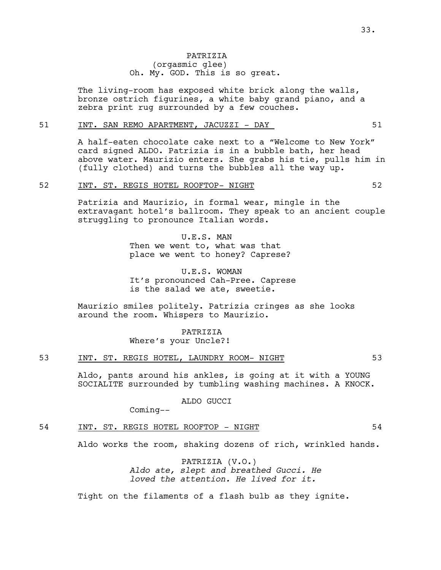# PATRIZIA (orgasmic glee) Oh. My. GOD. This is so great.

The living-room has exposed white brick along the walls, bronze ostrich figurines, a white baby grand piano, and a zebra print rug surrounded by a few couches.

#### 51 INT. SAN REMO APARTMENT, JACUZZI - DAY 61

A half-eaten chocolate cake next to a "Welcome to New York" card signed ALDO. Patrizia is in a bubble bath, her head above water. Maurizio enters. She grabs his tie, pulls him in (fully clothed) and turns the bubbles all the way up.

#### 52 INT. ST. REGIS HOTEL ROOFTOP- NIGHT 52

Patrizia and Maurizio, in formal wear, mingle in the extravagant hotel's ballroom. They speak to an ancient couple struggling to pronounce Italian words.

> U.E.S. MAN Then we went to, what was that place we went to honey? Caprese?

U.E.S. WOMAN It's pronounced Cah-Pree. Caprese is the salad we ate, sweetie.

Maurizio smiles politely. Patrizia cringes as she looks around the room. Whispers to Maurizio.

> PATRIZIA Where's your Uncle?!

# 53 INT. ST. REGIS HOTEL, LAUNDRY ROOM- NIGHT 53

Aldo, pants around his ankles, is going at it with a YOUNG SOCIALITE surrounded by tumbling washing machines. A KNOCK.

ALDO GUCCI

Coming--

# 54 INT. ST. REGIS HOTEL ROOFTOP - NIGHT 64

Aldo works the room, shaking dozens of rich, wrinkled hands.

PATRIZIA (V.O.) *Aldo ate, slept and breathed Gucci. He loved the attention. He lived for it.*

Tight on the filaments of a flash bulb as they ignite.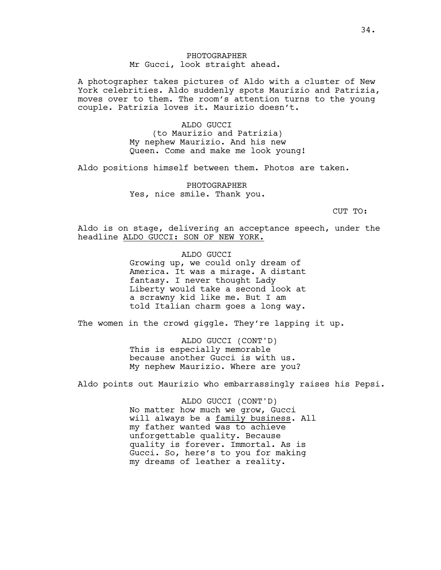A photographer takes pictures of Aldo with a cluster of New York celebrities. Aldo suddenly spots Maurizio and Patrizia, moves over to them. The room's attention turns to the young couple. Patrizia loves it. Maurizio doesn't.

> ALDO GUCCI (to Maurizio and Patrizia) My nephew Maurizio. And his new Queen. Come and make me look young!

Aldo positions himself between them. Photos are taken.

 PHOTOGRAPHER Yes, nice smile. Thank you.

CUT TO:

Aldo is on stage, delivering an acceptance speech, under the headline ALDO GUCCI: SON OF NEW YORK.

> ALDO GUCCI Growing up, we could only dream of America. It was a mirage. A distant fantasy. I never thought Lady Liberty would take a second look at a scrawny kid like me. But I am told Italian charm goes a long way.

The women in the crowd giggle. They're lapping it up.

ALDO GUCCI (CONT'D) This is especially memorable because another Gucci is with us. My nephew Maurizio. Where are you?

Aldo points out Maurizio who embarrassingly raises his Pepsi.

ALDO GUCCI (CONT'D) No matter how much we grow, Gucci will always be a family business. All my father wanted was to achieve unforgettable quality. Because quality is forever. Immortal. As is Gucci. So, here's to you for making my dreams of leather a reality.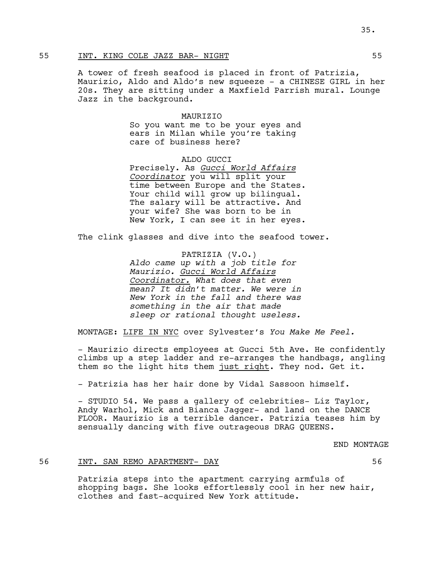# 55 INT. KING COLE JAZZ BAR- NIGHT 55

A tower of fresh seafood is placed in front of Patrizia, Maurizio, Aldo and Aldo's new squeeze - a CHINESE GIRL in her 20s. They are sitting under a Maxfield Parrish mural. Lounge Jazz in the background.

#### MAURIZIO

So you want me to be your eyes and ears in Milan while you're taking care of business here?

# ALDO GUCCI

Precisely. As *Gucci World Affairs Coordinator* you will split your time between Europe and the States. Your child will grow up bilingual. The salary will be attractive. And your wife? She was born to be in New York, I can see it in her eyes.

The clink glasses and dive into the seafood tower.

PATRIZIA (V.O.) *Aldo came up with a job title for Maurizio. Gucci World Affairs Coordinator. What does that even mean? It didn't matter. We were in New York in the fall and there was something in the air that made sleep or rational thought useless.*

MONTAGE: LIFE IN NYC over Sylvester's *You Make Me Feel.*

- Maurizio directs employees at Gucci 5th Ave. He confidently climbs up a step ladder and re-arranges the handbags, angling them so the light hits them just right. They nod. Get it.

- Patrizia has her hair done by Vidal Sassoon himself.

- STUDIO 54. We pass a gallery of celebrities- Liz Taylor, Andy Warhol, Mick and Bianca Jagger- and land on the DANCE FLOOR. Maurizio is a terrible dancer. Patrizia teases him by sensually dancing with five outrageous DRAG QUEENS.

END MONTAGE

#### 56 INT. SAN REMO APARTMENT- DAY 56

Patrizia steps into the apartment carrying armfuls of shopping bags. She looks effortlessly cool in her new hair, clothes and fast-acquired New York attitude.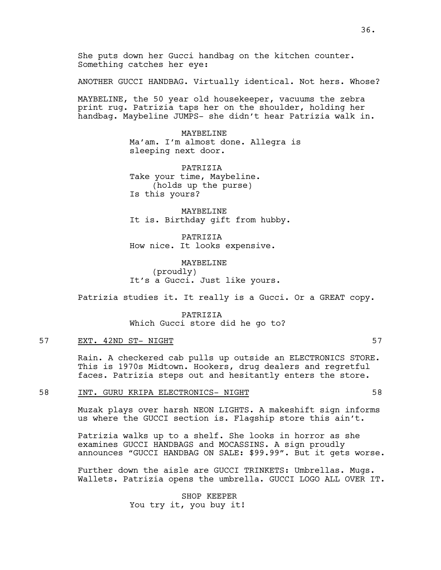She puts down her Gucci handbag on the kitchen counter. Something catches her eye:

ANOTHER GUCCI HANDBAG. Virtually identical. Not hers. Whose?

MAYBELINE, the 50 year old housekeeper, vacuums the zebra print rug. Patrizia taps her on the shoulder, holding her handbag. Maybeline JUMPS- she didn't hear Patrizia walk in.

> MAYBELINE Ma'am. I'm almost done. Allegra is sleeping next door.

PATRIZIA Take your time, Maybeline. (holds up the purse) Is this yours?

MAYBELINE It is. Birthday gift from hubby.

PATRIZIA How nice. It looks expensive.

MAYBELINE (proudly) It's a Gucci. Just like yours.

Patrizia studies it. It really is a Gucci. Or a GREAT copy.

PATRIZIA Which Gucci store did he go to?

# 57 EXT. 42ND ST- NIGHT 57

Rain. A checkered cab pulls up outside an ELECTRONICS STORE. This is 1970s Midtown. Hookers, drug dealers and regretful faces. Patrizia steps out and hesitantly enters the store.

## 58 INT. GURU KRIPA ELECTRONICS- NIGHT 58

Muzak plays over harsh NEON LIGHTS. A makeshift sign informs us where the GUCCI section is. Flagship store this ain't.

Patrizia walks up to a shelf. She looks in horror as she examines GUCCI HANDBAGS and MOCASSINS. A sign proudly announces "GUCCI HANDBAG ON SALE: \$99.99". But it gets worse.

Further down the aisle are GUCCI TRINKETS: Umbrellas. Mugs. Wallets. Patrizia opens the umbrella. GUCCI LOGO ALL OVER IT.

> SHOP KEEPER You try it, you buy it!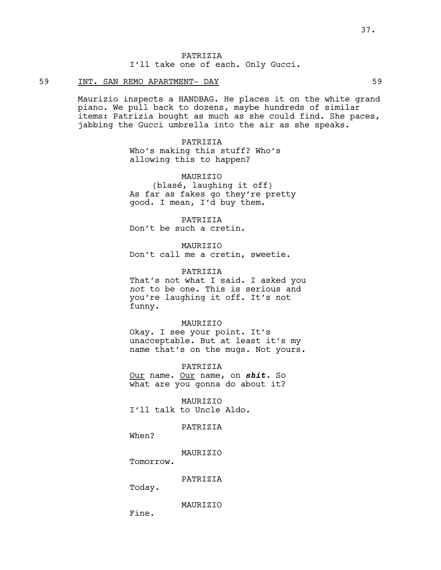PATRIZIA I'll take one of each. Only Gucci.

# 59 INT. SAN REMO APARTMENT- DAY 59

Maurizio inspects a HANDBAG. He places it on the white grand piano. We pull back to dozens, maybe hundreds of similar items: Patrizia bought as much as she could find. She paces, jabbing the Gucci umbrella into the air as she speaks.

PATRIZIA

Who's making this stuff? Who's allowing this to happen?

MAURIZIO

(blasé, laughing it off) As far as fakes go they're pretty good. I mean, I'd buy them.

PATRIZIA Don't be such a cretin.

MAURIZIO Don't call me a cretin, sweetie.

PATRIZIA

That's not what I said. I asked you *not* to be one. This is serious and you're laughing it off. It's not funny.

#### MAURIZIO

Okay. I see your point. It's unacceptable. But at least it's my name that's on the mugs. Not yours.

PATRIZIA

Our name. Our name, on *shit.* So what are you gonna do about it?

MAURIZIO I'll talk to Uncle Aldo.

PATRIZIA

When?

MAURIZIO

Tomorrow.

PATRIZIA

Today.

MAURIZIO

Fine.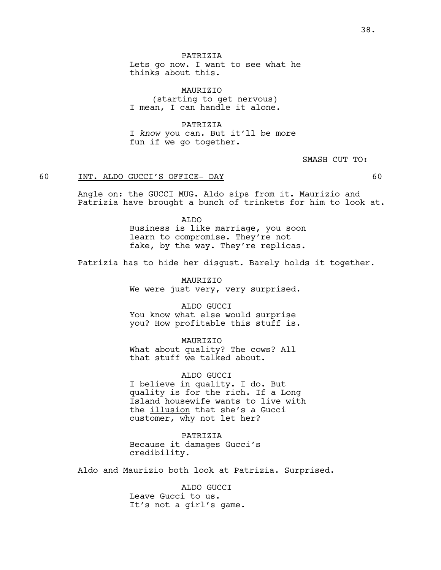Lets go now. I want to see what he thinks about this.

MAURIZIO (starting to get nervous) I mean, I can handle it alone.

PATRIZIA I *know* you can. But it'll be more fun if we go together.

SMASH CUT TO:

## 60 INT. ALDO GUCCI'S OFFICE- DAY 60

Angle on: the GUCCI MUG. Aldo sips from it. Maurizio and Patrizia have brought a bunch of trinkets for him to look at.

> ALDO Business is like marriage, you soon learn to compromise. They're not fake, by the way. They're replicas.

Patrizia has to hide her disgust. Barely holds it together.

MAURIZIO We were just very, very surprised.

ALDO GUCCI You know what else would surprise you? How profitable this stuff is.

MAURIZIO What about quality? The cows? All that stuff we talked about.

ALDO GUCCI I believe in quality. I do. But quality is for the rich. If a Long Island housewife wants to live with the illusion that she's a Gucci customer, why not let her?

PATRIZIA Because it damages Gucci's credibility.

Aldo and Maurizio both look at Patrizia. Surprised.

ALDO GUCCI Leave Gucci to us. It's not a girl's game.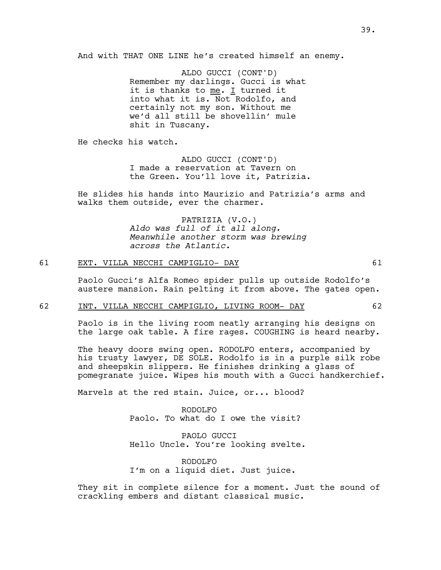And with THAT ONE LINE he's created himself an enemy.

ALDO GUCCI (CONT'D) Remember my darlings. Gucci is what it is thanks to  $me.$  I turned it into what it is. Not Rodolfo, and certainly not my son. Without me we'd all still be shovellin' mule shit in Tuscany.

He checks his watch.

ALDO GUCCI (CONT'D) I made a reservation at Tavern on the Green. You'll love it, Patrizia.

He slides his hands into Maurizio and Patrizia's arms and walks them outside, ever the charmer.

> PATRIZIA (V.O.) *Aldo was full of it all along. Meanwhile another storm was brewing across the Atlantic.*

## 61 EXT. VILLA NECCHI CAMPIGLIO- DAY 61

Paolo Gucci's Alfa Romeo spider pulls up outside Rodolfo's austere mansion. Rain pelting it from above. The gates open.

### 62 INT. VILLA NECCHI CAMPIGLIO, LIVING ROOM- DAY 62

Paolo is in the living room neatly arranging his designs on the large oak table. A fire rages. COUGHING is heard nearby.

The heavy doors swing open. RODOLFO enters, accompanied by his trusty lawyer, DE SOLE. Rodolfo is in a purple silk robe and sheepskin slippers. He finishes drinking a glass of pomegranate juice. Wipes his mouth with a Gucci handkerchief.

Marvels at the red stain. Juice, or... blood?

RODOLFO Paolo. To what do I owe the visit?

PAOLO GUCCI Hello Uncle. You're looking svelte.

RODOLFO I'm on a liquid diet. Just juice.

They sit in complete silence for a moment. Just the sound of crackling embers and distant classical music.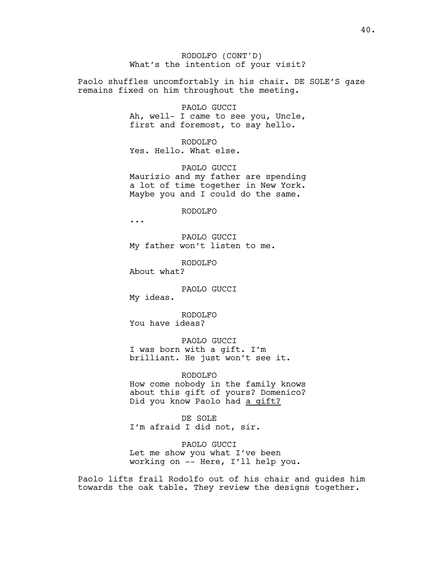RODOLFO (CONT'D) What's the intention of your visit?

Paolo shuffles uncomfortably in his chair. DE SOLE'S gaze remains fixed on him throughout the meeting.

PAOLO GUCCI

Ah, well- I came to see you, Uncle, first and foremost, to say hello.

RODOLFO Yes. Hello. What else.

PAOLO GUCCI Maurizio and my father are spending a lot of time together in New York. Maybe you and I could do the same.

RODOLFO

...

PAOLO GUCCI My father won't listen to me.

RODOLFO About what?

PAOLO GUCCI My ideas.

RODOLFO You have ideas?

PAOLO GUCCI I was born with a gift. I'm brilliant. He just won't see it.

RODOLFO How come nobody in the family knows about this gift of yours? Domenico? Did you know Paolo had a gift?

DE SOLE I'm afraid I did not, sir.

PAOLO GUCCI Let me show you what I've been working on -- Here, I'll help you.

Paolo lifts frail Rodolfo out of his chair and guides him towards the oak table. They review the designs together.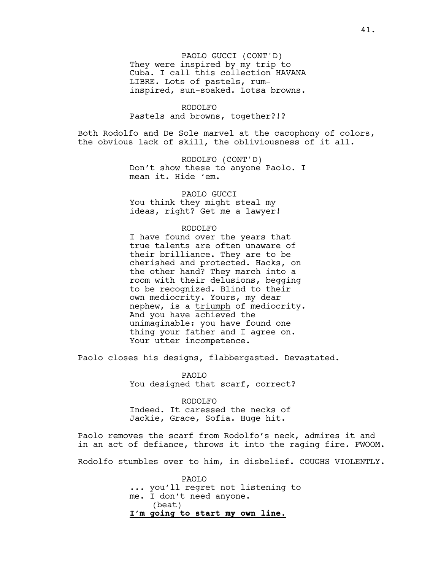PAOLO GUCCI (CONT'D) They were inspired by my trip to Cuba. I call this collection HAVANA LIBRE. Lots of pastels, ruminspired, sun-soaked. Lotsa browns.

RODOLFO Pastels and browns, together?!?

Both Rodolfo and De Sole marvel at the cacophony of colors, the obvious lack of skill, the obliviousness of it all.

> RODOLFO (CONT'D) Don't show these to anyone Paolo. I mean it. Hide 'em.

PAOLO GUCCI You think they might steal my ideas, right? Get me a lawyer!

### RODOLFO

I have found over the years that true talents are often unaware of their brilliance. They are to be cherished and protected. Hacks, on the other hand? They march into a room with their delusions, begging to be recognized. Blind to their own mediocrity. Yours, my dear nephew, is a triumph of mediocrity. And you have achieved the unimaginable: you have found one thing your father and I agree on. Your utter incompetence.

Paolo closes his designs, flabbergasted. Devastated.

PAOLO You designed that scarf, correct?

RODOLFO Indeed. It caressed the necks of Jackie, Grace, Sofia. Huge hit.

Paolo removes the scarf from Rodolfo's neck, admires it and in an act of defiance, throws it into the raging fire. FWOOM.

Rodolfo stumbles over to him, in disbelief. COUGHS VIOLENTLY.

PAOLO ... you'll regret not listening to me. I don't need anyone. (beat) **I'm going to start my own line.**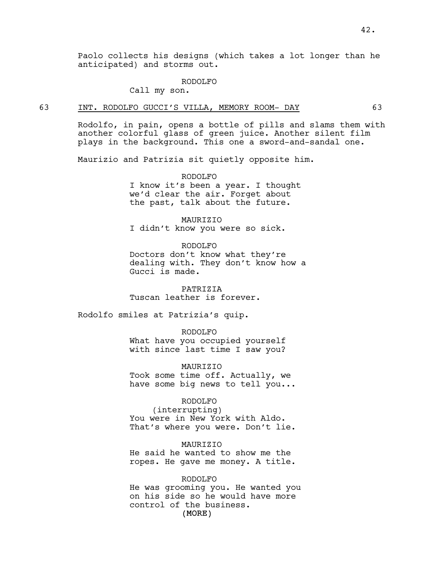Paolo collects his designs (which takes a lot longer than he anticipated) and storms out.

#### RODOLFO

Call my son.

## 63 INT. RODOLFO GUCCI'S VILLA, MEMORY ROOM- DAY 63

Rodolfo, in pain, opens a bottle of pills and slams them with another colorful glass of green juice. Another silent film plays in the background. This one a sword-and-sandal one.

Maurizio and Patrizia sit quietly opposite him.

#### RODOLFO

I know it's been a year. I thought we'd clear the air. Forget about the past, talk about the future.

MAURIZIO I didn't know you were so sick.

RODOLFO

Doctors don't know what they're dealing with. They don't know how a Gucci is made.

PATRIZIA Tuscan leather is forever.

Rodolfo smiles at Patrizia's quip.

RODOLFO

What have you occupied yourself with since last time I saw you?

MAURIZIO Took some time off. Actually, we have some big news to tell you...

#### RODOLFO

(interrupting) You were in New York with Aldo. That's where you were. Don't lie.

#### MAURIZIO

He said he wanted to show me the ropes. He gave me money. A title.

(MORE) RODOLFO He was grooming you. He wanted you on his side so he would have more control of the business.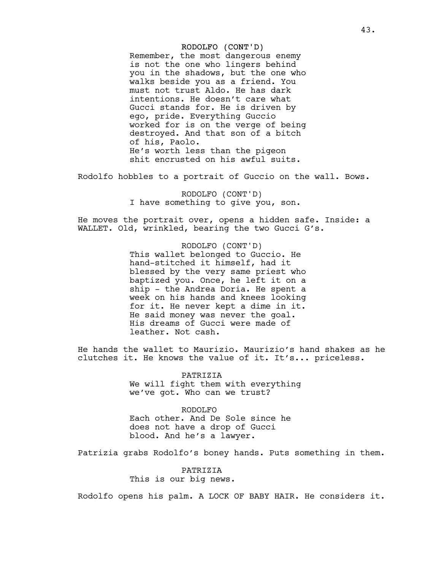## RODOLFO (CONT'D)

Remember, the most dangerous enemy is not the one who lingers behind you in the shadows, but the one who walks beside you as a friend. You must not trust Aldo. He has dark intentions. He doesn't care what Gucci stands for. He is driven by ego, pride. Everything Guccio worked for is on the verge of being destroyed. And that son of a bitch of his, Paolo. He's worth less than the pigeon shit encrusted on his awful suits.

Rodolfo hobbles to a portrait of Guccio on the wall. Bows.

RODOLFO (CONT'D) I have something to give you, son.

He moves the portrait over, opens a hidden safe. Inside: a WALLET. Old, wrinkled, bearing the two Gucci G's.

> RODOLFO (CONT'D) This wallet belonged to Guccio. He hand-stitched it himself, had it blessed by the very same priest who baptized you. Once, he left it on a ship - the Andrea Doria. He spent a week on his hands and knees looking for it. He never kept a dime in it. He said money was never the goal. His dreams of Gucci were made of leather. Not cash.

He hands the wallet to Maurizio. Maurizio's hand shakes as he clutches it. He knows the value of it. It's... priceless.

> PATRIZIA We will fight them with everything we've got. Who can we trust?

RODOLFO Each other. And De Sole since he does not have a drop of Gucci blood. And he's a lawyer.

Patrizia grabs Rodolfo's boney hands. Puts something in them.

PATRIZIA This is our big news.

Rodolfo opens his palm. A LOCK OF BABY HAIR. He considers it.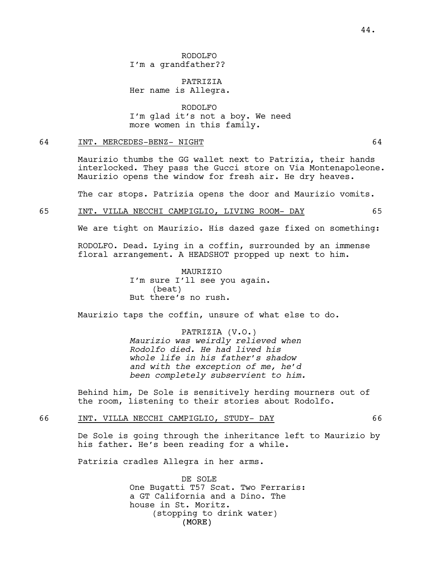RODOLFO I'm a grandfather??

PATRIZIA Her name is Allegra.

RODOLFO I'm glad it's not a boy. We need more women in this family.

## 64 INT. MERCEDES-BENZ- NIGHT 64

Maurizio thumbs the GG wallet next to Patrizia, their hands interlocked. They pass the Gucci store on Via Montenapoleone. Maurizio opens the window for fresh air. He dry heaves.

The car stops. Patrizia opens the door and Maurizio vomits.

## 65 INT. VILLA NECCHI CAMPIGLIO, LIVING ROOM- DAY 65

We are tight on Maurizio. His dazed gaze fixed on something:

RODOLFO. Dead. Lying in a coffin, surrounded by an immense floral arrangement. A HEADSHOT propped up next to him.

> MAURIZIO I'm sure I'll see you again. (beat) But there's no rush.

Maurizio taps the coffin, unsure of what else to do.

PATRIZIA (V.O.) *Maurizio was weirdly relieved when Rodolfo died. He had lived his whole life in his father's shadow and with the exception of me, he'd been completely subservient to him.*

Behind him, De Sole is sensitively herding mourners out of the room, listening to their stories about Rodolfo.

66 INT. VILLA NECCHI CAMPIGLIO, STUDY- DAY 66

De Sole is going through the inheritance left to Maurizio by his father. He's been reading for a while.

Patrizia cradles Allegra in her arms.

(MORE) DE SOLE One Bugatti T57 Scat. Two Ferraris: a GT California and a Dino. The house in St. Moritz. (stopping to drink water)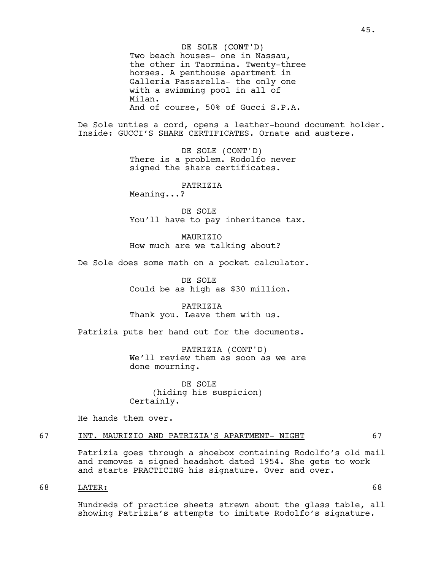### DE SOLE (CONT'D)

Two beach houses- one in Nassau, the other in Taormina. Twenty-three horses. A penthouse apartment in Galleria Passarella- the only one with a swimming pool in all of Milan. And of course, 50% of Gucci S.P.A.

De Sole unties a cord, opens a leather-bound document holder. Inside: GUCCI'S SHARE CERTIFICATES. Ornate and austere.

> DE SOLE (CONT'D) There is a problem. Rodolfo never signed the share certificates.

> > PATRIZIA

Meaning...?

DE SOLE You'll have to pay inheritance tax.

MAURIZIO How much are we talking about?

De Sole does some math on a pocket calculator.

DE SOLE Could be as high as \$30 million.

PATRIZIA Thank you. Leave them with us.

Patrizia puts her hand out for the documents.

PATRIZIA (CONT'D) We'll review them as soon as we are done mourning.

DE SOLE (hiding his suspicion) Certainly.

He hands them over.

# 67 INT. MAURIZIO AND PATRIZIA'S APARTMENT- NIGHT 67

Patrizia goes through a shoebox containing Rodolfo's old mail and removes a signed headshot dated 1954. She gets to work and starts PRACTICING his signature. Over and over.

# 68 LATER: 68

Hundreds of practice sheets strewn about the glass table, all showing Patrizia's attempts to imitate Rodolfo's signature.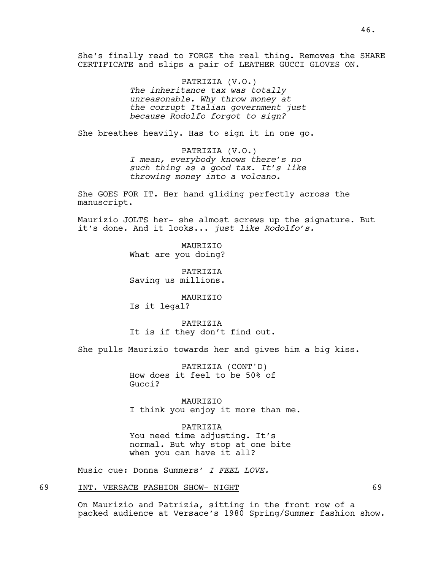She's finally read to FORGE the real thing. Removes the SHARE CERTIFICATE and slips a pair of LEATHER GUCCI GLOVES ON.

> PATRIZIA (V.O.) *The inheritance tax was totally unreasonable. Why throw money at the corrupt Italian government just because Rodolfo forgot to sign?*

She breathes heavily. Has to sign it in one go.

PATRIZIA (V.O.) *I mean, everybody knows there's no such thing as a good tax. It's like throwing money into a volcano.*

She GOES FOR IT. Her hand gliding perfectly across the manuscript.

Maurizio JOLTS her- she almost screws up the signature. But it's done. And it looks... *just like Rodolfo's.*

> MAURIZIO What are you doing?

PATRIZIA Saving us millions.

MAURIZIO Is it legal?

PATRIZIA It is if they don't find out.

She pulls Maurizio towards her and gives him a big kiss.

PATRIZIA (CONT'D) How does it feel to be 50% of Gucci?

MAURIZIO I think you enjoy it more than me.

PATRIZIA You need time adjusting. It's normal. But why stop at one bite when you can have it all?

Music cue: Donna Summers' *I FEEL LOVE.*

# 69 INT. VERSACE FASHION SHOW- NIGHT 69

On Maurizio and Patrizia, sitting in the front row of a packed audience at Versace's 1980 Spring/Summer fashion show.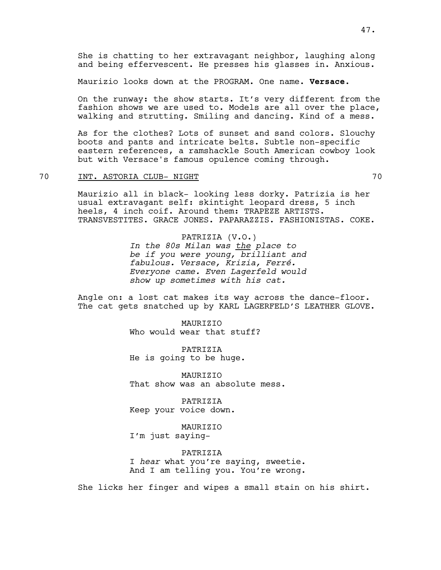She is chatting to her extravagant neighbor, laughing along and being effervescent. He presses his glasses in. Anxious.

Maurizio looks down at the PROGRAM. One name. **Versace.**

On the runway: the show starts. It's very different from the fashion shows we are used to. Models are all over the place, walking and strutting. Smiling and dancing. Kind of a mess.

As for the clothes? Lots of sunset and sand colors. Slouchy boots and pants and intricate belts. Subtle non-specific eastern references, a ramshackle South American cowboy look but with Versace's famous opulence coming through.

## 70 INT. ASTORIA CLUB- NIGHT 70

Maurizio all in black- looking less dorky. Patrizia is her usual extravagant self: skintight leopard dress, 5 inch heels, 4 inch coif. Around them: TRAPEZE ARTISTS. TRANSVESTITES. GRACE JONES. PAPARAZZIS. FASHIONISTAS. COKE.

> PATRIZIA (V.O.) *In the 80s Milan was the place to be if you were young, brilliant and fabulous. Versace, Krizia, Ferré. Everyone came. Even Lagerfeld would show up sometimes with his cat.*

Angle on: a lost cat makes its way across the dance-floor. The cat gets snatched up by KARL LAGERFELD'S LEATHER GLOVE.

> MAURIZIO Who would wear that stuff?

PATRIZIA He is going to be huge.

MAURIZIO That show was an absolute mess.

PATRIZIA Keep your voice down.

MAURIZIO I'm just saying-

PATRIZIA I *hear* what you're saying, sweetie. And I am telling you. You're wrong.

She licks her finger and wipes a small stain on his shirt.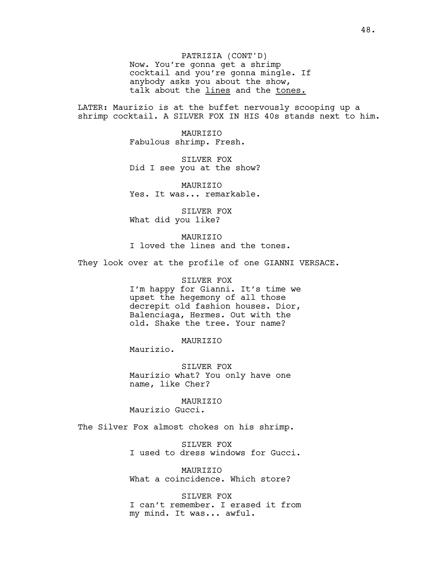PATRIZIA (CONT'D) Now. You're gonna get a shrimp cocktail and you're gonna mingle. If anybody asks you about the show, talk about the lines and the tones.

LATER: Maurizio is at the buffet nervously scooping up a shrimp cocktail. A SILVER FOX IN HIS 40s stands next to him.

> MAURIZIO Fabulous shrimp. Fresh.

SILVER FOX Did I see you at the show?

MAURIZIO Yes. It was... remarkable.

SILVER FOX What did you like?

MAURIZIO I loved the lines and the tones.

They look over at the profile of one GIANNI VERSACE.

SILVER FOX I'm happy for Gianni. It's time we upset the hegemony of all those decrepit old fashion houses. Dior, Balenciaga, Hermes. Out with the old. Shake the tree. Your name?

MAURIZIO

Maurizio.

SILVER FOX Maurizio what? You only have one name, like Cher?

MAURIZIO Maurizio Gucci.

The Silver Fox almost chokes on his shrimp.

SILVER FOX I used to dress windows for Gucci.

MAURIZIO What a coincidence. Which store?

SILVER FOX I can't remember. I erased it from my mind. It was... awful.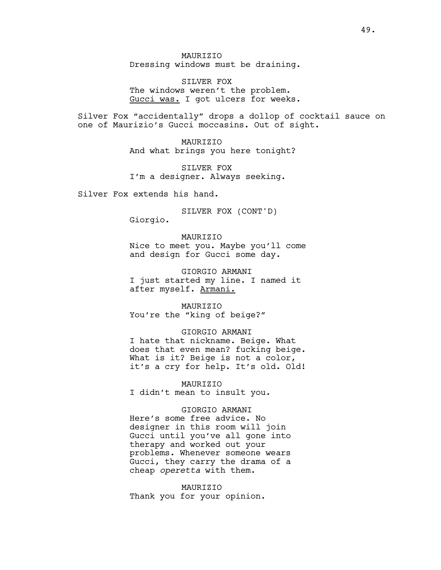MAURIZIO Dressing windows must be draining.

SILVER FOX The windows weren't the problem. Gucci was. I got ulcers for weeks.

Silver Fox "accidentally" drops a dollop of cocktail sauce on one of Maurizio's Gucci moccasins. Out of sight.

> MAURIZIO And what brings you here tonight?

SILVER FOX I'm a designer. Always seeking.

Silver Fox extends his hand.

SILVER FOX (CONT'D)

Giorgio.

## MAURIZIO

Nice to meet you. Maybe you'll come and design for Gucci some day.

GIORGIO ARMANI I just started my line. I named it after myself. Armani.

**MAURTZIO** You're the "king of beige?"

## GIORGIO ARMANI

I hate that nickname. Beige. What does that even mean? fucking beige. What is it? Beige is not a color, it's a cry for help. It's old. Old!

MAURIZIO I didn't mean to insult you.

# GIORGIO ARMANI

Here's some free advice. No designer in this room will join Gucci until you've all gone into therapy and worked out your problems. Whenever someone wears Gucci, they carry the drama of a cheap *operetta* with them.

MAURIZIO Thank you for your opinion.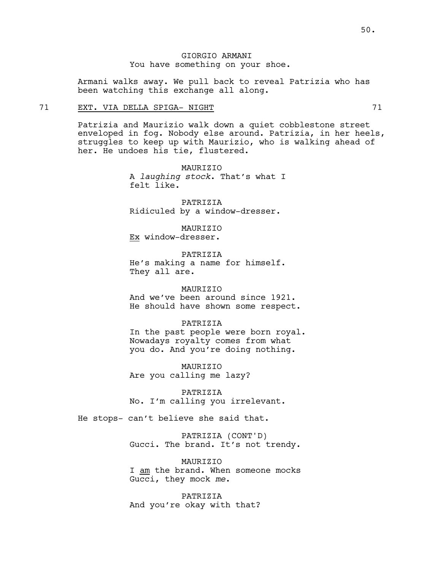Armani walks away. We pull back to reveal Patrizia who has been watching this exchange all along.

## 71 EXT. VIA DELLA SPIGA- NIGHT 71

Patrizia and Maurizio walk down a quiet cobblestone street enveloped in fog. Nobody else around. Patrizia, in her heels, struggles to keep up with Maurizio, who is walking ahead of her. He undoes his tie, flustered.

> **MAURTZTO** A *laughing stock*. That's what I felt like.

PATRIZIA Ridiculed by a window-dresser.

MAURIZIO Ex window-dresser.

PATRIZIA He's making a name for himself. They all are.

### MAURIZIO

And we've been around since 1921. He should have shown some respect.

#### PATRIZIA

In the past people were born royal. Nowadays royalty comes from what you do. And you're doing nothing.

MAURIZIO Are you calling me lazy?

PATRIZIA No. I'm calling you irrelevant.

He stops- can't believe she said that.

PATRIZIA (CONT'D) Gucci. The brand. It's not trendy.

MAURIZIO I am the brand. When someone mocks Gucci, they mock *me*.

PATRIZIA And you're okay with that?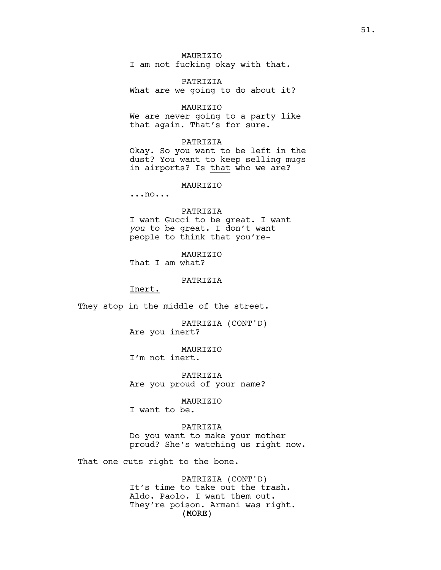MAURIZIO I am not fucking okay with that.

PATRIZIA What are we going to do about it?

MAURIZIO We are never going to a party like that again. That's for sure.

## PATRIZIA

Okay. So you want to be left in the dust? You want to keep selling mugs in airports? Is that who we are?

#### MAURIZIO

...no...

#### PATRIZIA

I want Gucci to be great. I want *you* to be great. I don't want people to think that you're-

MAURIZIO That I am what?

PATRIZIA

Inert.

They stop in the middle of the street.

PATRIZIA (CONT'D) Are you inert?

MAURIZIO I'm not inert.

PATRIZIA Are you proud of your name?

MAURIZIO

I want to be.

## PATRIZIA

Do you want to make your mother proud? She's watching us right now.

That one cuts right to the bone.

(MORE) PATRIZIA (CONT'D) It's time to take out the trash. Aldo. Paolo. I want them out. They're poison. Armani was right.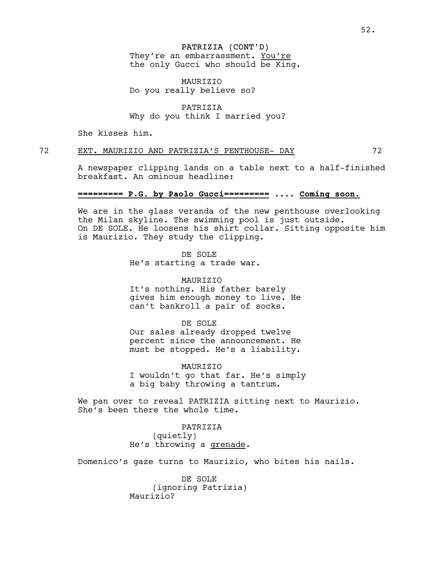# PATRIZIA (CONT'D)

They're an embarrassment. You're the only Gucci who should be King.

MAURIZIO Do you really believe so?

## PATRIZIA Why do you think I married you?

She kisses him.

# 72 EXT. MAURIZIO AND PATRIZIA'S PENTHOUSE- DAY 72

breakfast. An ominous headline:

A newspaper clipping lands on a table next to a half-finished

## **========= P.G. by Paolo Gucci=========** .... **Coming soon.**

We are in the glass veranda of the new penthouse overlooking the Milan skyline. The swimming pool is just outside. On DE SOLE. He loosens his shirt collar. Sitting opposite him is Maurizio. They study the clipping.

> DE SOLE He's starting a trade war.

MAURIZIO It's nothing. His father barely gives him enough money to live. He can't bankroll a pair of socks.

DE SOLE

Our sales already dropped twelve percent since the announcement. He must be stopped. He's a liability.

MAURIZIO I wouldn't go that far. He's simply a big baby throwing a tantrum.

We pan over to reveal PATRIZIA sitting next to Maurizio. She's been there the whole time.

> PATRIZIA (quietly) He's throwing a grenade.

Domenico's gaze turns to Maurizio, who bites his nails.

DE SOLE (ignoring Patrizia) Maurizio?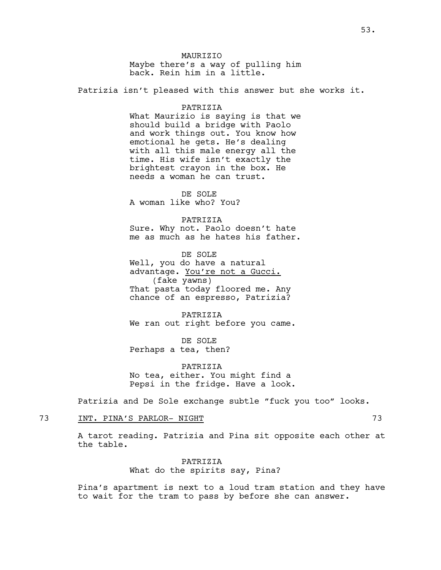**MAURTZIO** Maybe there's a way of pulling him back. Rein him in a little.

Patrizia isn't pleased with this answer but she works it.

#### PATRIZIA

What Maurizio is saying is that we should build a bridge with Paolo and work things out. You know how emotional he gets. He's dealing with all this male energy all the time. His wife isn't exactly the brightest crayon in the box. He needs a woman he can trust.

DE SOLE A woman like who? You?

PATRIZIA

Sure. Why not. Paolo doesn't hate me as much as he hates his father.

DE SOLE Well, you do have a natural advantage. You're not a Gucci. (fake yawns) That pasta today floored me. Any chance of an espresso, Patrizia?

PATRIZIA We ran out right before you came.

DE SOLE Perhaps a tea, then?

PATRIZIA No tea, either. You might find a Pepsi in the fridge. Have a look.

Patrizia and De Sole exchange subtle "fuck you too" looks.

## 73 INT. PINA'S PARLOR- NIGHT 73

A tarot reading. Patrizia and Pina sit opposite each other at the table.

> PATRIZIA What do the spirits say, Pina?

Pina's apartment is next to a loud tram station and they have to wait for the tram to pass by before she can answer.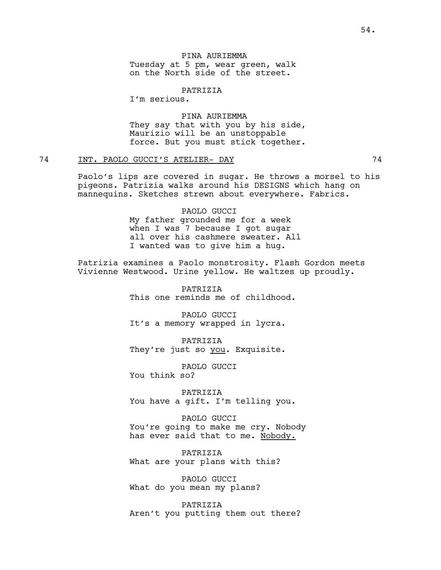PINA AURIEMMA Tuesday at 5 pm, wear green, walk on the North side of the street.

PATRIZIA

I'm serious.

# PINA AURIEMMA They say that with you by his side, Maurizio will be an unstoppable force. But you must stick together.

# 74 INT. PAOLO GUCCI'S ATELIER- DAY 74

Paolo's lips are covered in sugar. He throws a morsel to his pigeons. Patrizia walks around his DESIGNS which hang on mannequins. Sketches strewn about everywhere. Fabrics.

> PAOLO GUCCI My father grounded me for a week when I was 7 because I got sugar all over his cashmere sweater. All I wanted was to give him a hug.

Patrizia examines a Paolo monstrosity. Flash Gordon meets Vivienne Westwood. Urine yellow. He waltzes up proudly.

> PATRIZIA This one reminds me of childhood.

PAOLO GUCCI It's a memory wrapped in lycra.

PATRIZIA They're just so you. Exquisite.

PAOLO GUCCI You think so?

PATRIZIA You have a gift. I'm telling you.

PAOLO GUCCI You're going to make me cry. Nobody has ever said that to me. Nobody.

PATRIZIA What are your plans with this?

PAOLO GUCCI What do you mean my plans?

PATRIZIA Aren't you putting them out there?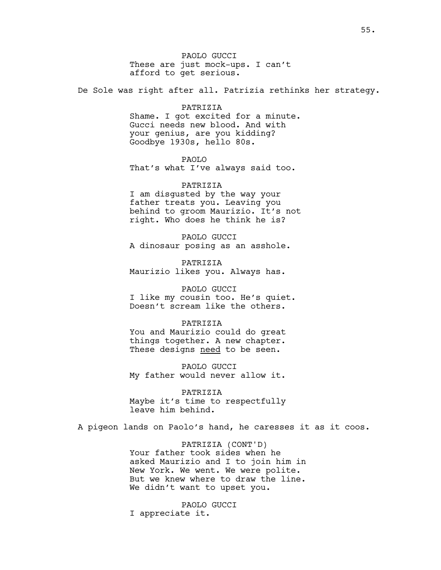PAOLO GUCCI These are just mock-ups. I can't afford to get serious.

De Sole was right after all. Patrizia rethinks her strategy.

## PATRIZIA

Shame. I got excited for a minute. Gucci needs new blood. And with your genius, are you kidding? Goodbye 1930s, hello 80s.

#### PAOLO

That's what I've always said too.

# PATRIZIA I am disgusted by the way your father treats you. Leaving you behind to groom Maurizio. It's not right. Who does he think he is?

PAOLO GUCCI A dinosaur posing as an asshole.

PATRIZIA Maurizio likes you. Always has.

# PAOLO GUCCI

I like my cousin too. He's quiet. Doesn't scream like the others.

## PATRIZIA

You and Maurizio could do great things together. A new chapter. These designs need to be seen.

PAOLO GUCCI My father would never allow it.

PATRIZIA Maybe it's time to respectfully leave him behind.

A pigeon lands on Paolo's hand, he caresses it as it coos.

PATRIZIA (CONT'D) Your father took sides when he asked Maurizio and I to join him in New York. We went. We were polite. But we knew where to draw the line. We didn't want to upset you.

PAOLO GUCCI I appreciate it.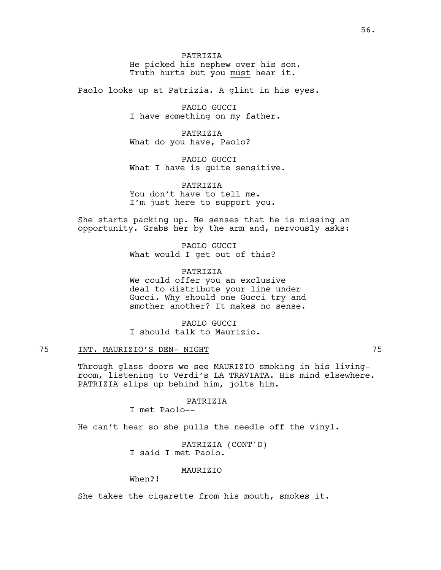PATRIZIA He picked his nephew over his son. Truth hurts but you must hear it.

Paolo looks up at Patrizia. A glint in his eyes.

PAOLO GUCCI I have something on my father.

PATRIZIA What do you have, Paolo?

PAOLO GUCCI What I have is quite sensitive.

PATRIZIA You don't have to tell me. I'm just here to support you.

She starts packing up. He senses that he is missing an opportunity. Grabs her by the arm and, nervously asks:

> PAOLO GUCCI What would I get out of this?

PATRIZIA We could offer you an exclusive deal to distribute your line under Gucci. Why should one Gucci try and smother another? It makes no sense.

PAOLO GUCCI I should talk to Maurizio.

# 75 INT. MAURIZIO'S DEN- NIGHT 75

Through glass doors we see MAURIZIO smoking in his livingroom, listening to Verdi's LA TRAVIATA. His mind elsewhere. PATRIZIA slips up behind him, jolts him.

PATRIZIA

I met Paolo--

He can't hear so she pulls the needle off the vinyl.

PATRIZIA (CONT'D) I said I met Paolo.

MAURIZIO

When?!

She takes the cigarette from his mouth, smokes it.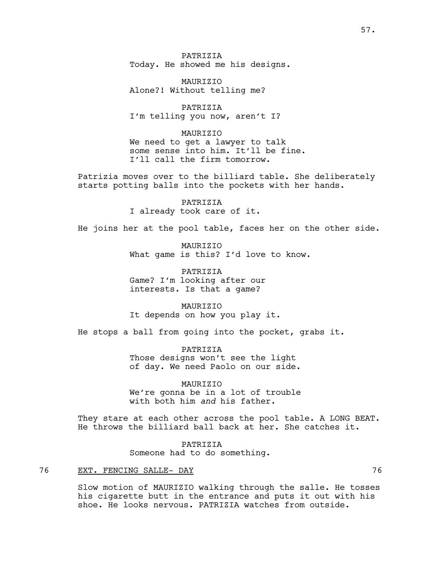PATRIZIA Today. He showed me his designs.

MAURIZIO Alone?! Without telling me?

PATRIZIA I'm telling you now, aren't I?

MAURIZIO We need to get a lawyer to talk some sense into him. It'll be fine. I'll call the firm tomorrow.

Patrizia moves over to the billiard table. She deliberately starts potting balls into the pockets with her hands.

> PATRIZIA I already took care of it.

He joins her at the pool table, faces her on the other side.

MAURIZIO What game is this? I'd love to know.

PATRIZIA Game? I'm looking after our interests. Is that a game?

**MAURTZTO** It depends on how you play it.

He stops a ball from going into the pocket, grabs it.

PATRIZIA Those designs won't see the light of day. We need Paolo on our side.

MAURIZIO We're gonna be in a lot of trouble with both him *and* his father.

They stare at each other across the pool table. A LONG BEAT. He throws the billiard ball back at her. She catches it.

> PATRIZIA Someone had to do something.

### 76 EXT. FENCING SALLE- DAY 76

Slow motion of MAURIZIO walking through the salle. He tosses his cigarette butt in the entrance and puts it out with his shoe. He looks nervous. PATRIZIA watches from outside.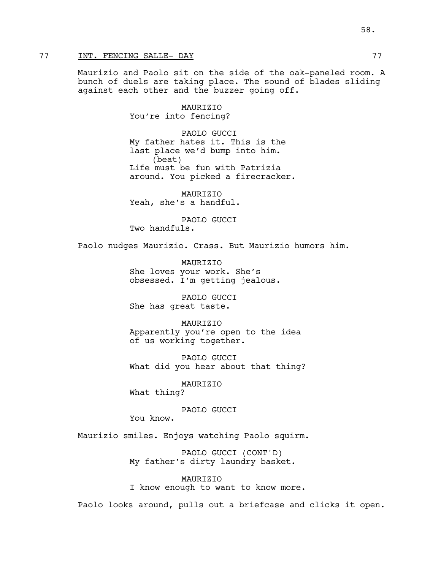# 77 INT. FENCING SALLE- DAY 77

Maurizio and Paolo sit on the side of the oak-paneled room. A bunch of duels are taking place. The sound of blades sliding against each other and the buzzer going off.

> MAURIZIO You're into fencing?

PAOLO GUCCI My father hates it. This is the last place we'd bump into him. (beat) Life must be fun with Patrizia around. You picked a firecracker.

MAURIZIO Yeah, she's a handful.

PAOLO GUCCI Two handfuls.

Paolo nudges Maurizio. Crass. But Maurizio humors him.

**MAURTZTO** She loves your work. She's obsessed. I'm getting jealous.

PAOLO GUCCI She has great taste.

MAURIZIO Apparently you're open to the idea of us working together.

PAOLO GUCCI What did you hear about that thing?

MAURIZIO What thing?

PAOLO GUCCI You know.

Maurizio smiles. Enjoys watching Paolo squirm.

PAOLO GUCCI (CONT'D) My father's dirty laundry basket.

MAURIZIO I know enough to want to know more.

Paolo looks around, pulls out a briefcase and clicks it open.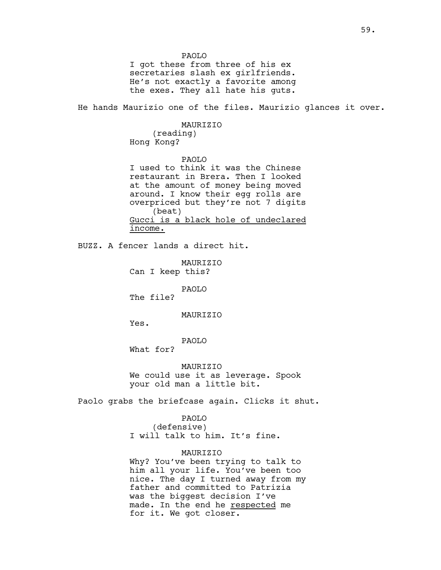PAOLO I got these from three of his ex secretaries slash ex girlfriends. He's not exactly a favorite among the exes. They all hate his guts. He hands Maurizio one of the files. Maurizio glances it over. MAURIZIO (reading) Hong Kong? PAOLO I used to think it was the Chinese restaurant in Brera. Then I looked at the amount of money being moved around. I know their egg rolls are overpriced but they're not 7 digits (beat) Gucci is a black hole of undeclared income. BUZZ. A fencer lands a direct hit. MAURIZIO Can I keep this? PAOLO The file? MAURIZIO Yes. PAOLO What for? MAURIZIO We could use it as leverage. Spook your old man a little bit. Paolo grabs the briefcase again. Clicks it shut. PAOLO (defensive) I will talk to him. It's fine. MAURIZIO Why? You've been trying to talk to him all your life. You've been too nice. The day I turned away from my father and committed to Patrizia

> was the biggest decision I've made. In the end he respected me

for it. We got closer.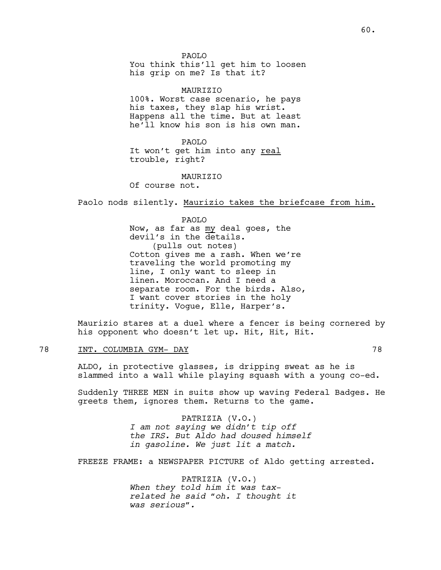PAOLO You think this'll get him to loosen his grip on me? Is that it?

MAURIZIO 100%. Worst case scenario, he pays his taxes, they slap his wrist. Happens all the time. But at least he'll know his son is his own man.

PAOLO It won't get him into any real trouble, right?

MAURIZIO

Of course not.

Paolo nods silently. Maurizio takes the briefcase from him.

PAOLO Now, as far as my deal goes, the devil's in the details. (pulls out notes) Cotton gives me a rash. When we're traveling the world promoting my line, I only want to sleep in linen. Moroccan. And I need a separate room. For the birds. Also, I want cover stories in the holy trinity. Vogue, Elle, Harper's.

Maurizio stares at a duel where a fencer is being cornered by his opponent who doesn't let up. Hit, Hit, Hit.

# 78 INT. COLUMBIA GYM- DAY 78

ALDO, in protective glasses, is dripping sweat as he is slammed into a wall while playing squash with a young co-ed.

Suddenly THREE MEN in suits show up waving Federal Badges. He greets them, ignores them. Returns to the game.

> PATRIZIA (V.O.) *I am not saying we didn't tip off the IRS. But Aldo had doused himself in gasoline. We just lit a match.*

FREEZE FRAME: a NEWSPAPER PICTURE of Aldo getting arrested.

PATRIZIA (V.O.) *When they told him it was taxrelated he said "oh. I thought it was serious".*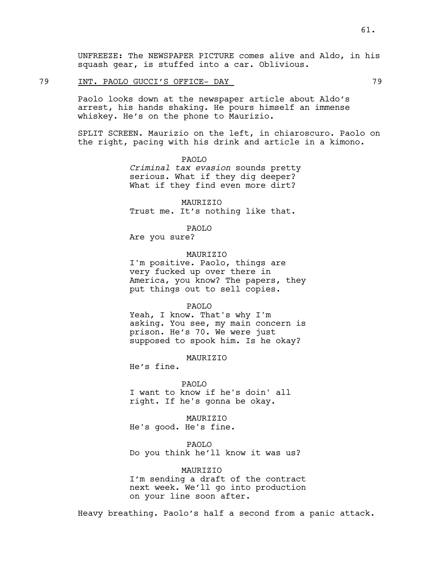UNFREEZE: The NEWSPAPER PICTURE comes alive and Aldo, in his squash gear, is stuffed into a car. Oblivious.

# 79 INT. PAOLO GUCCI'S OFFICE- DAY 79

Paolo looks down at the newspaper article about Aldo's arrest, his hands shaking. He pours himself an immense whiskey. He's on the phone to Maurizio.

SPLIT SCREEN. Maurizio on the left, in chiaroscuro. Paolo on the right, pacing with his drink and article in a kimono.

> PAOLO *Criminal tax evasion* sounds pretty serious. What if they dig deeper? What if they find even more dirt?

MAURIZIO Trust me. It's nothing like that.

PAOLO

Are you sure?

MAURIZIO

I'm positive. Paolo, things are very fucked up over there in America, you know? The papers, they put things out to sell copies.

PAOLO

Yeah, I know. That's why I'm asking. You see, my main concern is prison. He's 70. We were just supposed to spook him. Is he okay?

**MAURTZTO** 

He's fine.

PAOLO

I want to know if he's doin' all right. If he's gonna be okay.

 MAURIZIO He's good. He's fine.

PAOLO

Do you think he'll know it was us?

MAURIZIO I'm sending a draft of the contract next week. We'll go into production on your line soon after.

Heavy breathing. Paolo's half a second from a panic attack.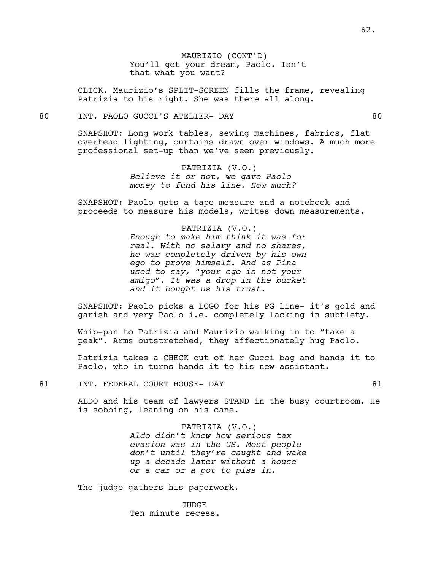CLICK. Maurizio's SPLIT-SCREEN fills the frame, revealing Patrizia to his right. She was there all along.

### 80 INT. PAOLO GUCCI'S ATELIER- DAY 60

SNAPSHOT: Long work tables, sewing machines, fabrics, flat overhead lighting, curtains drawn over windows. A much more professional set-up than we've seen previously.

> PATRIZIA (V.O.) *Believe it or not, we gave Paolo money to fund his line. How much?*

SNAPSHOT: Paolo gets a tape measure and a notebook and proceeds to measure his models, writes down measurements.

> PATRIZIA (V.O.) *Enough to make him think it was for real. With no salary and no shares, he was completely driven by his own ego to prove himself. And as Pina used to say, "your ego is not your amigo". It was a drop in the bucket and it bought us his trust.*

SNAPSHOT: Paolo picks a LOGO for his PG line- it's gold and garish and very Paolo i.e. completely lacking in subtlety.

Whip-pan to Patrizia and Maurizio walking in to "take a peak". Arms outstretched, they affectionately hug Paolo.

Patrizia takes a CHECK out of her Gucci bag and hands it to Paolo, who in turns hands it to his new assistant.

## 81 INT. FEDERAL COURT HOUSE- DAY 61

ALDO and his team of lawyers STAND in the busy courtroom. He is sobbing, leaning on his cane.

PATRIZIA (V.O.)

*Aldo didn't know how serious tax evasion was in the US. Most people don't until they're caught and wake up a decade later without a house or a car or a pot to piss in.*

The judge gathers his paperwork.

JUDGE Ten minute recess.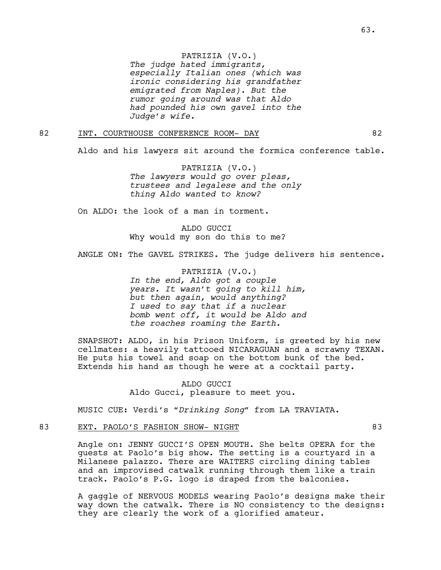PATRIZIA (V.O.)

*The judge hated immigrants, especially Italian ones (which was ironic considering his grandfather emigrated from Naples). But the rumor going around was that Aldo had pounded his own gavel into the Judge's wife.*

## 82 INT. COURTHOUSE CONFERENCE ROOM- DAY 62

Aldo and his lawyers sit around the formica conference table.

PATRIZIA (V.O.) *The lawyers would go over pleas, trustees and legalese and the only thing Aldo wanted to know?* 

On ALDO: the look of a man in torment.

ALDO GUCCI Why would my son do this to me?

ANGLE ON: The GAVEL STRIKES. The judge delivers his sentence.

PATRIZIA (V.O.) *In the end, Aldo got a couple years. It wasn't going to kill him, but then again, would anything? I used to say that if a nuclear bomb went off, it would be Aldo and the roaches roaming the Earth.*

SNAPSHOT: ALDO, in his Prison Uniform, is greeted by his new cellmates: a heavily tattooed NICARAGUAN and a scrawny TEXAN. He puts his towel and soap on the bottom bunk of the bed. Extends his hand as though he were at a cocktail party.

> ALDO GUCCI Aldo Gucci, pleasure to meet you.

MUSIC CUE: Verdi's *"Drinking Song"* from LA TRAVIATA.

## 83 EXT. PAOLO'S FASHION SHOW- NIGHT 83

Angle on: JENNY GUCCI'S OPEN MOUTH. She belts OPERA for the guests at Paolo's big show. The setting is a courtyard in a Milanese palazzo. There are WAITERS circling dining tables and an improvised catwalk running through them like a train track. Paolo's P.G. logo is draped from the balconies.

A gaggle of NERVOUS MODELS wearing Paolo's designs make their way down the catwalk. There is NO consistency to the designs: they are clearly the work of a glorified amateur.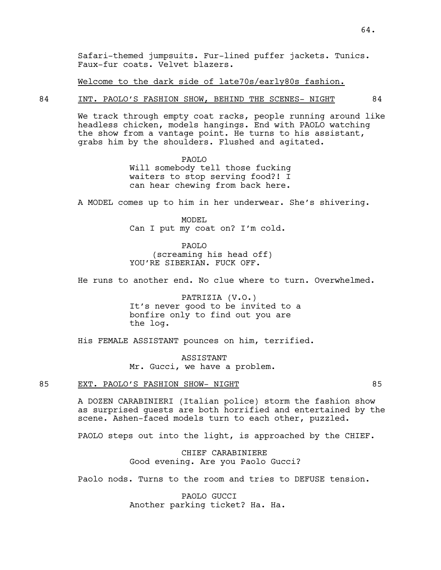Welcome to the dark side of late70s/early80s fashion.

## 84 INT. PAOLO'S FASHION SHOW, BEHIND THE SCENES- NIGHT 84

We track through empty coat racks, people running around like headless chicken, models hangings. End with PAOLO watching the show from a vantage point. He turns to his assistant, grabs him by the shoulders. Flushed and agitated.

> PAOLO Will somebody tell those fucking waiters to stop serving food?! I can hear chewing from back here.

A MODEL comes up to him in her underwear. She's shivering.

MODEL Can I put my coat on? I'm cold.

PAOLO (screaming his head off) YOU'RE SIBERIAN. FUCK OFF.

He runs to another end. No clue where to turn. Overwhelmed.

PATRIZIA (V.O.) It's never good to be invited to a bonfire only to find out you are the log.

His FEMALE ASSISTANT pounces on him, terrified.

ASSISTANT Mr. Gucci, we have a problem.

### 85 EXT. PAOLO'S FASHION SHOW- NIGHT 85

A DOZEN CARABINIERI (Italian police) storm the fashion show as surprised guests are both horrified and entertained by the scene. Ashen-faced models turn to each other, puzzled.

PAOLO steps out into the light, is approached by the CHIEF.

CHIEF CARABINIERE Good evening. Are you Paolo Gucci?

Paolo nods. Turns to the room and tries to DEFUSE tension.

PAOLO GUCCI Another parking ticket? Ha. Ha.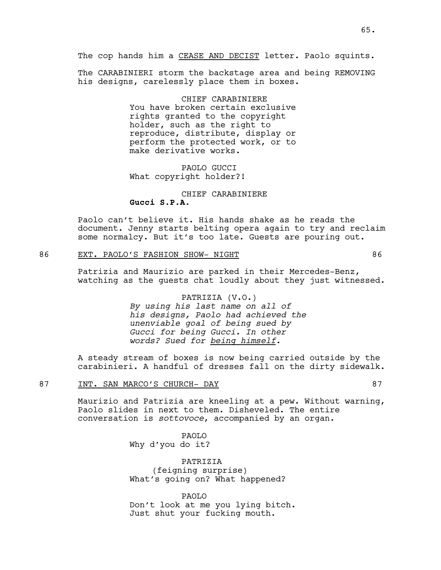The CARABINIERI storm the backstage area and being REMOVING his designs, carelessly place them in boxes.

> CHIEF CARABINIERE You have broken certain exclusive rights granted to the copyright holder, such as the right to reproduce, distribute, display or perform the protected work, or to make derivative works.

PAOLO GUCCI What copyright holder?!

# CHIEF CARABINIERE **Gucci S.P.A.**

Paolo can't believe it. His hands shake as he reads the document. Jenny starts belting opera again to try and reclaim some normalcy. But it's too late. Guests are pouring out.

# 86 EXT. PAOLO'S FASHION SHOW- NIGHT 86

Patrizia and Maurizio are parked in their Mercedes-Benz, watching as the guests chat loudly about they just witnessed.

# PATRIZIA (V.O.) *By using his last name on all of his designs, Paolo had achieved the unenviable goal of being sued by Gucci for being Gucci. In other words? Sued for being himself.*

A steady stream of boxes is now being carried outside by the carabinieri. A handful of dresses fall on the dirty sidewalk.

## 87 INT. SAN MARCO'S CHURCH- DAY 87

Maurizio and Patrizia are kneeling at a pew. Without warning, Paolo slides in next to them. Disheveled. The entire conversation is *sottovoce*, accompanied by an organ.

> PAOLO Why d'you do it?

PATRIZIA (feigning surprise) What's going on? What happened?

PAOLO Don't look at me you lying bitch. Just shut your fucking mouth.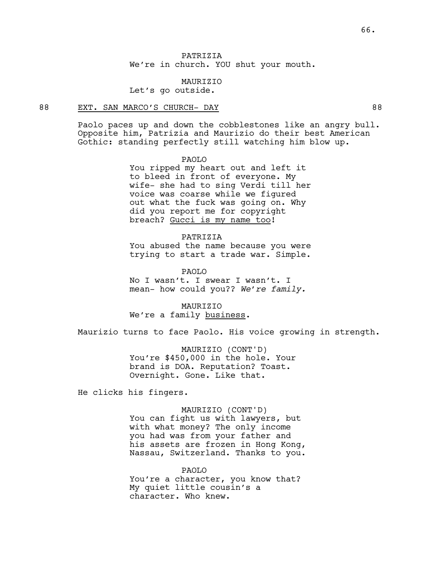PATRIZIA We're in church. YOU shut your mouth.

MAURIZIO Let's go outside.

## 88 EXT. SAN MARCO'S CHURCH- DAY 88

Paolo paces up and down the cobblestones like an angry bull. Opposite him, Patrizia and Maurizio do their best American Gothic: standing perfectly still watching him blow up.

### PAOLO

You ripped my heart out and left it to bleed in front of everyone. My wife- she had to sing Verdi till her voice was coarse while we figured out what the fuck was going on. Why did you report me for copyright breach? Gucci is my name too!

#### PATRIZIA

You abused the name because you were trying to start a trade war. Simple.

PAOLO No I wasn't. I swear I wasn't. I mean- how could you?? *We're family.* 

**MAURTZTO** We're a family business.

Maurizio turns to face Paolo. His voice growing in strength.

MAURIZIO (CONT'D) You're \$450,000 in the hole. Your brand is DOA. Reputation? Toast. Overnight. Gone. Like that.

He clicks his fingers.

#### MAURIZIO (CONT'D)

You can fight us with lawyers, but with what money? The only income you had was from your father and his assets are frozen in Hong Kong, Nassau, Switzerland. Thanks to you.

PAOLO You're a character, you know that? My quiet little cousin's a character. Who knew.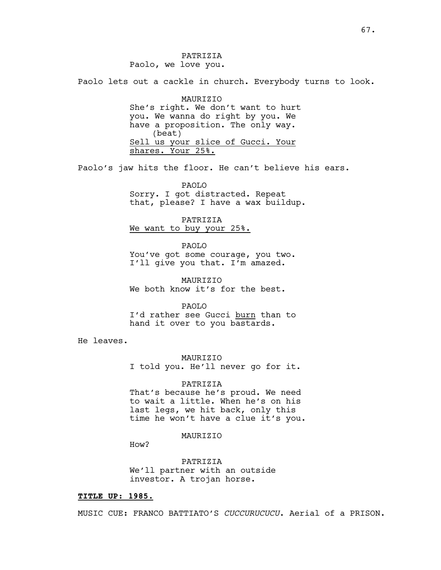Paolo lets out a cackle in church. Everybody turns to look.

MAURIZIO She's right. We don't want to hurt you. We wanna do right by you. We have a proposition. The only way. (beat) Sell us your slice of Gucci. Your shares. Your 25%.

Paolo's jaw hits the floor. He can't believe his ears.

PAOLO Sorry. I got distracted. Repeat that, please? I have a wax buildup.

PATRIZIA We want to buy your 25%.

PAOLO You've got some courage, you two. I'll give you that. I'm amazed.

MAURIZIO We both know it's for the best.

PAOLO I'd rather see Gucci burn than to hand it over to you bastards.

He leaves.

MAURIZIO I told you. He'll never go for it.

PATRIZIA That's because he's proud. We need to wait a little. When he's on his

last legs, we hit back, only this time he won't have a clue it's you.

MAURIZIO

How?

PATRIZIA We'll partner with an outside investor. A trojan horse.

#### **TITLE UP: 1985.**

MUSIC CUE: FRANCO BATTIATO'S *CUCCURUCUCU*. Aerial of a PRISON.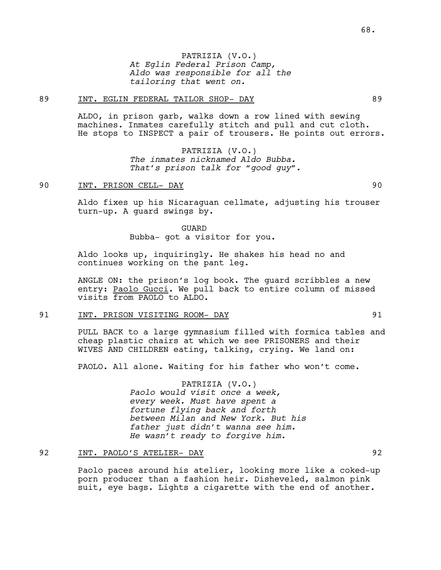PATRIZIA (V.O.) *At Eglin Federal Prison Camp, Aldo was responsible for all the tailoring that went on.*

## 89 INT. EGLIN FEDERAL TAILOR SHOP- DAY 89

ALDO, in prison garb, walks down a row lined with sewing machines. Inmates carefully stitch and pull and cut cloth. He stops to INSPECT a pair of trousers. He points out errors.

> PATRIZIA (V.O.) *The inmates nicknamed Aldo Bubba. That's prison talk for "good guy".*

### 90 INT. PRISON CELL- DAY 90

Aldo fixes up his Nicaraguan cellmate, adjusting his trouser turn-up. A guard swings by.

> GUARD Bubba- got a visitor for you.

Aldo looks up, inquiringly. He shakes his head no and continues working on the pant leg.

ANGLE ON: the prison's log book. The guard scribbles a new entry: Paolo Gucci. We pull back to entire column of missed visits from PAOLO to ALDO.

## 91 INT. PRISON VISITING ROOM- DAY 91

PULL BACK to a large gymnasium filled with formica tables and cheap plastic chairs at which we see PRISONERS and their WIVES AND CHILDREN eating, talking, crying. We land on:

PAOLO. All alone. Waiting for his father who won't come.

PATRIZIA (V.O.) *Paolo would visit once a week, every week. Must have spent a fortune flying back and forth between Milan and New York. But his father just didn't wanna see him. He wasn't ready to forgive him.*

## 92 INT. PAOLO'S ATELIER- DAY 92

Paolo paces around his atelier, looking more like a coked-up porn producer than a fashion heir. Disheveled, salmon pink suit, eye bags. Lights a cigarette with the end of another.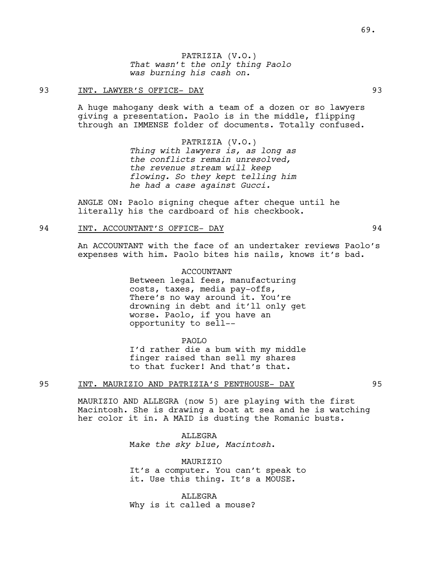### 93 INT. LAWYER'S OFFICE- DAY 93

A huge mahogany desk with a team of a dozen or so lawyers giving a presentation. Paolo is in the middle, flipping through an IMMENSE folder of documents. Totally confused.

> PATRIZIA (V.O.) *Thing with lawyers is, as long as the conflicts remain unresolved, the revenue stream will keep flowing. So they kept telling him he had a case against Gucci.*

ANGLE ON: Paolo signing cheque after cheque until he literally his the cardboard of his checkbook.

## 94 INT. ACCOUNTANT'S OFFICE- DAY 94

An ACCOUNTANT with the face of an undertaker reviews Paolo's expenses with him. Paolo bites his nails, knows it's bad.

> ACCOUNTANT Between legal fees, manufacturing costs, taxes, media pay-offs, There's no way around it. You're drowning in debt and it'll only get worse. Paolo, if you have an opportunity to sell--

PAOLO I'd rather die a bum with my middle finger raised than sell my shares to that fucker! And that's that.

## 95 INT. MAURIZIO AND PATRIZIA'S PENTHOUSE- DAY 95

MAURIZIO AND ALLEGRA (now 5) are playing with the first Macintosh. She is drawing a boat at sea and he is watching her color it in. A MAID is dusting the Romanic busts.

> ALLEGRA M*ake the sky blue, Macintosh*.

MAURIZIO It's a computer. You can't speak to it. Use this thing. It's a MOUSE.

ALLEGRA Why is it called a mouse?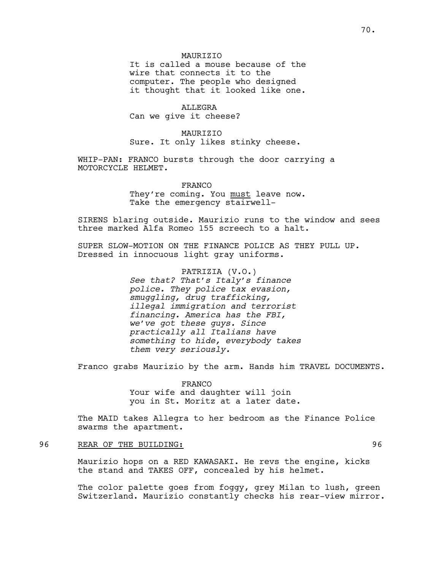## **MAURTZTO**

It is called a mouse because of the wire that connects it to the computer. The people who designed it thought that it looked like one.

ALLEGRA Can we give it cheese?

MAURIZIO Sure. It only likes stinky cheese.

WHIP-PAN: FRANCO bursts through the door carrying a MOTORCYCLE HELMET.

> FRANCO They're coming. You must leave now. Take the emergency stairwell-

SIRENS blaring outside. Maurizio runs to the window and sees three marked Alfa Romeo 155 screech to a halt.

SUPER SLOW-MOTION ON THE FINANCE POLICE AS THEY PULL UP. Dressed in innocuous light gray uniforms.

> PATRIZIA (V.O.) *See that? That's Italy's finance police. They police tax evasion, smuggling, drug trafficking, illegal immigration and terrorist financing. America has the FBI, we've got these guys. Since practically all Italians have something to hide, everybody takes them very seriously.*

Franco grabs Maurizio by the arm. Hands him TRAVEL DOCUMENTS.

FRANCO Your wife and daughter will join you in St. Moritz at a later date.

The MAID takes Allegra to her bedroom as the Finance Police swarms the apartment.

96 REAR OF THE BUILDING: 96

Maurizio hops on a RED KAWASAKI. He revs the engine, kicks the stand and TAKES OFF, concealed by his helmet.

The color palette goes from foggy, grey Milan to lush, green Switzerland. Maurizio constantly checks his rear-view mirror.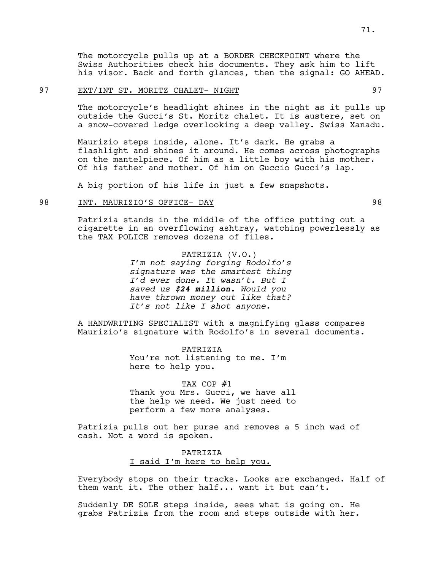The motorcycle pulls up at a BORDER CHECKPOINT where the Swiss Authorities check his documents. They ask him to lift his visor. Back and forth glances, then the signal: GO AHEAD.

### 97 EXT/INT ST. MORITZ CHALET- NIGHT 97

The motorcycle's headlight shines in the night as it pulls up outside the Gucci's St. Moritz chalet. It is austere, set on a snow-covered ledge overlooking a deep valley. Swiss Xanadu.

Maurizio steps inside, alone. It's dark. He grabs a flashlight and shines it around. He comes across photographs on the mantelpiece. Of him as a little boy with his mother. Of his father and mother. Of him on Guccio Gucci's lap.

A big portion of his life in just a few snapshots.

## 98 INT. MAURIZIO'S OFFICE- DAY 98

Patrizia stands in the middle of the office putting out a cigarette in an overflowing ashtray, watching powerlessly as the TAX POLICE removes dozens of files.

> PATRIZIA (V.O.) *I'm not saying forging Rodolfo's signature was the smartest thing I'd ever done. It wasn't. But I saved us \$24 million. Would you have thrown money out like that? It's not like I shot anyone.*

A HANDWRITING SPECIALIST with a magnifying glass compares Maurizio's signature with Rodolfo's in several documents.

> PATRIZIA You're not listening to me. I'm here to help you.

TAX COP #1 Thank you Mrs. Gucci, we have all the help we need. We just need to perform a few more analyses.

Patrizia pulls out her purse and removes a 5 inch wad of cash. Not a word is spoken.

# PATRIZIA I said I'm here to help you.

Everybody stops on their tracks. Looks are exchanged. Half of them want it. The other half... want it but can't.

Suddenly DE SOLE steps inside, sees what is going on. He grabs Patrizia from the room and steps outside with her.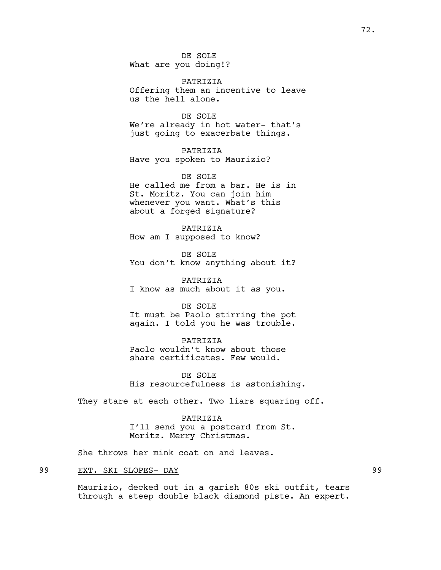DE SOLE What are you doing!?

PATRIZIA Offering them an incentive to leave us the hell alone.

DE SOLE We're already in hot water- that's just going to exacerbate things.

PATRIZIA Have you spoken to Maurizio?

DE SOLE He called me from a bar. He is in St. Moritz. You can join him whenever you want. What's this about a forged signature?

PATRIZIA How am I supposed to know?

DE SOLE You don't know anything about it?

PATRIZIA I know as much about it as you.

DE SOLE It must be Paolo stirring the pot again. I told you he was trouble.

PATRIZIA Paolo wouldn't know about those share certificates. Few would.

DE SOLE His resourcefulness is astonishing.

They stare at each other. Two liars squaring off.

PATRIZIA I'll send you a postcard from St. Moritz. Merry Christmas.

She throws her mink coat on and leaves.

## 99 EXT. SKI SLOPES- DAY 99

Maurizio, decked out in a garish 80s ski outfit, tears through a steep double black diamond piste. An expert.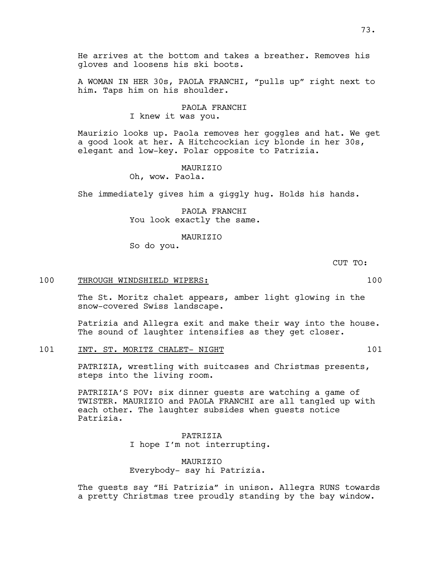He arrives at the bottom and takes a breather. Removes his gloves and loosens his ski boots.

A WOMAN IN HER 30s, PAOLA FRANCHI, "pulls up" right next to him. Taps him on his shoulder.

#### PAOLA FRANCHI

I knew it was you.

Maurizio looks up. Paola removes her goggles and hat. We get a good look at her. A Hitchcockian icy blonde in her 30s, elegant and low-key. Polar opposite to Patrizia.

#### **MAURTZTO**

Oh, wow. Paola.

She immediately gives him a giggly hug. Holds his hands.

PAOLA FRANCHI You look exactly the same.

MAURIZIO

So do you.

CUT TO:

## 100 THROUGH WINDSHIELD WIPERS: 100

The St. Moritz chalet appears, amber light glowing in the snow-covered Swiss landscape.

Patrizia and Allegra exit and make their way into the house. The sound of laughter intensifies as they get closer.

101 INT. ST. MORITZ CHALET- NIGHT 101

PATRIZIA, wrestling with suitcases and Christmas presents, steps into the living room.

PATRIZIA'S POV: six dinner guests are watching a game of TWISTER. MAURIZIO and PAOLA FRANCHI are all tangled up with each other. The laughter subsides when guests notice Patrizia.

> PATRIZIA I hope I'm not interrupting.

MAURIZIO Everybody- say hi Patrizia.

The guests say "Hi Patrizia" in unison. Allegra RUNS towards a pretty Christmas tree proudly standing by the bay window.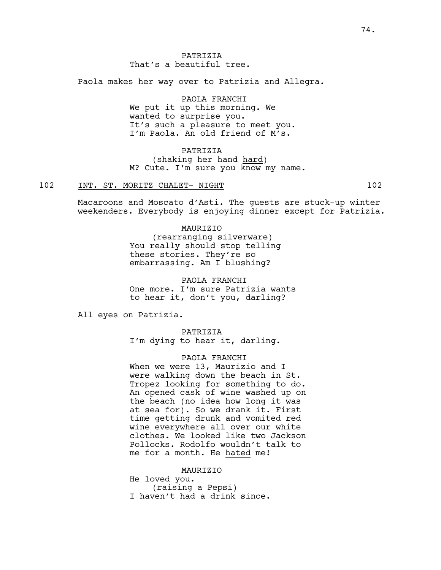Paola makes her way over to Patrizia and Allegra.

PAOLA FRANCHI We put it up this morning. We wanted to surprise you. It's such a pleasure to meet you. I'm Paola. An old friend of M's.

# PATRIZIA (shaking her hand hard) M? Cute. I'm sure you know my name.

## 102 INT. ST. MORITZ CHALET- NIGHT 102

Macaroons and Moscato d'Asti. The guests are stuck-up winter weekenders. Everybody is enjoying dinner except for Patrizia.

# MAURIZIO

(rearranging silverware) You really should stop telling these stories. They're so embarrassing. Am I blushing?

PAOLA FRANCHI One more. I'm sure Patrizia wants to hear it, don't you, darling?

All eyes on Patrizia.

PATRIZIA I'm dying to hear it, darling.

#### PAOLA FRANCHI

When we were 13, Maurizio and I were walking down the beach in St. Tropez looking for something to do. An opened cask of wine washed up on the beach (no idea how long it was at sea for). So we drank it. First time getting drunk and vomited red wine everywhere all over our white clothes. We looked like two Jackson Pollocks. Rodolfo wouldn't talk to me for a month. He hated me!

MAURIZIO

He loved you. (raising a Pepsi) I haven't had a drink since.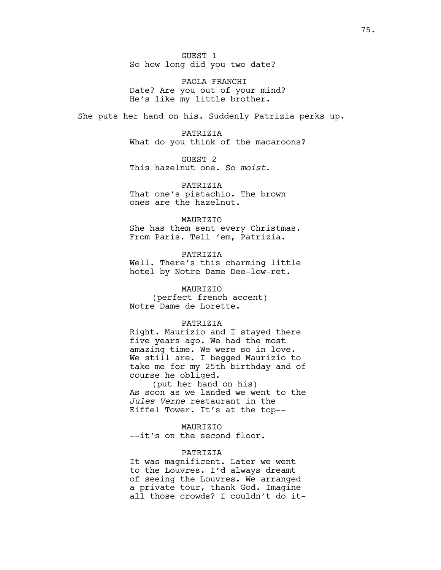GUEST 1 So how long did you two date?

PAOLA FRANCHI Date? Are you out of your mind? He's like my little brother.

She puts her hand on his. Suddenly Patrizia perks up.

PATRIZIA What do you think of the macaroons?

GUEST 2 This hazelnut one. So *moist*.

PATRIZIA That one's pistachio. The brown ones are the hazelnut.

#### MAURIZIO

She has them sent every Christmas. From Paris. Tell 'em, Patrizia.

## PATRIZIA

Well. There's this charming little hotel by Notre Dame Dee-low-ret.

## MAURIZIO

(perfect french accent) Notre Dame de Lorette.

## PATRIZIA

Right. Maurizio and I stayed there five years ago. We had the most amazing time. We were so in love. We still are. I begged Maurizio to take me for my 25th birthday and of course he obliged.

(put her hand on his) As soon as we landed we went to the *Jules Verne* restaurant in the Eiffel Tower. It's at the top--

## MAURIZIO

--it's on the second floor.

## PATRIZIA

It was magnificent. Later we went to the Louvres. I'd always dreamt of seeing the Louvres. We arranged a private tour, thank God. Imagine all those crowds? I couldn't do it-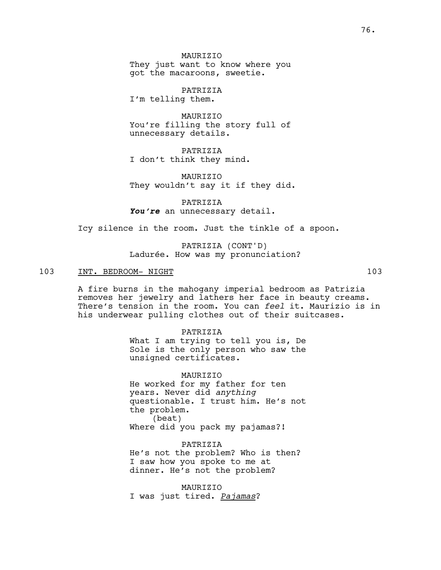**MAURTZTO** They just want to know where you got the macaroons, sweetie.

PATRIZIA I'm telling them.

MAURIZIO You're filling the story full of unnecessary details.

PATRIZIA I don't think they mind.

MAURIZIO They wouldn't say it if they did.

PATRIZIA You're an unnecessary detail.

Icy silence in the room. Just the tinkle of a spoon.

PATRIZIA (CONT'D) Ladurée. How was my pronunciation?

## 103 INT. BEDROOM- NIGHT 103

A fire burns in the mahogany imperial bedroom as Patrizia removes her jewelry and lathers her face in beauty creams. There's tension in the room. You can *feel* it. Maurizio is in his underwear pulling clothes out of their suitcases.

> PATRIZIA What I am trying to tell you is, De Sole is the only person who saw the unsigned certificates.

> MAURIZIO He worked for my father for ten years. Never did *anything* questionable. I trust him. He's not the problem. (beat) Where did you pack my pajamas?!

PATRIZIA He's not the problem? Who is then? I saw how you spoke to me at dinner. He's not the problem?

MAURIZIO I was just tired. *Pajamas*?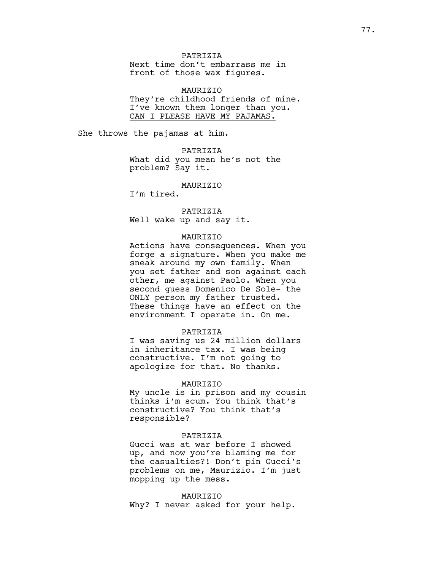PATRIZIA Next time don't embarrass me in front of those wax figures.

MAURIZIO They're childhood friends of mine. I've known them longer than you. CAN I PLEASE HAVE MY PAJAMAS.

She throws the pajamas at him.

PATRIZIA What did you mean he's not the problem? Say it.

MAURIZIO

I'm tired.

PATRIZIA Well wake up and say it.

#### MAURIZIO

Actions have consequences. When you forge a signature. When you make me sneak around my own family. When you set father and son against each other, me against Paolo. When you second guess Domenico De Sole- the ONLY person my father trusted. These things have an effect on the environment I operate in. On me.

#### PATRIZIA

I was saving us 24 million dollars in inheritance tax. I was being constructive. I'm not going to apologize for that. No thanks.

#### MAURIZIO

My uncle is in prison and my cousin thinks i'm scum. You think that's constructive? You think that's responsible?

# PATRIZIA

Gucci was at war before I showed up, and now you're blaming me for the casualties?! Don't pin Gucci's problems on me, Maurizio. I'm just mopping up the mess.

## MAURIZIO

Why? I never asked for your help.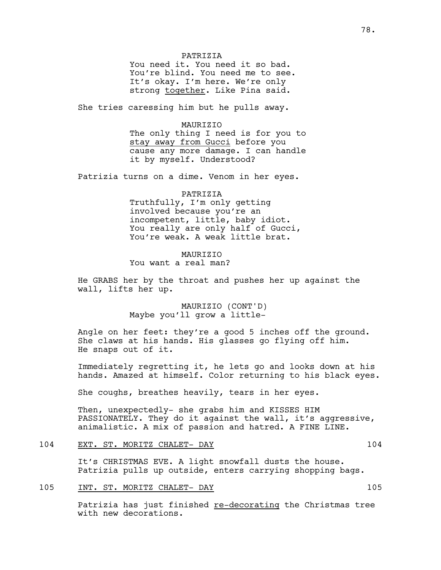#### PATRIZIA

You need it. You need it so bad. You're blind. You need me to see. It's okay. I'm here. We're only strong together. Like Pina said.

She tries caressing him but he pulls away.

#### MAURIZIO

The only thing I need is for you to stay away from Gucci before you cause any more damage. I can handle it by myself. Understood?

Patrizia turns on a dime. Venom in her eyes.

# PATRIZIA Truthfully, I'm only getting involved because you're an incompetent, little, baby idiot. You really are only half of Gucci, You're weak. A weak little brat.

# MAURIZIO You want a real man?

He GRABS her by the throat and pushes her up against the wall, lifts her up.

> MAURIZIO (CONT'D) Maybe you'll grow a little-

Angle on her feet: they're a good 5 inches off the ground. She claws at his hands. His glasses go flying off him. He snaps out of it.

Immediately regretting it, he lets go and looks down at his hands. Amazed at himself. Color returning to his black eyes.

She coughs, breathes heavily, tears in her eyes.

Then, unexpectedly- she grabs him and KISSES HIM PASSIONATELY. They do it against the wall, it's aggressive, animalistic. A mix of passion and hatred. A FINE LINE.

## 104 EXT. ST. MORITZ CHALET- DAY 104

It's CHRISTMAS EVE. A light snowfall dusts the house. Patrizia pulls up outside, enters carrying shopping bags.

# 105 INT. ST. MORITZ CHALET- DAY 105

Patrizia has just finished re-decorating the Christmas tree with new decorations.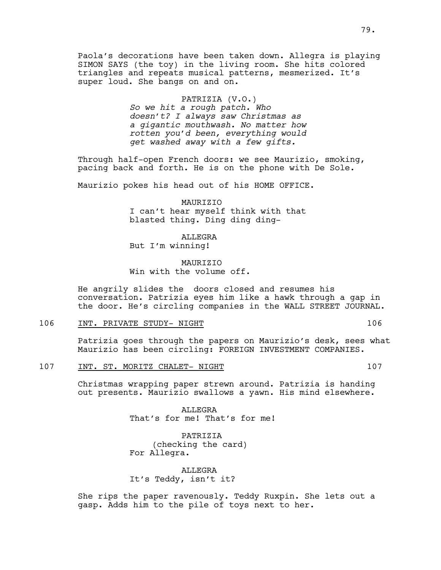Paola's decorations have been taken down. Allegra is playing SIMON SAYS (the toy) in the living room. She hits colored triangles and repeats musical patterns, mesmerized. It's super loud. She bangs on and on.

> PATRIZIA (V.O.) *So we hit a rough patch. Who doesn't? I always saw Christmas as a gigantic mouthwash. No matter how rotten you'd been, everything would get washed away with a few gifts.*

Through half-open French doors: we see Maurizio, smoking, pacing back and forth. He is on the phone with De Sole.

Maurizio pokes his head out of his HOME OFFICE.

MAURIZIO I can't hear myself think with that blasted thing. Ding ding ding-

ALLEGRA But I'm winning!

**MAURTZTO** Win with the volume off.

He angrily slides the doors closed and resumes his conversation. Patrizia eyes him like a hawk through a gap in the door. He's circling companies in the WALL STREET JOURNAL.

106 INT. PRIVATE STUDY- NIGHT 106 106

Patrizia goes through the papers on Maurizio's desk, sees what Maurizio has been circling: FOREIGN INVESTMENT COMPANIES.

107 INT. ST. MORITZ CHALET- NIGHT 107

Christmas wrapping paper strewn around. Patrizia is handing out presents. Maurizio swallows a yawn. His mind elsewhere.

> ALLEGRA That's for me! That's for me!

PATRIZIA (checking the card) For Allegra.

ALLEGRA It's Teddy, isn't it?

She rips the paper ravenously. Teddy Ruxpin. She lets out a gasp. Adds him to the pile of toys next to her.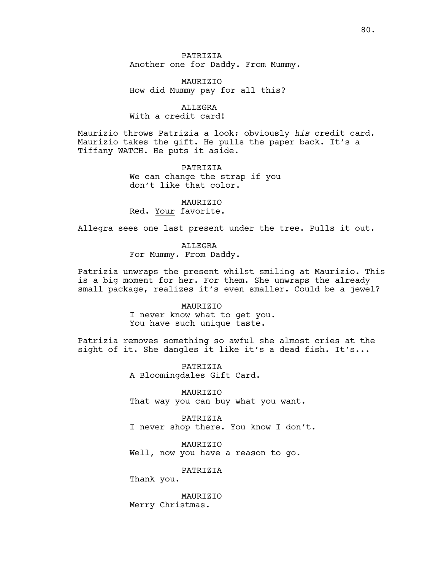**PATRIZIA** Another one for Daddy. From Mummy.

**MAURTZTO** How did Mummy pay for all this?

ALLEGRA With a credit card!

Maurizio throws Patrizia a look: obviously *his* credit card. Maurizio takes the gift. He pulls the paper back. It's a Tiffany WATCH. He puts it aside.

> PATRIZIA We can change the strap if you don't like that color.

MAURIZIO Red. Your favorite.

Allegra sees one last present under the tree. Pulls it out.

ALLEGRA For Mummy. From Daddy.

Patrizia unwraps the present whilst smiling at Maurizio. This is a big moment for her. For them. She unwraps the already small package, realizes it's even smaller. Could be a jewel?

#### MAURIZIO

I never know what to get you. You have such unique taste.

Patrizia removes something so awful she almost cries at the sight of it. She dangles it like it's a dead fish. It's...

> PATRIZIA A Bloomingdales Gift Card.

MAURIZIO That way you can buy what you want.

PATRIZIA I never shop there. You know I don't.

MAURIZIO Well, now you have a reason to go.

PATRIZIA

Thank you.

MAURIZIO Merry Christmas.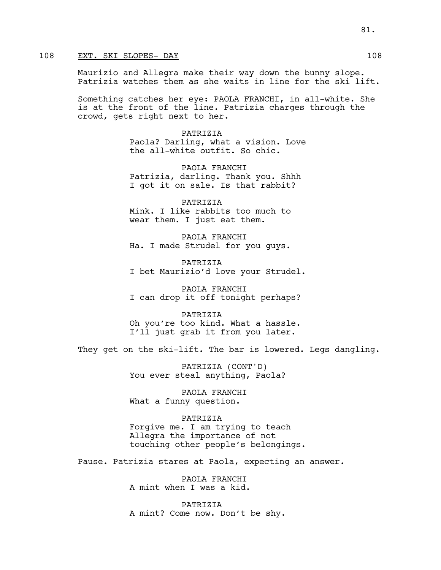# 108 EXT. SKI SLOPES- DAY 108

Maurizio and Allegra make their way down the bunny slope. Patrizia watches them as she waits in line for the ski lift.

Something catches her eye: PAOLA FRANCHI, in all-white. She is at the front of the line. Patrizia charges through the crowd, gets right next to her.

> PATRIZIA Paola? Darling, what a vision. Love the all-white outfit. So chic.

PAOLA FRANCHI Patrizia, darling. Thank you. Shhh I got it on sale. Is that rabbit?

PATRIZIA Mink. I like rabbits too much to wear them. I just eat them.

PAOLA FRANCHI Ha. I made Strudel for you guys.

**PATRIZIA** I bet Maurizio'd love your Strudel.

PAOLA FRANCHI I can drop it off tonight perhaps?

PATRIZIA Oh you're too kind. What a hassle. I'll just grab it from you later.

They get on the ski-lift. The bar is lowered. Legs dangling.

PATRIZIA (CONT'D) You ever steal anything, Paola?

PAOLA FRANCHI What a funny question.

PATRIZIA Forgive me. I am trying to teach Allegra the importance of not touching other people's belongings.

Pause. Patrizia stares at Paola, expecting an answer.

PAOLA FRANCHI A mint when I was a kid.

PATRIZIA A mint? Come now. Don't be shy.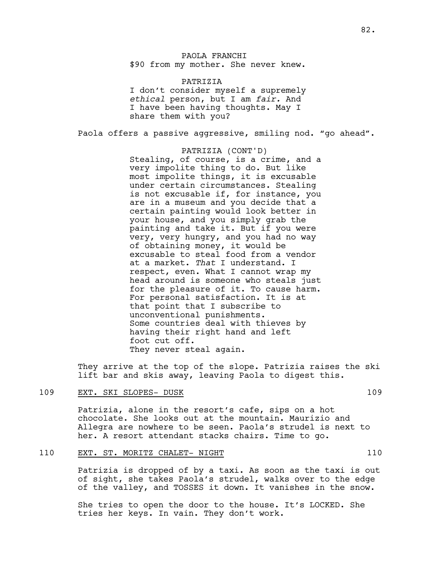# PAOLA FRANCHI \$90 from my mother. She never knew.

PATRIZIA I don't consider myself a supremely *ethical* person, but I am *fair.* And I have been having thoughts. May I share them with you?

Paola offers a passive aggressive, smiling nod. "go ahead".

PATRIZIA (CONT'D) Stealing, of course, is a crime, and a very impolite thing to do. But like most impolite things, it is excusable under certain circumstances. Stealing is not excusable if, for instance, you are in a museum and you decide that a certain painting would look better in your house, and you simply grab the painting and take it. But if you were very, very hungry, and you had no way of obtaining money, it would be excusable to steal food from a vendor at a market. *That* I understand. I respect, even. What I cannot wrap my head around is someone who steals just for the pleasure of it. To cause harm. For personal satisfaction. It is at that point that I subscribe to unconventional punishments. Some countries deal with thieves by having their right hand and left foot cut off. They never steal again.

They arrive at the top of the slope. Patrizia raises the ski lift bar and skis away, leaving Paola to digest this.

## 109 EXT. SKI SLOPES- DUSK 109

Patrizia, alone in the resort's cafe, sips on a hot chocolate. She looks out at the mountain. Maurizio and Allegra are nowhere to be seen. Paola's strudel is next to her. A resort attendant stacks chairs. Time to go.

#### 110 EXT. ST. MORITZ CHALET- NIGHT 110

Patrizia is dropped of by a taxi. As soon as the taxi is out of sight, she takes Paola's strudel, walks over to the edge of the valley, and TOSSES it down. It vanishes in the snow.

She tries to open the door to the house. It's LOCKED. She tries her keys. In vain. They don't work.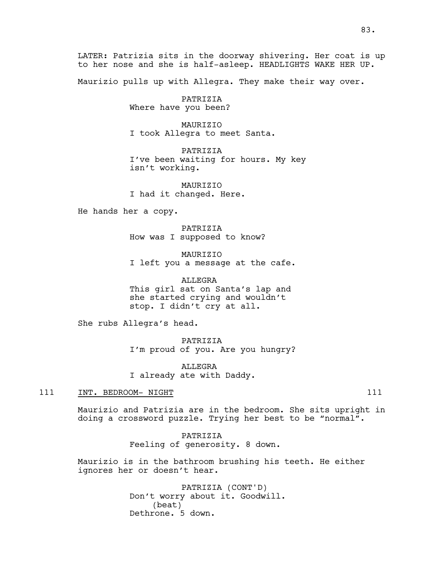LATER: Patrizia sits in the doorway shivering. Her coat is up to her nose and she is half-asleep. HEADLIGHTS WAKE HER UP.

Maurizio pulls up with Allegra. They make their way over.

PATRIZIA Where have you been?

MAURIZIO I took Allegra to meet Santa.

PATRIZIA I've been waiting for hours. My key isn't working.

**MAURTZTO** I had it changed. Here.

He hands her a copy.

PATRIZIA How was I supposed to know?

MAURIZIO I left you a message at the cafe.

ALLEGRA This girl sat on Santa's lap and she started crying and wouldn't stop. I didn't cry at all.

She rubs Allegra's head.

PATRIZIA I'm proud of you. Are you hungry?

ALLEGRA I already ate with Daddy.

## 111 INT. BEDROOM- NIGHT 111 2001

Maurizio and Patrizia are in the bedroom. She sits upright in doing a crossword puzzle. Trying her best to be "normal".

> PATRIZIA Feeling of generosity. 8 down.

Maurizio is in the bathroom brushing his teeth. He either ignores her or doesn't hear.

> PATRIZIA (CONT'D) Don't worry about it. Goodwill. (beat) Dethrone. 5 down.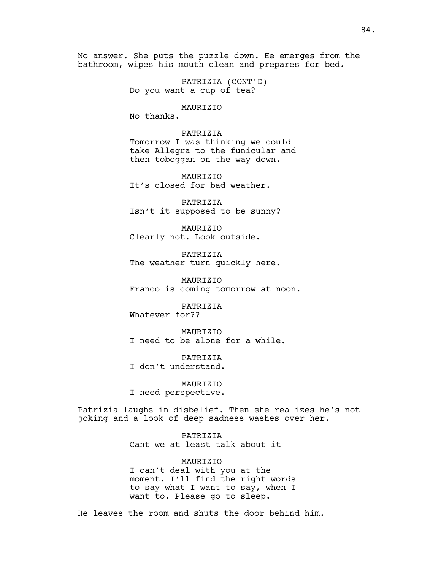No answer. She puts the puzzle down. He emerges from the bathroom, wipes his mouth clean and prepares for bed.

> PATRIZIA (CONT'D) Do you want a cup of tea?

> > MAURIZIO

No thanks.

PATRIZIA Tomorrow I was thinking we could take Allegra to the funicular and then toboggan on the way down.

MAURIZIO It's closed for bad weather.

PATRIZIA Isn't it supposed to be sunny?

MAURIZIO Clearly not. Look outside.

PATRIZIA The weather turn quickly here.

MAURIZIO Franco is coming tomorrow at noon.

PATRIZIA Whatever for??

MAURIZIO I need to be alone for a while.

PATRIZIA I don't understand.

MAURIZIO I need perspective.

Patrizia laughs in disbelief. Then she realizes he's not joking and a look of deep sadness washes over her.

> PATRIZIA Cant we at least talk about it-

MAURIZIO I can't deal with you at the moment. I'll find the right words to say what I want to say, when I want to. Please go to sleep.

He leaves the room and shuts the door behind him.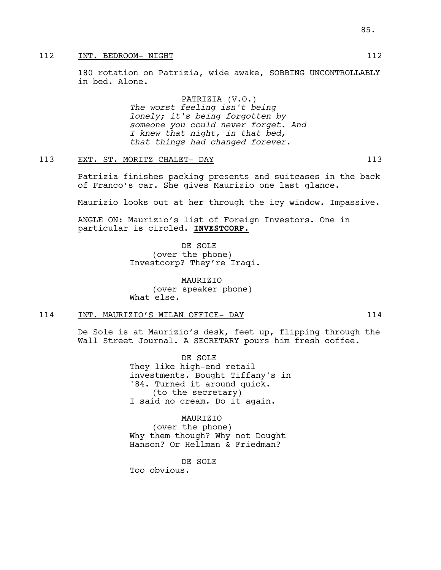# 112 INT. BEDROOM- NIGHT 112

180 rotation on Patrizia, wide awake, SOBBING UNCONTROLLABLY in bed. Alone.

> PATRIZIA (V.O.) *The worst feeling isn't being lonely; it's being forgotten by someone you could never forget. And I knew that night, in that bed, that things had changed forever.*

# 113 EXT. ST. MORITZ CHALET- DAY 113

Patrizia finishes packing presents and suitcases in the back of Franco's car. She gives Maurizio one last glance.

Maurizio looks out at her through the icy window. Impassive.

ANGLE ON: Maurizio's list of Foreign Investors. One in particular is circled. **INVESTCORP.**

> DE SOLE (over the phone) Investcorp? They're Iraqi.

MAURIZIO (over speaker phone) What else.

## 114 INT. MAURIZIO'S MILAN OFFICE- DAY 114

De Sole is at Maurizio's desk, feet up, flipping through the Wall Street Journal. A SECRETARY pours him fresh coffee.

> DE SOLE They like high-end retail investments. Bought Tiffany's in '84. Turned it around quick. (to the secretary) I said no cream. Do it again.

MAURIZIO (over the phone) Why them though? Why not Dought Hanson? Or Hellman & Friedman?

DE SOLE Too obvious.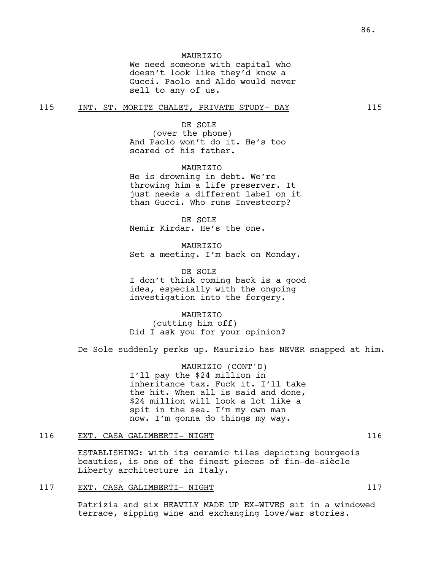#### **MAURTZTO**

We need someone with capital who doesn't look like they'd know a Gucci. Paolo and Aldo would never sell to any of us.

## 115 INT. ST. MORITZ CHALET, PRIVATE STUDY- DAY 115

#### DE SOLE

(over the phone) And Paolo won't do it. He's too scared of his father.

## **MAURTZTO**

He is drowning in debt. We're throwing him a life preserver. It just needs a different label on it than Gucci. Who runs Investcorp?

DE SOLE Nemir Kirdar. He's the one.

**MAURTZTO** Set a meeting. I'm back on Monday.

DE SOLE I don't think coming back is a good idea, especially with the ongoing investigation into the forgery.

MAURIZIO (cutting him off) Did I ask you for your opinion?

De Sole suddenly perks up. Maurizio has NEVER snapped at him.

MAURIZIO (CONT'D) I'll pay the \$24 million in inheritance tax. Fuck it. I'll take the hit. When all is said and done, \$24 million will look a lot like a spit in the sea. I'm my own man now. I'm gonna do things my way.

# 116 EXT. CASA GALIMBERTI- NIGHT 116

ESTABLISHING: with its ceramic tiles depicting bourgeois beauties, is one of the finest pieces of fin-de-siècle Liberty architecture in Italy.

## 117 EXT. CASA GALIMBERTI- NIGHT 117

Patrizia and six HEAVILY MADE UP EX-WIVES sit in a windowed terrace, sipping wine and exchanging love/war stories.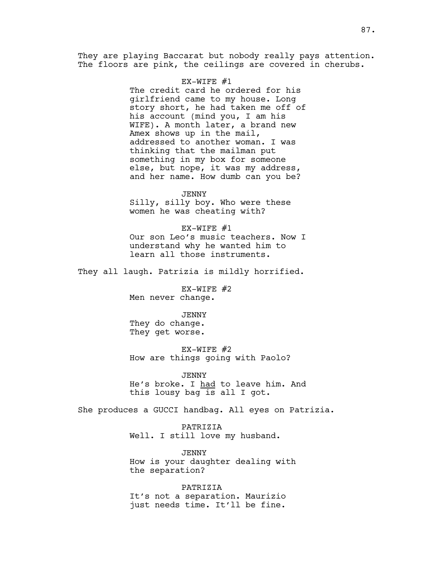They are playing Baccarat but nobody really pays attention. The floors are pink, the ceilings are covered in cherubs.

#### EX-WIFE #1

The credit card he ordered for his girlfriend came to my house. Long story short, he had taken me off of his account (mind you, I am his WIFE). A month later, a brand new Amex shows up in the mail, addressed to another woman. I was thinking that the mailman put something in my box for someone else, but nope, it was my address, and her name. How dumb can you be?

JENNY Silly, silly boy. Who were these women he was cheating with?

EX-WIFE #1 Our son Leo's music teachers. Now I understand why he wanted him to learn all those instruments.

They all laugh. Patrizia is mildly horrified.

EX-WIFE #2 Men never change.

JENNY They do change. They get worse.

EX-WIFE #2 How are things going with Paolo?

JENNY He's broke. I had to leave him. And this lousy bag is all I got.

She produces a GUCCI handbag. All eyes on Patrizia.

PATRIZIA Well. I still love my husband.

JENNY How is your daughter dealing with the separation?

PATRIZIA It's not a separation. Maurizio just needs time. It'll be fine.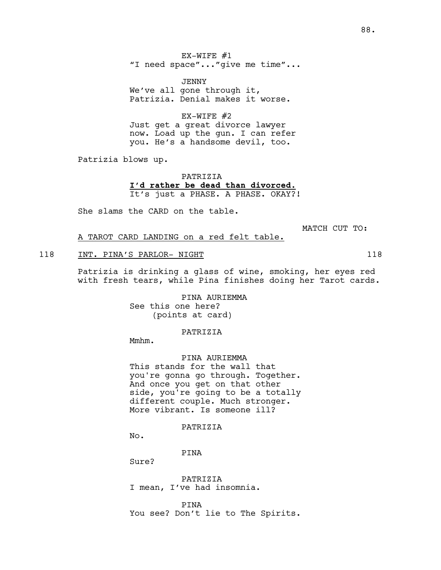EX-WIFE #1 "I need space"..."give me time"...

JENNY We've all gone through it, Patrizia. Denial makes it worse.

EX-WIFE #2 Just get a great divorce lawyer now. Load up the gun. I can refer you. He's a handsome devil, too.

Patrizia blows up.

PATRIZIA **I'd rather be dead than divorced.** It's just a PHASE. A PHASE. OKAY?!

She slams the CARD on the table.

MATCH CUT TO:

A TAROT CARD LANDING on a red felt table.

#### 118 INT. PINA'S PARLOR- NIGHT 118 118

Patrizia is drinking a glass of wine, smoking, her eyes red with fresh tears, while Pina finishes doing her Tarot cards.

> PINA AURIEMMA See this one here? (points at card)

> > PATRIZIA

Mmhm.

PINA AURIEMMA

This stands for the wall that you're gonna go through. Together. And once you get on that other side, you're going to be a totally different couple. Much stronger. More vibrant. Is someone ill?

PATRIZIA

No.

PINA

Sure?

PATRIZIA I mean, I've had insomnia.

PINA You see? Don't lie to The Spirits.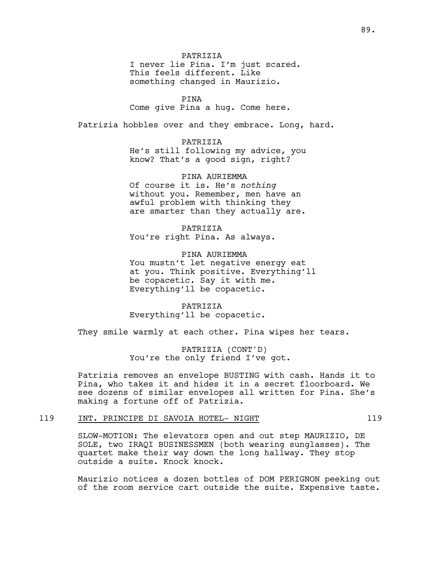PATRIZIA

I never lie Pina. I'm just scared. This feels different. Like something changed in Maurizio.

PINA Come give Pina a hug. Come here.

Patrizia hobbles over and they embrace. Long, hard.

PATRIZIA

He's still following my advice, you know? That's a good sign, right?

PINA AURIEMMA Of course it is. He's *nothing* without you. Remember, men have an awful problem with thinking they are smarter than they actually are.

PATRIZIA You're right Pina. As always.

PINA AURIEMMA You mustn't let negative energy eat at you. Think positive. Everything'll be copacetic. Say it with me. Everything'll be copacetic.

PATRIZIA Everything'll be copacetic.

They smile warmly at each other. Pina wipes her tears.

PATRIZIA (CONT'D) You're the only friend I've got.

Patrizia removes an envelope BUSTING with cash. Hands it to Pina, who takes it and hides it in a secret floorboard. We see dozens of similar envelopes all written for Pina. She's making a fortune off of Patrizia.

# 119 INT. PRINCIPE DI SAVOIA HOTEL- NIGHT 119

SLOW-MOTION: The elevators open and out step MAURIZIO, DE SOLE, two IRAQI BUSINESSMEN (both wearing sunglasses). The quartet make their way down the long hallway. They stop outside a suite. Knock knock.

Maurizio notices a dozen bottles of DOM PERIGNON peeking out of the room service cart outside the suite. Expensive taste.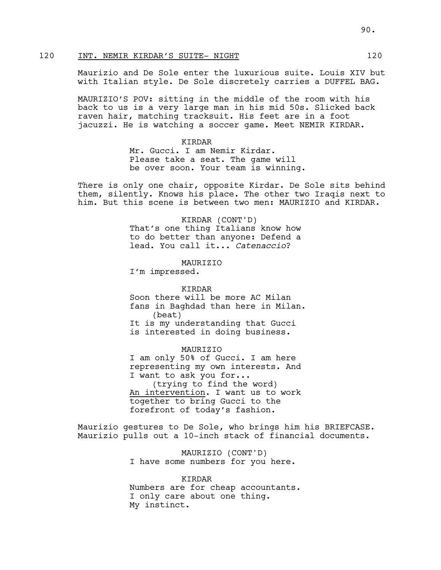# 120 INT. NEMIR KIRDAR'S SUITE- NIGHT 120

Maurizio and De Sole enter the luxurious suite. Louis XIV but with Italian style. De Sole discretely carries a DUFFEL BAG.

MAURIZIO'S POV: sitting in the middle of the room with his back to us is a very large man in his mid 50s. Slicked back raven hair, matching tracksuit. His feet are in a foot jacuzzi. He is watching a soccer game. Meet NEMIR KIRDAR.

#### KIRDAR

Mr. Gucci. I am Nemir Kirdar. Please take a seat. The game will be over soon. Your team is winning.

There is only one chair, opposite Kirdar. De Sole sits behind them, silently. Knows his place. The other two Iraqis next to him. But this scene is between two men: MAURIZIO and KIRDAR.

> KIRDAR (CONT'D) That's one thing Italians know how to do better than anyone: Defend a lead. You call it... *Catenaccio*?

**MAURTZTO** 

I'm impressed.

## KIRDAR

Soon there will be more AC Milan fans in Baghdad than here in Milan. (beat) It is my understanding that Gucci is interested in doing business.

#### MAURIZIO

I am only 50% of Gucci. I am here representing my own interests. And I want to ask you for... (trying to find the word) An intervention. I want us to work together to bring Gucci to the forefront of today's fashion.

Maurizio gestures to De Sole, who brings him his BRIEFCASE. Maurizio pulls out a 10-inch stack of financial documents.

> MAURIZIO (CONT'D) I have some numbers for you here.

KIRDAR Numbers are for cheap accountants. I only care about one thing. My instinct.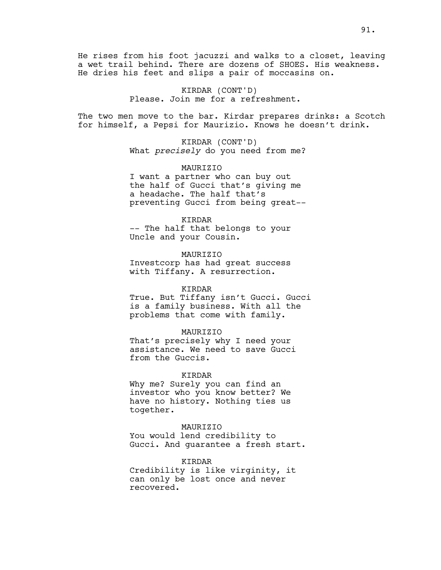He rises from his foot jacuzzi and walks to a closet, leaving a wet trail behind. There are dozens of SHOES. His weakness. He dries his feet and slips a pair of moccasins on.

> KIRDAR (CONT'D) Please. Join me for a refreshment.

The two men move to the bar. Kirdar prepares drinks: a Scotch for himself, a Pepsi for Maurizio. Knows he doesn't drink.

> KIRDAR (CONT'D) What *precisely* do you need from me?

> MAURIZIO I want a partner who can buy out the half of Gucci that's giving me a headache. The half that's preventing Gucci from being great--

#### KIRDAR

-- The half that belongs to your Uncle and your Cousin.

## MAURIZIO

Investcorp has had great success with Tiffany. A resurrection.

## KIRDAR

True. But Tiffany isn't Gucci. Gucci is a family business. With all the problems that come with family.

#### MAURIZIO

That's precisely why I need your assistance. We need to save Gucci from the Guccis.

#### KIRDAR

Why me? Surely you can find an investor who you know better? We have no history. Nothing ties us together.

#### MAURIZIO

You would lend credibility to Gucci. And guarantee a fresh start.

#### KIRDAR

Credibility is like virginity, it can only be lost once and never recovered.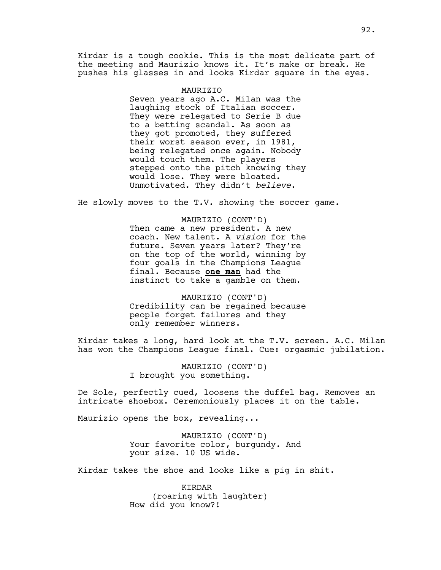Kirdar is a tough cookie. This is the most delicate part of the meeting and Maurizio knows it. It's make or break. He pushes his glasses in and looks Kirdar square in the eyes.

#### MAURIZIO

Seven years ago A.C. Milan was the laughing stock of Italian soccer. They were relegated to Serie B due to a betting scandal. As soon as they got promoted, they suffered their worst season ever, in 1981, being relegated once again. Nobody would touch them. The players stepped onto the pitch knowing they would lose. They were bloated. Unmotivated. They didn't *believe*.

He slowly moves to the T.V. showing the soccer game.

MAURIZIO (CONT'D) Then came a new president. A new coach. New talent. A *vision* for the future. Seven years later? They're on the top of the world, winning by four goals in the Champions League final. Because **one man** had the instinct to take a gamble on them.

MAURIZIO (CONT'D) Credibility can be regained because people forget failures and they only remember winners.

Kirdar takes a long, hard look at the T.V. screen. A.C. Milan has won the Champions League final. Cue: orgasmic jubilation.

> MAURIZIO (CONT'D) I brought you something.

De Sole, perfectly cued, loosens the duffel bag. Removes an intricate shoebox. Ceremoniously places it on the table.

Maurizio opens the box, revealing...

MAURIZIO (CONT'D) Your favorite color, burgundy. And your size. 10 US wide.

Kirdar takes the shoe and looks like a pig in shit.

KIRDAR (roaring with laughter) How did you know?!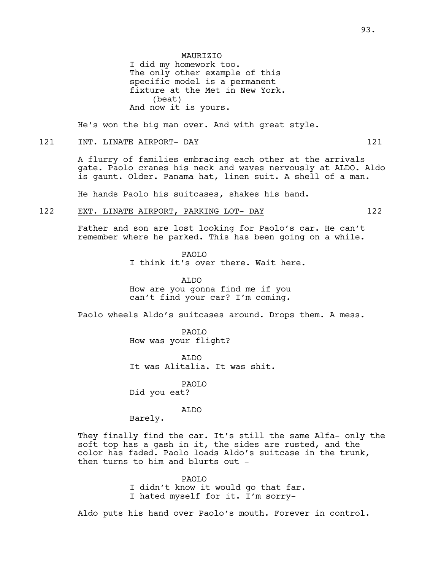He's won the big man over. And with great style.

## 121 INT. LINATE AIRPORT- DAY 121

A flurry of families embracing each other at the arrivals gate. Paolo cranes his neck and waves nervously at ALDO. Aldo is gaunt. Older. Panama hat, linen suit. A shell of a man.

He hands Paolo his suitcases, shakes his hand.

## 122 EXT. LINATE AIRPORT, PARKING LOT- DAY 122

Father and son are lost looking for Paolo's car. He can't remember where he parked. This has been going on a while.

> PAOLO I think it's over there. Wait here.

ALDO How are you gonna find me if you can't find your car? I'm coming.

Paolo wheels Aldo's suitcases around. Drops them. A mess.

PAOLO How was your flight?

ALDO It was Alitalia. It was shit.

PAOLO Did you eat?

ALDO

Barely.

They finally find the car. It's still the same Alfa- only the soft top has a gash in it, the sides are rusted, and the color has faded. Paolo loads Aldo's suitcase in the trunk, then turns to him and blurts out -

PAOLO

I didn't know it would go that far. I hated myself for it. I'm sorry-

Aldo puts his hand over Paolo's mouth. Forever in control.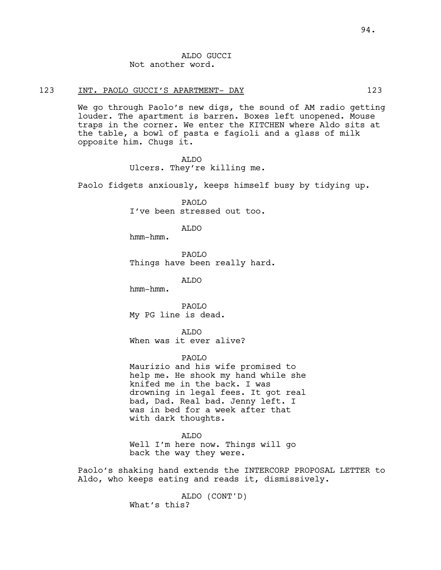# ALDO GUCCI Not another word.

## 123 INT. PAOLO GUCCI'S APARTMENT- DAY 123

We go through Paolo's new digs, the sound of AM radio getting louder. The apartment is barren. Boxes left unopened. Mouse traps in the corner. We enter the KITCHEN where Aldo sits at the table, a bowl of pasta e fagioli and a glass of milk opposite him. Chugs it.

> ALDO Ulcers. They're killing me.

Paolo fidgets anxiously, keeps himself busy by tidying up.

PAOLO I've been stressed out too.

ALDO

hmm-hmm.

PAOLO Things have been really hard.

ALDO

hmm-hmm.

PAOLO My PG line is dead.

ALDO When was it ever alive?

PAOLO

Maurizio and his wife promised to help me. He shook my hand while she knifed me in the back. I was drowning in legal fees. It got real bad, Dad. Real bad. Jenny left. I was in bed for a week after that with dark thoughts.

ALDO Well I'm here now. Things will go back the way they were.

Paolo's shaking hand extends the INTERCORP PROPOSAL LETTER to Aldo, who keeps eating and reads it, dismissively.

> ALDO (CONT'D) What's this?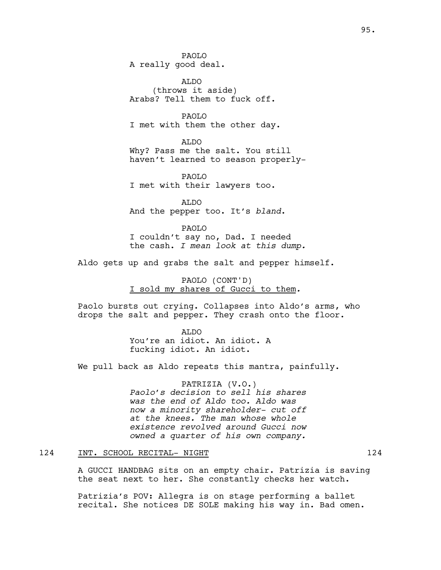95.

PAOLO A really good deal.

ALDO (throws it aside) Arabs? Tell them to fuck off.

PAOLO I met with them the other day.

ALDO Why? Pass me the salt. You still haven't learned to season properly-

PAOLO I met with their lawyers too.

ALDO And the pepper too. It's *bland*.

PAOLO I couldn't say no, Dad. I needed the cash. *I mean look at this dump.*

Aldo gets up and grabs the salt and pepper himself.

PAOLO (CONT'D) I sold my shares of Gucci to them*.*

Paolo bursts out crying. Collapses into Aldo's arms, who drops the salt and pepper. They crash onto the floor.

> ALDO You're an idiot. An idiot. A fucking idiot. An idiot.

We pull back as Aldo repeats this mantra, painfully.

PATRIZIA (V.O.) *Paolo's decision to sell his shares was the end of Aldo too. Aldo was now a minority shareholder- cut off at the knees. The man whose whole existence revolved around Gucci now owned a quarter of his own company.*

# 124 INT. SCHOOL RECITAL- NIGHT 124 124

A GUCCI HANDBAG sits on an empty chair. Patrizia is saving the seat next to her. She constantly checks her watch.

Patrizia's POV: Allegra is on stage performing a ballet recital. She notices DE SOLE making his way in. Bad omen.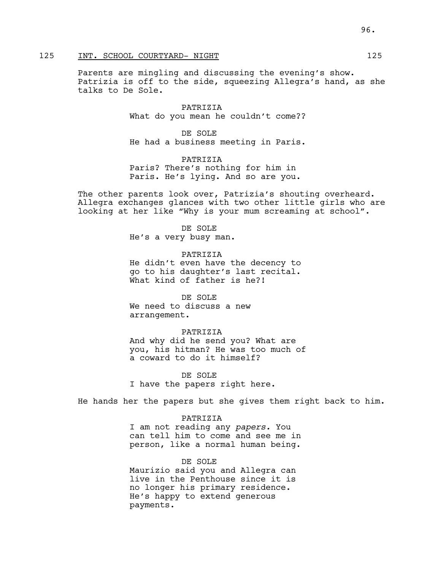# 125 INT. SCHOOL COURTYARD- NIGHT 125

Parents are mingling and discussing the evening's show. Patrizia is off to the side, squeezing Allegra's hand, as she talks to De Sole.

> PATRIZIA What do you mean he couldn't come??

> DE SOLE He had a business meeting in Paris.

PATRIZIA Paris? There's nothing for him in Paris. He's lying. And so are you.

The other parents look over, Patrizia's shouting overheard. Allegra exchanges glances with two other little girls who are looking at her like "Why is your mum screaming at school".

> DE SOLE He's a very busy man.

PATRIZIA He didn't even have the decency to go to his daughter's last recital. What kind of father is he?!

DE SOLE We need to discuss a new arrangement.

## PATRIZIA

And why did he send you? What are you, his hitman? He was too much of a coward to do it himself?

DE SOLE I have the papers right here.

He hands her the papers but she gives them right back to him.

PATRIZIA

I am not reading any *papers.* You can tell him to come and see me in person, like a normal human being.

## DE SOLE

Maurizio said you and Allegra can live in the Penthouse since it is no longer his primary residence. He's happy to extend generous payments.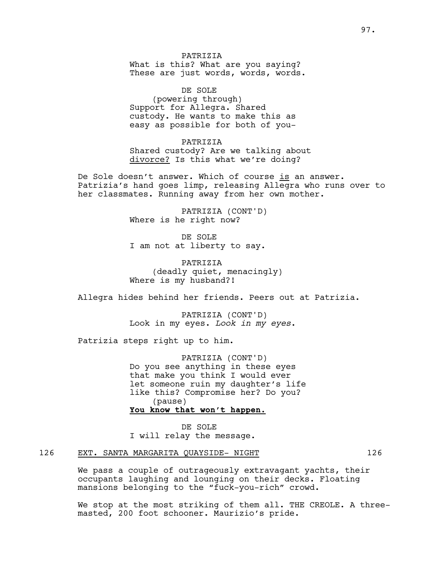PATRIZIA What is this? What are you saying? These are just words, words, words.

DE SOLE (powering through) Support for Allegra. Shared custody. He wants to make this as easy as possible for both of you-

PATRIZIA Shared custody? Are we talking about divorce? Is this what we're doing?

De Sole doesn't answer. Which of course is an answer. Patrizia's hand goes limp, releasing Allegra who runs over to her classmates. Running away from her own mother.

> PATRIZIA (CONT'D) Where is he right now?

DE SOLE I am not at liberty to say.

PATRIZIA (deadly quiet, menacingly) Where is my husband?!

Allegra hides behind her friends. Peers out at Patrizia.

PATRIZIA (CONT'D) Look in my eyes. *Look in my eyes*.

Patrizia steps right up to him.

PATRIZIA (CONT'D) Do you see anything in these eyes that make you think I would ever let someone ruin my daughter's life like this? Compromise her? Do you? (pause) **You know that won't happen.**

DE SOLE I will relay the message.

# 126 EXT. SANTA MARGARITA QUAYSIDE-NIGHT 126

We pass a couple of outrageously extravagant yachts, their occupants laughing and lounging on their decks. Floating mansions belonging to the "fuck-you-rich" crowd.

We stop at the most striking of them all. THE CREOLE. A threemasted, 200 foot schooner. Maurizio's pride.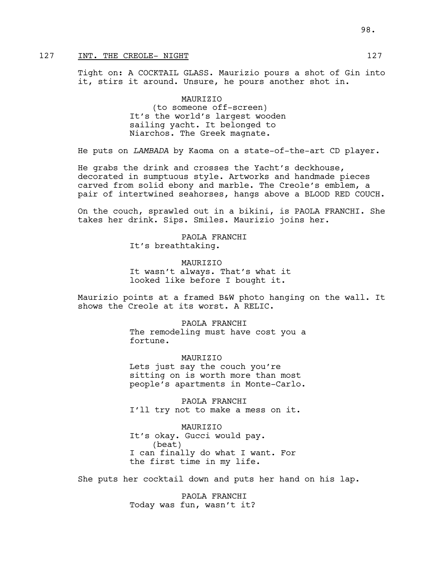# 127 INT. THE CREOLE- NIGHT 127

Tight on: A COCKTAIL GLASS. Maurizio pours a shot of Gin into it, stirs it around. Unsure, he pours another shot in.

> MAURIZIO (to someone off-screen) It's the world's largest wooden sailing yacht. It belonged to Niarchos. The Greek magnate.

He puts on *LAMBADA* by Kaoma on a state-of-the-art CD player.

He grabs the drink and crosses the Yacht's deckhouse, decorated in sumptuous style. Artworks and handmade pieces carved from solid ebony and marble. The Creole's emblem, a pair of intertwined seahorses, hangs above a BLOOD RED COUCH.

On the couch, sprawled out in a bikini, is PAOLA FRANCHI. She takes her drink. Sips. Smiles. Maurizio joins her.

> PAOLA FRANCHI It's breathtaking.

**MAURTZTO** It wasn't always. That's what it looked like before I bought it.

Maurizio points at a framed B&W photo hanging on the wall. It shows the Creole at its worst. A RELIC.

> PAOLA FRANCHI The remodeling must have cost you a fortune.

> MAURTZIO Lets just say the couch you're sitting on is worth more than most people's apartments in Monte-Carlo.

PAOLA FRANCHI I'll try not to make a mess on it.

MAURIZIO It's okay. Gucci would pay. (beat) I can finally do what I want. For the first time in my life.

She puts her cocktail down and puts her hand on his lap.

PAOLA FRANCHI Today was fun, wasn't it?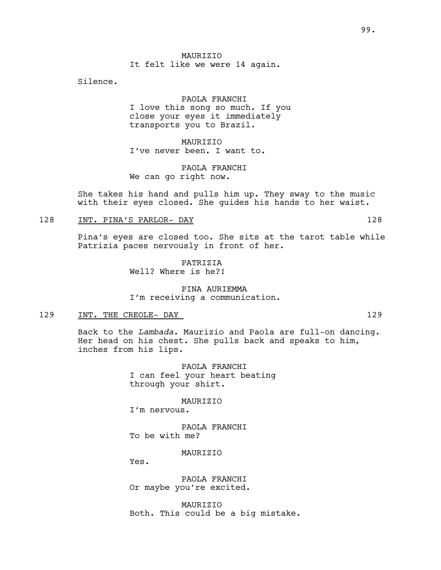**MAURTZTO** It felt like we were 14 again.

Silence.

# PAOLA FRANCHI

I love this song so much. If you close your eyes it immediately transports you to Brazil.

MAURIZIO I've never been. I want to.

PAOLA FRANCHI We can go right now.

She takes his hand and pulls him up. They sway to the music with their eyes closed. She guides his hands to her waist.

# 128 INT. PINA'S PARLOR- DAY 128

Pina's eyes are closed too. She sits at the tarot table while Patrizia paces nervously in front of her.

> **PATRIZIA** Well? Where is he?!

PINA AURIEMMA I'm receiving a communication.

## 129 INT. THE CREOLE-DAY 129

Back to the *Lambada*. Maurizio and Paola are full-on dancing. Her head on his chest. She pulls back and speaks to him, inches from his lips.

> PAOLA FRANCHI I can feel your heart beating through your shirt.

> > MAURIZIO

I'm nervous.

PAOLA FRANCHI To be with me?

**MAURTZTO** 

Yes.

PAOLA FRANCHI Or maybe you're excited.

MAURIZIO Both. This could be a big mistake.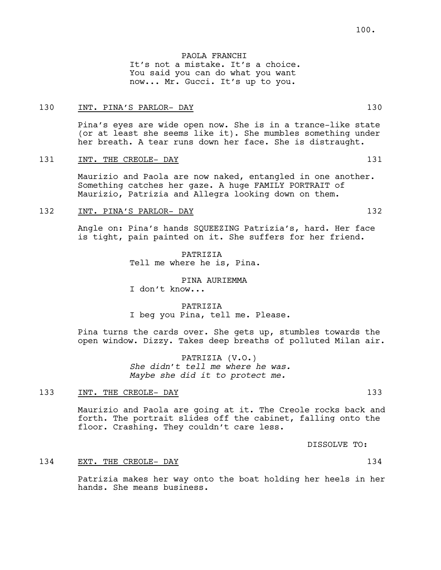PAOLA FRANCHI It's not a mistake. It's a choice. You said you can do what you want now... Mr. Gucci. It's up to you.

## 130 INT. PINA'S PARLOR- DAY 130

Pina's eyes are wide open now. She is in a trance-like state (or at least she seems like it). She mumbles something under her breath. A tear runs down her face. She is distraught.

#### 131 INT. THE CREOLE- DAY 131

Maurizio and Paola are now naked, entangled in one another. Something catches her gaze. A huge FAMILY PORTRAIT of Maurizio, Patrizia and Allegra looking down on them.

## 132 INT. PINA'S PARLOR- DAY 132

Angle on: Pina's hands SQUEEZING Patrizia's, hard. Her face is tight, pain painted on it. She suffers for her friend.

> PATRIZIA Tell me where he is, Pina.

> > PINA AURIEMMA

I don't know...

PATRIZIA I beg you Pina, tell me. Please.

Pina turns the cards over. She gets up, stumbles towards the open window. Dizzy. Takes deep breaths of polluted Milan air.

> PATRIZIA (V.O.) *She didn't tell me where he was. Maybe she did it to protect me.*

# 133 INT. THE CREOLE- DAY 133

Maurizio and Paola are going at it. The Creole rocks back and forth. The portrait slides off the cabinet, falling onto the floor. Crashing. They couldn't care less.

DISSOLVE TO:

#### 134 EXT. THE CREOLE- DAY 134

Patrizia makes her way onto the boat holding her heels in her hands. She means business.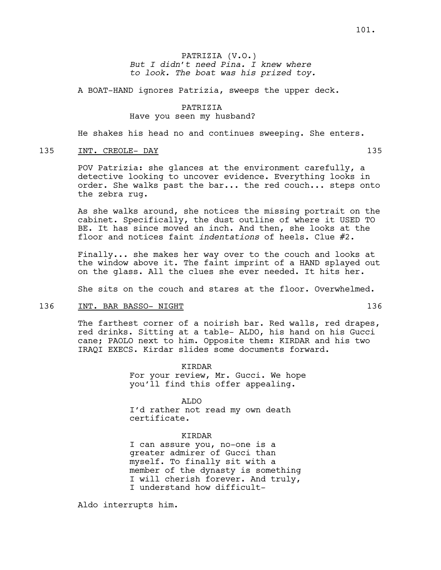A BOAT-HAND ignores Patrizia, sweeps the upper deck.

## PATRIZIA Have you seen my husband?

He shakes his head no and continues sweeping. She enters.

## 135 INT. CREOLE- DAY 135

POV Patrizia: she glances at the environment carefully, a detective looking to uncover evidence. Everything looks in order. She walks past the bar... the red couch... steps onto the zebra rug.

As she walks around, she notices the missing portrait on the cabinet. Specifically, the dust outline of where it USED TO BE. It has since moved an inch. And then, she looks at the floor and notices faint *indentations* of heels. Clue #2.

Finally... she makes her way over to the couch and looks at the window above it. The faint imprint of a HAND splayed out on the glass. All the clues she ever needed. It hits her.

She sits on the couch and stares at the floor. Overwhelmed.

#### 136 INT. BAR BASSO- NIGHT 136 136

The farthest corner of a noirish bar. Red walls, red drapes, red drinks. Sitting at a table- ALDO, his hand on his Gucci cane; PAOLO next to him. Opposite them: KIRDAR and his two IRAQI EXECS. Kirdar slides some documents forward.

> KIRDAR For your review, Mr. Gucci. We hope you'll find this offer appealing.

ALDO I'd rather not read my own death certificate.

KIRDAR

I can assure you, no-one is a greater admirer of Gucci than myself. To finally sit with a member of the dynasty is something I will cherish forever. And truly, I understand how difficult-

Aldo interrupts him.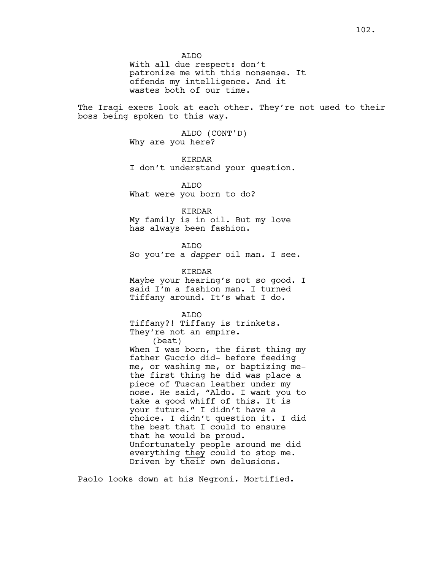ALDO With all due respect: don't patronize me with this nonsense. It offends my intelligence. And it wastes both of our time.

The Iraqi execs look at each other. They're not used to their boss being spoken to this way.

> ALDO (CONT'D) Why are you here?

KIRDAR I don't understand your question.

ALDO What were you born to do?

KIRDAR

My family is in oil. But my love has always been fashion.

ALDO

So you're a *dapper* oil man. I see.

KIRDAR

Maybe your hearing's not so good. I said I'm a fashion man. I turned Tiffany around. It's what I do.

ALDO Tiffany?! Tiffany is trinkets. They're not an empire. (beat) When I was born, the first thing my father Guccio did- before feeding me, or washing me, or baptizing methe first thing he did was place a piece of Tuscan leather under my nose. He said, "Aldo. I want you to take a good whiff of this. It is your future." I didn't have a choice. I didn't question it. I did the best that I could to ensure that he would be proud. Unfortunately people around me did everything they could to stop me. Driven by their own delusions.

Paolo looks down at his Negroni. Mortified.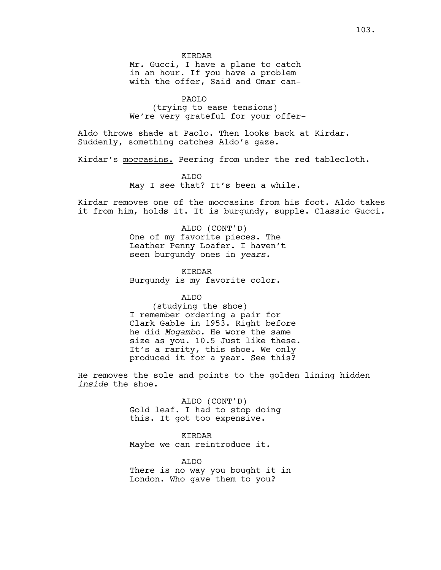KIRDAR

Mr. Gucci, I have a plane to catch in an hour. If you have a problem with the offer, Said and Omar can-

PAOLO (trying to ease tensions) We're very grateful for your offer-

Aldo throws shade at Paolo. Then looks back at Kirdar. Suddenly, something catches Aldo's gaze.

Kirdar's moccasins. Peering from under the red tablecloth.

ALDO May I see that? It's been a while.

Kirdar removes one of the moccasins from his foot. Aldo takes it from him, holds it. It is burgundy, supple. Classic Gucci.

> ALDO (CONT'D) One of my favorite pieces. The Leather Penny Loafer. I haven't seen burgundy ones in *years*.

KIRDAR Burgundy is my favorite color.

ALDO

(studying the shoe) I remember ordering a pair for Clark Gable in 1953. Right before he did *Mogambo*. He wore the same size as you. 10.5 Just like these. It's a rarity, this shoe. We only produced it for a year. See this?

He removes the sole and points to the golden lining hidden *inside* the shoe.

> ALDO (CONT'D) Gold leaf. I had to stop doing this. It got too expensive.

KIRDAR Maybe we can reintroduce it.

ALDO There is no way you bought it in London. Who gave them to you?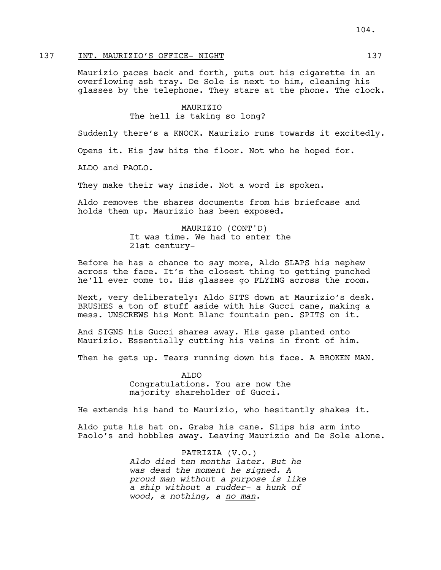# 137 INT. MAURIZIO'S OFFICE- NIGHT 137

Maurizio paces back and forth, puts out his cigarette in an overflowing ash tray. De Sole is next to him, cleaning his glasses by the telephone. They stare at the phone. The clock.

> MAURIZIO The hell is taking so long?

Suddenly there's a KNOCK. Maurizio runs towards it excitedly.

Opens it. His jaw hits the floor. Not who he hoped for.

ALDO and PAOLO.

They make their way inside. Not a word is spoken.

Aldo removes the shares documents from his briefcase and holds them up. Maurizio has been exposed.

> MAURIZIO (CONT'D) It was time. We had to enter the 21st century-

Before he has a chance to say more, Aldo SLAPS his nephew across the face. It's the closest thing to getting punched he'll ever come to. His glasses go FLYING across the room.

Next, very deliberately: Aldo SITS down at Maurizio's desk. BRUSHES a ton of stuff aside with his Gucci cane, making a mess. UNSCREWS his Mont Blanc fountain pen. SPITS on it.

And SIGNS his Gucci shares away. His gaze planted onto Maurizio. Essentially cutting his veins in front of him.

Then he gets up. Tears running down his face. A BROKEN MAN.

ALDO Congratulations. You are now the majority shareholder of Gucci.

He extends his hand to Maurizio, who hesitantly shakes it.

Aldo puts his hat on. Grabs his cane. Slips his arm into Paolo's and hobbles away. Leaving Maurizio and De Sole alone.

> PATRIZIA (V.O.) *Aldo died ten months later. But he was dead the moment he signed. A proud man without a purpose is like a ship without a rudder- a hunk of wood, a nothing, a no man.*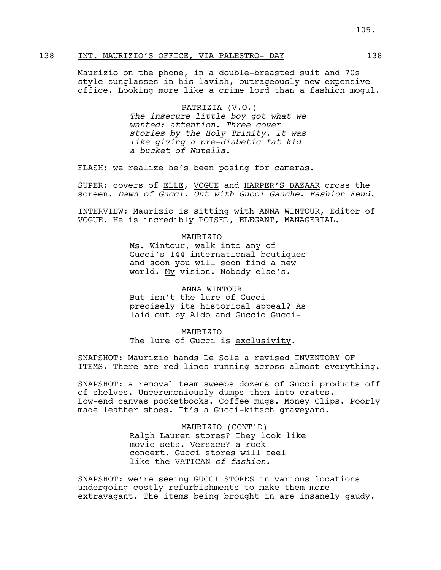# 138 INT. MAURIZIO'S OFFICE, VIA PALESTRO- DAY 138

Maurizio on the phone, in a double-breasted suit and 70s style sunglasses in his lavish, outrageously new expensive office. Looking more like a crime lord than a fashion mogul.

#### PATRIZIA (V.O.)

*The insecure little boy got what we wanted: attention. Three cover stories by the Holy Trinity. It was like giving a pre-diabetic fat kid a bucket of Nutella.* 

FLASH: we realize he's been posing for cameras.

SUPER: covers of ELLE, VOGUE and HARPER'S BAZAAR cross the screen. *Dawn of Gucci. Out with Gucci Gauche. Fashion Feud*.

INTERVIEW: Maurizio is sitting with ANNA WINTOUR, Editor of VOGUE. He is incredibly POISED, ELEGANT, MANAGERIAL.

#### MAURIZIO

Ms. Wintour, walk into any of Gucci's 144 international boutiques and soon you will soon find a new world. My vision. Nobody else's.

## ANNA WINTOUR

But isn't the lure of Gucci precisely its historical appeal? As laid out by Aldo and Guccio Gucci-

## MAURIZIO

The lure of Gucci is exclusivity.

SNAPSHOT: Maurizio hands De Sole a revised INVENTORY OF ITEMS. There are red lines running across almost everything.

SNAPSHOT: a removal team sweeps dozens of Gucci products off of shelves. Unceremoniously dumps them into crates. Low-end canvas pocketbooks. Coffee mugs. Money Clips. Poorly made leather shoes. It's a Gucci-kitsch graveyard.

> MAURIZIO (CONT'D) Ralph Lauren stores? They look like movie sets. Versace? a rock concert. Gucci stores will feel like the VATICAN *of fashion*.

SNAPSHOT: we're seeing GUCCI STORES in various locations undergoing costly refurbishments to make them more extravagant. The items being brought in are insanely gaudy.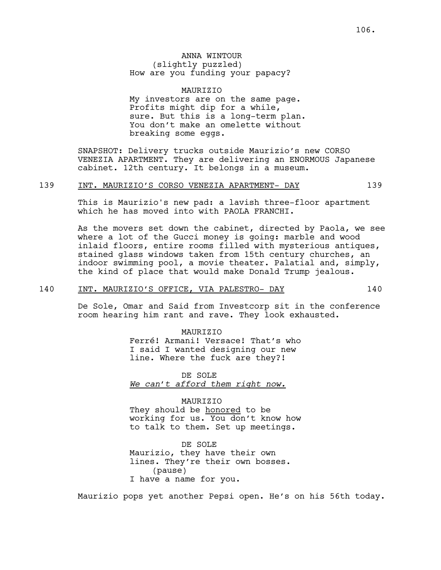MAURIZIO My investors are on the same page. Profits might dip for a while, sure. But this is a long-term plan. You don't make an omelette without breaking some eggs.

SNAPSHOT: Delivery trucks outside Maurizio's new CORSO VENEZIA APARTMENT. They are delivering an ENORMOUS Japanese cabinet. 12th century. It belongs in a museum.

#### 139 INT. MAURIZIO'S CORSO VENEZIA APARTMENT- DAY 139

This is Maurizio's new pad: a lavish three-floor apartment which he has moved into with PAOLA FRANCHI.

As the movers set down the cabinet, directed by Paola, we see where a lot of the Gucci money is going: marble and wood inlaid floors, entire rooms filled with mysterious antiques, stained glass windows taken from 15th century churches, an indoor swimming pool, a movie theater. Palatial and, simply, the kind of place that would make Donald Trump jealous.

# 140 INT. MAURIZIO'S OFFICE, VIA PALESTRO- DAY 140

De Sole, Omar and Said from Investcorp sit in the conference room hearing him rant and rave. They look exhausted.

> MAURIZIO Ferré! Armani! Versace! That's who I said I wanted designing our new line. Where the fuck are they?!

DE SOLE *We can't afford them right now.*

#### MAURIZIO

They should be honored to be working for us. You don't know how to talk to them. Set up meetings.

DE SOLE Maurizio, they have their own lines. They're their own bosses. (pause) I have a name for you.

Maurizio pops yet another Pepsi open. He's on his 56th today.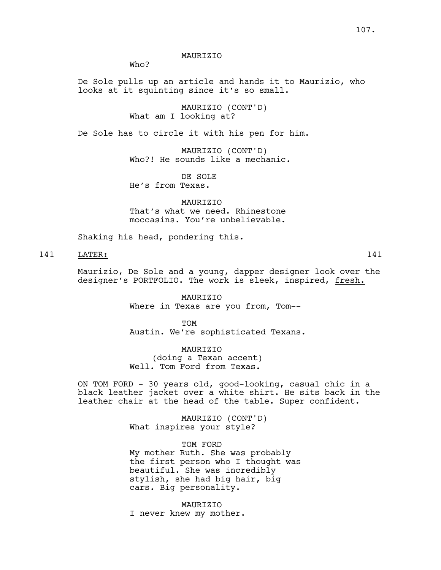MAURIZIO

Who?

De Sole pulls up an article and hands it to Maurizio, who looks at it squinting since it's so small.

> MAURIZIO (CONT'D) What am I looking at?

De Sole has to circle it with his pen for him.

MAURIZIO (CONT'D) Who?! He sounds like a mechanic.

DE SOLE He's from Texas.

MAURIZIO That's what we need. Rhinestone moccasins. You're unbelievable.

Shaking his head, pondering this.

141 LATER: 141

Maurizio, De Sole and a young, dapper designer look over the designer's PORTFOLIO. The work is sleek, inspired, fresh.

> MAURIZIO Where in Texas are you from, Tom--

TOM Austin. We're sophisticated Texans.

MAURIZIO (doing a Texan accent) Well. Tom Ford from Texas.

ON TOM FORD - 30 years old, good-looking, casual chic in a black leather jacket over a white shirt. He sits back in the leather chair at the head of the table. Super confident.

> MAURIZIO (CONT'D) What inspires your style?

TOM FORD My mother Ruth. She was probably the first person who I thought was beautiful. She was incredibly stylish, she had big hair, big cars. Big personality.

MAURIZIO I never knew my mother.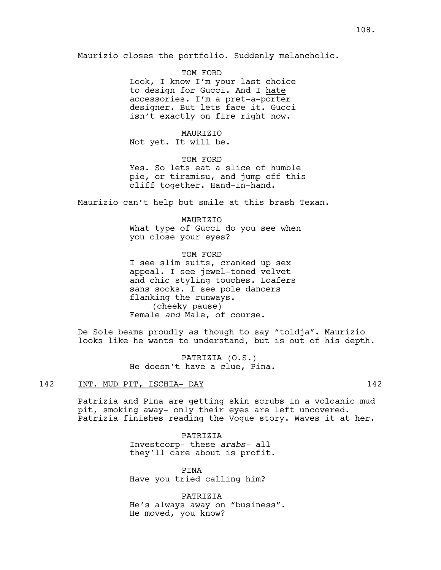Maurizio closes the portfolio. Suddenly melancholic.

TOM FORD Look, I know I'm your last choice to design for Gucci. And I hate accessories. I'm a pret-a-porter designer. But lets face it. Gucci isn't exactly on fire right now.

## MAURIZIO

Not yet. It will be.

TOM FORD Yes. So lets eat a slice of humble pie, or tiramisu, and jump off this cliff together. Hand-in-hand.

Maurizio can't help but smile at this brash Texan.

#### MAURIZIO

What type of Gucci do you see when you close your eyes?

TOM FORD I see slim suits, cranked up sex appeal. I see jewel-toned velvet and chic styling touches. Loafers sans socks. I see pole dancers flanking the runways. (cheeky pause) Female *and* Male, of course.

De Sole beams proudly as though to say "toldja". Maurizio looks like he wants to understand, but is out of his depth.

> PATRIZIA (O.S.) He doesn't have a clue, Pina.

### 142 INT. MUD PIT, ISCHIA- DAY 142

Patrizia and Pina are getting skin scrubs in a volcanic mud pit, smoking away- only their eyes are left uncovered. Patrizia finishes reading the Vogue story. Waves it at her.

> PATRIZIA Investcorp- these *arabs-* all they'll care about is profit.

PINA Have you tried calling him?

PATRIZIA He's always away on "business". He moved, you know?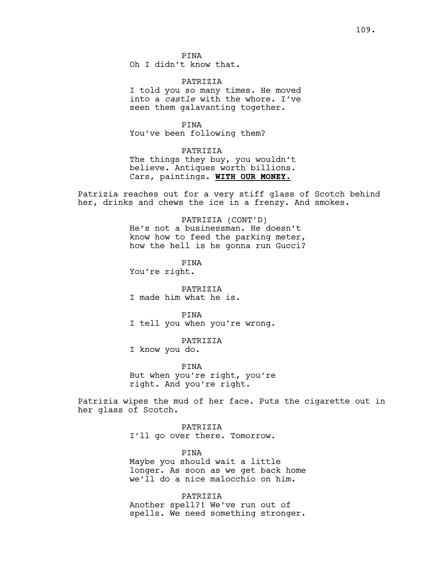PINA Oh I didn't know that.

PATRIZIA I told you so many times. He moved into a *castle* with the whore. I've seen them galavanting together.

PINA You've been following them?

PATRIZIA

The things they buy, you wouldn't believe. Antiques worth billions. Cars, paintings. **WITH OUR MONEY.**

Patrizia reaches out for a very stiff glass of Scotch behind her, drinks and chews the ice in a frenzy. And smokes.

> PATRIZIA (CONT'D) He's not a businessman. He doesn't know how to feed the parking meter, how the hell is he gonna run Gucci?

PINA You're right.

PATRIZIA I made him what he is.

PINA

I tell you when you're wrong.

PATRIZIA

I know you do.

PINA But when you're right, you're right. And you're right.

Patrizia wipes the mud of her face. Puts the cigarette out in her glass of Scotch.

> PATRIZIA I'll go over there. Tomorrow.

PINA Maybe you should wait a little longer. As soon as we get back home we'll do a nice malocchio on him.

PATRIZIA Another spell?! We've run out of spells. We need something stronger.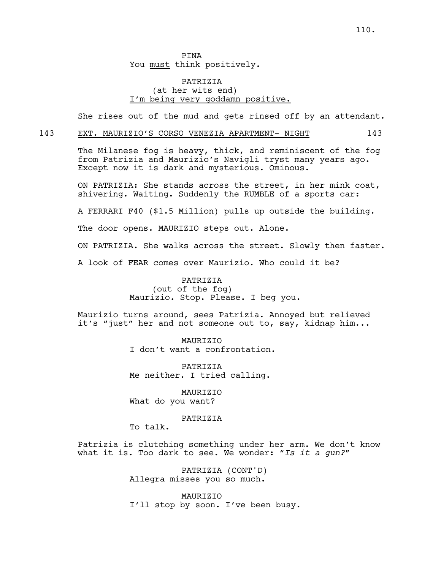PINA You must think positively.

## PATRIZIA (at her wits end) I'm being very goddamn positive.

She rises out of the mud and gets rinsed off by an attendant.

#### 143 EXT. MAURIZIO'S CORSO VENEZIA APARTMENT- NIGHT 143

The Milanese fog is heavy, thick, and reminiscent of the fog from Patrizia and Maurizio's Navigli tryst many years ago. Except now it is dark and mysterious. Ominous.

ON PATRIZIA: She stands across the street, in her mink coat, shivering. Waiting. Suddenly the RUMBLE of a sports car:

A FERRARI F40 (\$1.5 Million) pulls up outside the building.

The door opens. MAURIZIO steps out. Alone.

ON PATRIZIA. She walks across the street. Slowly then faster.

A look of FEAR comes over Maurizio. Who could it be?

## PATRIZIA

(out of the fog) Maurizio. Stop. Please. I beg you.

Maurizio turns around, sees Patrizia. Annoyed but relieved it's "just" her and not someone out to, say, kidnap him...

> **MAURTZTO** I don't want a confrontation.

PATRIZIA Me neither. I tried calling.

MAURIZIO What do you want?

## PATRIZIA

To talk.

Patrizia is clutching something under her arm. We don't know what it is. Too dark to see. We wonder: *"Is it a gun?"* 

> PATRIZIA (CONT'D) Allegra misses you so much.

MAURIZIO I'll stop by soon. I've been busy.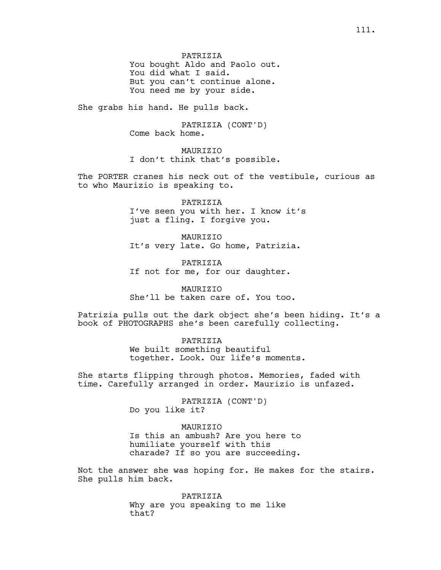PATRIZIA You bought Aldo and Paolo out. You did what I said. But you can't continue alone. You need me by your side.

She grabs his hand. He pulls back.

PATRIZIA (CONT'D) Come back home.

MAURIZIO I don't think that's possible.

The PORTER cranes his neck out of the vestibule, curious as to who Maurizio is speaking to.

> PATRIZIA I've seen you with her. I know it's just a fling. I forgive you.

MAURIZIO It's very late. Go home, Patrizia.

**PATRIZIA** If not for me, for our daughter.

MAURIZIO She'll be taken care of. You too.

Patrizia pulls out the dark object she's been hiding. It's a book of PHOTOGRAPHS she's been carefully collecting.

> PATRIZIA We built something beautiful together. Look. Our life's moments.

She starts flipping through photos. Memories, faded with time. Carefully arranged in order. Maurizio is unfazed.

> PATRIZIA (CONT'D) Do you like it?

## MAURIZIO

Is this an ambush? Are you here to humiliate yourself with this charade? If so you are succeeding.

Not the answer she was hoping for. He makes for the stairs. She pulls him back.

> PATRIZIA Why are you speaking to me like that?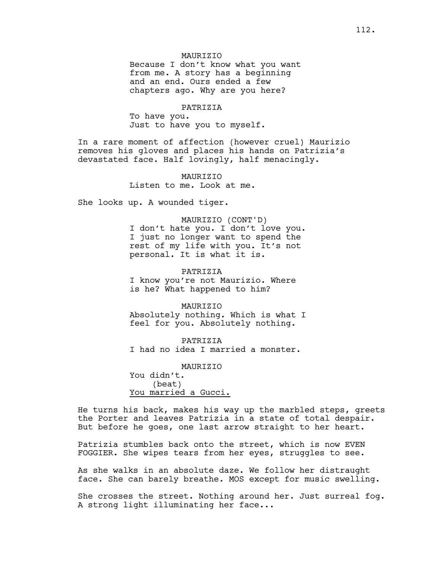#### **MAURTZTO**

Because I don't know what you want from me. A story has a beginning and an end. Ours ended a few chapters ago. Why are you here?

### PATRIZIA

To have you. Just to have you to myself.

In a rare moment of affection (however cruel) Maurizio removes his gloves and places his hands on Patrizia's devastated face. Half lovingly, half menacingly.

> MAURIZIO Listen to me. Look at me.

She looks up. A wounded tiger.

MAURIZIO (CONT'D) I don't hate you. I don't love you. I just no longer want to spend the rest of my life with you. It's not personal. It is what it is.

PATRIZIA I know you're not Maurizio. Where is he? What happened to him?

MAURIZIO Absolutely nothing. Which is what I feel for you. Absolutely nothing.

PATRIZIA I had no idea I married a monster.

MAURIZIO You didn't. (beat) You married a Gucci.

He turns his back, makes his way up the marbled steps, greets the Porter and leaves Patrizia in a state of total despair. But before he goes, one last arrow straight to her heart.

Patrizia stumbles back onto the street, which is now EVEN FOGGIER. She wipes tears from her eyes, struggles to see.

As she walks in an absolute daze. We follow her distraught face. She can barely breathe. MOS except for music swelling.

She crosses the street. Nothing around her. Just surreal fog. A strong light illuminating her face...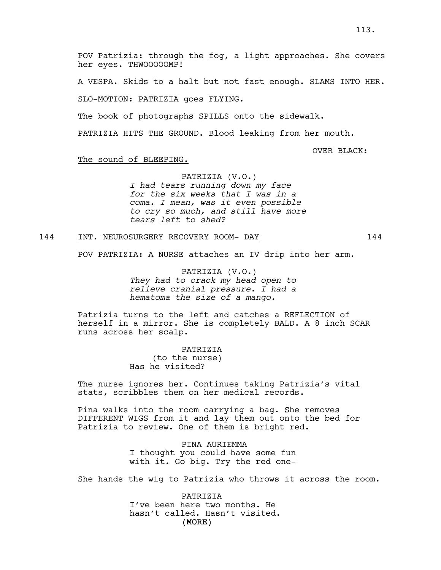POV Patrizia: through the fog, a light approaches. She covers her eyes. THWOOOOOMP!

A VESPA. Skids to a halt but not fast enough. SLAMS INTO HER.

SLO-MOTION: PATRIZIA goes FLYING.

The book of photographs SPILLS onto the sidewalk.

PATRIZIA HITS THE GROUND. Blood leaking from her mouth.

OVER BLACK:

#### The sound of BLEEPING.

PATRIZIA (V.O.) *I had tears running down my face for the six weeks that I was in a coma. I mean, was it even possible to cry so much, and still have more tears left to shed?*

#### 144 INT. NEUROSURGERY RECOVERY ROOM- DAY 144

POV PATRIZIA: A NURSE attaches an IV drip into her arm.

PATRIZIA (V.O.) *They had to crack my head open to relieve cranial pressure. I had a hematoma the size of a mango.*

Patrizia turns to the left and catches a REFLECTION of herself in a mirror. She is completely BALD. A 8 inch SCAR runs across her scalp.

> PATRIZIA (to the nurse) Has he visited?

The nurse ignores her. Continues taking Patrizia's vital stats, scribbles them on her medical records.

Pina walks into the room carrying a bag. She removes DIFFERENT WIGS from it and lay them out onto the bed for Patrizia to review. One of them is bright red.

> PINA AURIEMMA I thought you could have some fun with it. Go big. Try the red one-

She hands the wig to Patrizia who throws it across the room.

(MORE) PATRIZIA I've been here two months. He hasn't called. Hasn't visited.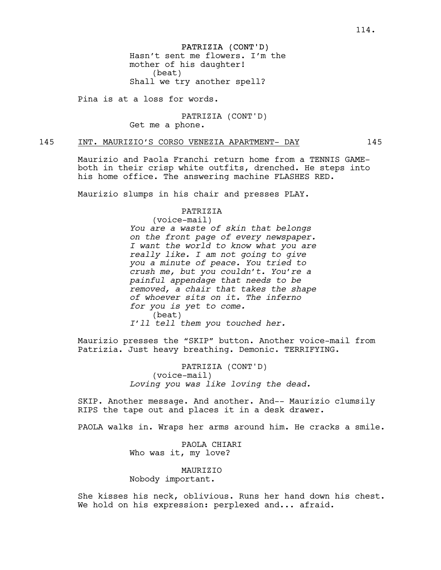PATRIZIA (CONT'D) Hasn't sent me flowers. I'm the mother of his daughter! (beat) Shall we try another spell?

Pina is at a loss for words.

PATRIZIA (CONT'D) Get me a phone.

145 INT. MAURIZIO'S CORSO VENEZIA APARTMENT- DAY 145

Maurizio and Paola Franchi return home from a TENNIS GAMEboth in their crisp white outfits, drenched. He steps into his home office. The answering machine FLASHES RED.

Maurizio slumps in his chair and presses PLAY.

### PATRIZIA

(voice-mail) *You are a waste of skin that belongs on the front page of every newspaper. I want the world to know what you are really like. I am not going to give you a minute of peace. You tried to crush me, but you couldn't. You're a painful appendage that needs to be removed, a chair that takes the shape of whoever sits on it. The inferno for you is yet to come.*  (beat) *I'll tell them you touched her.*

Maurizio presses the "SKIP" button. Another voice-mail from Patrizia. Just heavy breathing. Demonic. TERRIFYING.

> PATRIZIA (CONT'D) (voice-mail) *Loving you was like loving the dead.*

SKIP. Another message. And another. And-- Maurizio clumsily RIPS the tape out and places it in a desk drawer.

PAOLA walks in. Wraps her arms around him. He cracks a smile.

PAOLA CHIARI Who was it, my love?

MAURIZIO Nobody important.

She kisses his neck, oblivious. Runs her hand down his chest. We hold on his expression: perplexed and... afraid.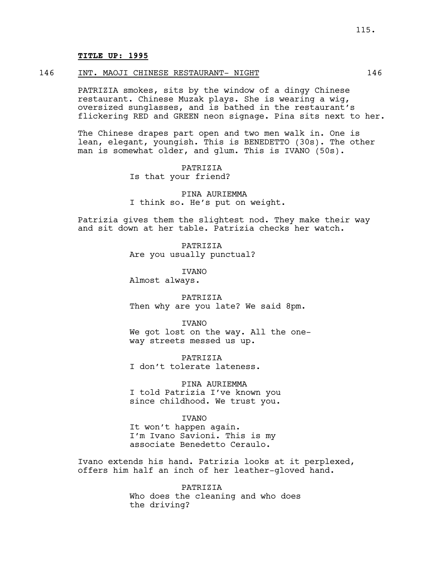### **TITLE UP: 1995**

#### 146 INT. MAOJI CHINESE RESTAURANT- NIGHT 146

PATRIZIA smokes, sits by the window of a dingy Chinese restaurant. Chinese Muzak plays. She is wearing a wig, oversized sunglasses, and is bathed in the restaurant's flickering RED and GREEN neon signage. Pina sits next to her.

The Chinese drapes part open and two men walk in. One is lean, elegant, youngish. This is BENEDETTO (30s). The other man is somewhat older, and glum. This is IVANO (50s).

> **PATRIZIA** Is that your friend?

PINA AURIEMMA I think so. He's put on weight.

Patrizia gives them the slightest nod. They make their way and sit down at her table. Patrizia checks her watch.

> **PATRIZIA** Are you usually punctual?

> > IVANO

Almost always.

PATRIZIA Then why are you late? We said 8pm.

**TVANO** We got lost on the way. All the oneway streets messed us up.

**PATRIZIA** I don't tolerate lateness.

PINA AURIEMMA I told Patrizia I've known you since childhood. We trust you.

**TVANO** 

It won't happen again. I'm Ivano Savioni. This is my associate Benedetto Ceraulo.

Ivano extends his hand. Patrizia looks at it perplexed, offers him half an inch of her leather-gloved hand.

> PATRIZIA Who does the cleaning and who does the driving?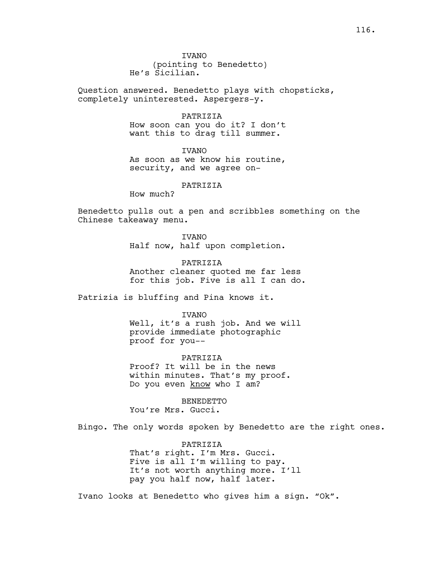Question answered. Benedetto plays with chopsticks, completely uninterested. Aspergers-y.

#### PATRIZIA

How soon can you do it? I don't want this to drag till summer.

# IVANO

As soon as we know his routine, security, and we agree on-

### PATRIZIA

How much?

Benedetto pulls out a pen and scribbles something on the Chinese takeaway menu.

> IVANO Half now, half upon completion.

PATRIZIA Another cleaner quoted me far less for this job. Five is all I can do.

Patrizia is bluffing and Pina knows it.

#### IVANO

Well, it's a rush job. And we will provide immediate photographic proof for you--

PATRIZIA Proof? It will be in the news within minutes. That's my proof. Do you even know who I am?

BENEDETTO You're Mrs. Gucci.

Bingo. The only words spoken by Benedetto are the right ones.

PATRIZIA That's right. I'm Mrs. Gucci. Five is all I'm willing to pay. It's not worth anything more. I'll pay you half now, half later.

Ivano looks at Benedetto who gives him a sign. "Ok".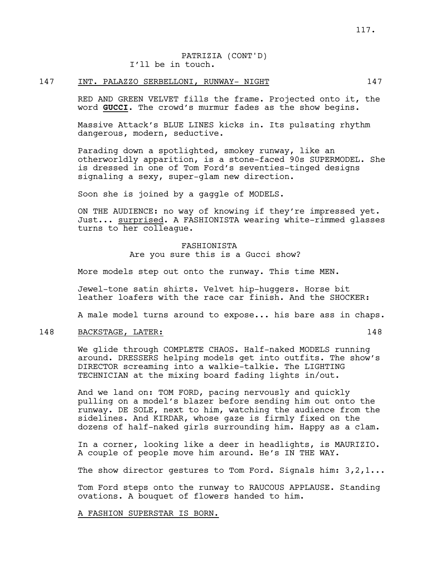## PATRIZIA (CONT'D) I'll be in touch.

## 147 INT. PALAZZO SERBELLONI, RUNWAY- NIGHT 147

RED AND GREEN VELVET fills the frame. Projected onto it, the word **GUCCI**. The crowd's murmur fades as the show begins.

Massive Attack's BLUE LINES kicks in. Its pulsating rhythm dangerous, modern, seductive.

Parading down a spotlighted, smokey runway, like an otherworldly apparition, is a stone-faced 90s SUPERMODEL. She is dressed in one of Tom Ford's seventies-tinged designs signaling a sexy, super-glam new direction.

Soon she is joined by a gaggle of MODELS.

ON THE AUDIENCE: no way of knowing if they're impressed yet. Just... surprised. A FASHIONISTA wearing white-rimmed glasses turns to her colleague.

> FASHIONISTA Are you sure this is a Gucci show?

More models step out onto the runway. This time MEN.

Jewel-tone satin shirts. Velvet hip-huggers. Horse bit leather loafers with the race car finish. And the SHOCKER:

A male model turns around to expose... his bare ass in chaps.

#### 148 BACKSTAGE, LATER: 148

We glide through COMPLETE CHAOS. Half-naked MODELS running around. DRESSERS helping models get into outfits. The show's DIRECTOR screaming into a walkie-talkie. The LIGHTING TECHNICIAN at the mixing board fading lights in/out.

And we land on: TOM FORD, pacing nervously and quickly pulling on a model's blazer before sending him out onto the runway. DE SOLE, next to him, watching the audience from the sidelines. And KIRDAR, whose gaze is firmly fixed on the dozens of half-naked girls surrounding him. Happy as a clam.

In a corner, looking like a deer in headlights, is MAURIZIO. A couple of people move him around. He's IN THE WAY.

The show director gestures to Tom Ford. Signals him:  $3,2,1...$ 

Tom Ford steps onto the runway to RAUCOUS APPLAUSE. Standing ovations. A bouquet of flowers handed to him.

#### A FASHION SUPERSTAR IS BORN.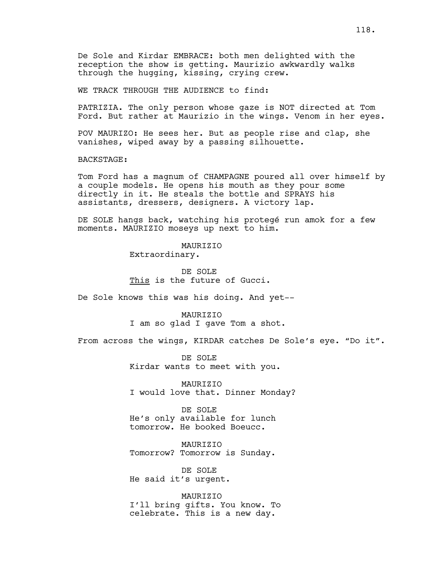WE TRACK THROUGH THE AUDIENCE to find:

PATRIZIA. The only person whose gaze is NOT directed at Tom Ford. But rather at Maurizio in the wings. Venom in her eyes.

POV MAURIZO: He sees her. But as people rise and clap, she vanishes, wiped away by a passing silhouette.

BACKSTAGE:

Tom Ford has a magnum of CHAMPAGNE poured all over himself by a couple models. He opens his mouth as they pour some directly in it. He steals the bottle and SPRAYS his assistants, dressers, designers. A victory lap.

DE SOLE hangs back, watching his protegé run amok for a few moments. MAURIZIO moseys up next to him.

**MAURTZTO** 

Extraordinary.

DE SOLE This is the future of Gucci.

De Sole knows this was his doing. And yet--

MAURIZIO I am so glad I gave Tom a shot.

From across the wings, KIRDAR catches De Sole's eye. "Do it".

DE SOLE Kirdar wants to meet with you.

MAURIZIO I would love that. Dinner Monday?

DE SOLE He's only available for lunch tomorrow. He booked Boeucc.

MAURIZIO Tomorrow? Tomorrow is Sunday.

DE SOLE He said it's urgent.

MAURIZIO I'll bring gifts. You know. To celebrate. This is a new day.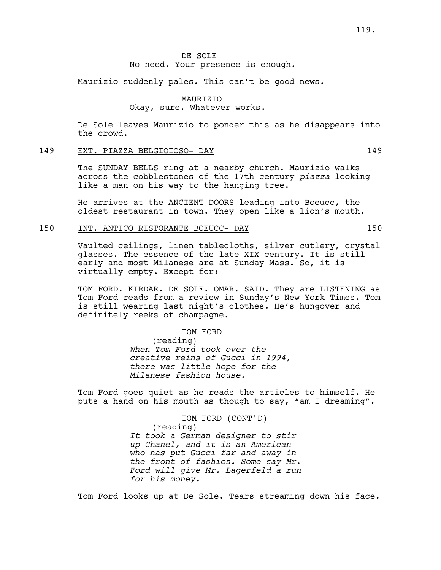## DE SOLE No need. Your presence is enough.

Maurizio suddenly pales. This can't be good news.

## MAURIZIO Okay, sure. Whatever works.

De Sole leaves Maurizio to ponder this as he disappears into the crowd.

## 149 EXT. PIAZZA BELGIOIOSO- DAY 149

The SUNDAY BELLS ring at a nearby church. Maurizio walks across the cobblestones of the 17th century *piazza* looking like a man on his way to the hanging tree.

He arrives at the ANCIENT DOORS leading into Boeucc, the oldest restaurant in town. They open like a lion's mouth.

## 150 INT. ANTICO RISTORANTE BOEUCC- DAY 150

Vaulted ceilings, linen tablecloths, silver cutlery, crystal glasses. The essence of the late XIX century. It is still early and most Milanese are at Sunday Mass. So, it is virtually empty. Except for:

TOM FORD. KIRDAR. DE SOLE. OMAR. SAID. They are LISTENING as Tom Ford reads from a review in Sunday's New York Times. Tom is still wearing last night's clothes. He's hungover and definitely reeks of champagne.

> TOM FORD (reading) *When Tom Ford took over the creative reins of Gucci in 1994, there was little hope for the Milanese fashion house.*

Tom Ford goes quiet as he reads the articles to himself. He puts a hand on his mouth as though to say, "am I dreaming".

> TOM FORD (CONT'D) (reading) *It took a German designer to stir up Chanel, and it is an American who has put Gucci far and away in the front of fashion. Some say Mr. Ford will give Mr. Lagerfeld a run for his money.*

Tom Ford looks up at De Sole. Tears streaming down his face.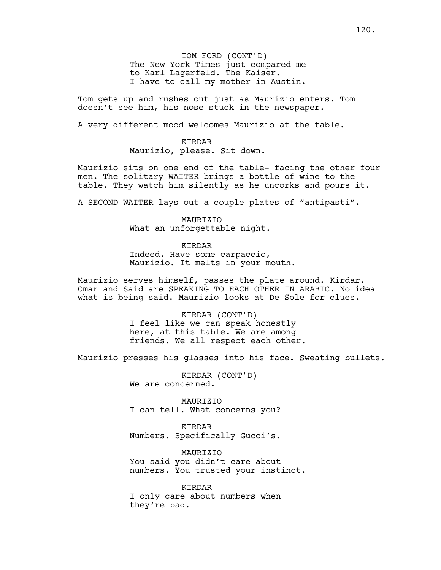TOM FORD (CONT'D) The New York Times just compared me to Karl Lagerfeld. The Kaiser. I have to call my mother in Austin.

Tom gets up and rushes out just as Maurizio enters. Tom doesn't see him, his nose stuck in the newspaper.

A very different mood welcomes Maurizio at the table.

KIRDAR Maurizio, please. Sit down.

Maurizio sits on one end of the table- facing the other four men. The solitary WAITER brings a bottle of wine to the table. They watch him silently as he uncorks and pours it.

A SECOND WAITER lays out a couple plates of "antipasti".

MAURIZIO What an unforgettable night.

KIRDAR

Indeed. Have some carpaccio, Maurizio. It melts in your mouth.

Maurizio serves himself, passes the plate around. Kirdar, Omar and Said are SPEAKING TO EACH OTHER IN ARABIC. No idea what is being said. Maurizio looks at De Sole for clues.

> KIRDAR (CONT'D) I feel like we can speak honestly here, at this table. We are among friends. We all respect each other.

Maurizio presses his glasses into his face. Sweating bullets.

KIRDAR (CONT'D) We are concerned.

MAURIZIO I can tell. What concerns you?

KIRDAR Numbers. Specifically Gucci's.

MAURIZIO You said you didn't care about numbers. You trusted your instinct.

KIRDAR I only care about numbers when they're bad.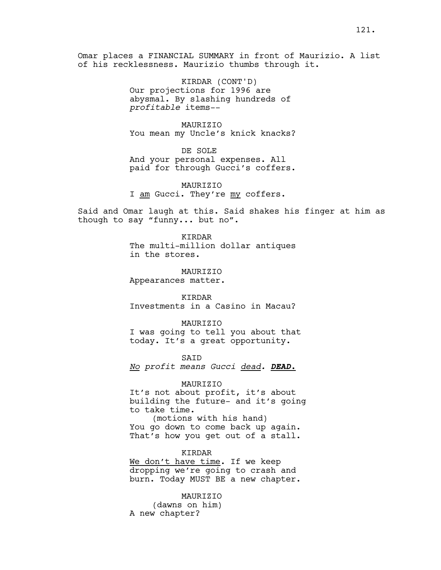Omar places a FINANCIAL SUMMARY in front of Maurizio. A list of his recklessness. Maurizio thumbs through it.

> KIRDAR (CONT'D) Our projections for 1996 are abysmal. By slashing hundreds of *profitable* items--

MAURIZIO You mean my Uncle's knick knacks?

DE SOLE And your personal expenses. All paid for through Gucci's coffers.

MAURIZIO I am Gucci. They're my coffers.

Said and Omar laugh at this. Said shakes his finger at him as though to say "funny... but no".

> KIRDAR The multi-million dollar antiques in the stores.

MAURIZIO Appearances matter.

KIRDAR Investments in a Casino in Macau?

MAURIZIO I was going to tell you about that today. It's a great opportunity.

SAID *No profit means Gucci dead. DEAD.*

#### MAURIZIO

It's not about profit, it's about building the future- and it's going to take time.

(motions with his hand) You go down to come back up again. That's how you get out of a stall.

KIRDAR

We don't have time. If we keep dropping we're going to crash and burn. Today MUST BE a new chapter.

MAURIZIO (dawns on him) A new chapter?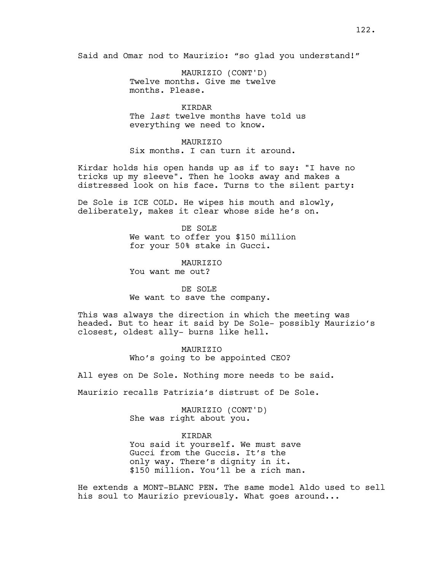Said and Omar nod to Maurizio: "so glad you understand!"

MAURIZIO (CONT'D) Twelve months. Give me twelve months. Please.

## KIRDAR

The *last* twelve months have told us everything we need to know.

#### MAURIZIO

Six months. I can turn it around.

Kirdar holds his open hands up as if to say: "I have no tricks up my sleeve". Then he looks away and makes a distressed look on his face. Turns to the silent party:

De Sole is ICE COLD. He wipes his mouth and slowly, deliberately, makes it clear whose side he's on.

> DE SOLE We want to offer you \$150 million for your 50% stake in Gucci.

**MAURTZTO** You want me out?

## DE SOLE We want to save the company.

This was always the direction in which the meeting was headed. But to hear it said by De Sole- possibly Maurizio's closest, oldest ally- burns like hell.

> MAURIZIO Who's going to be appointed CEO?

All eyes on De Sole. Nothing more needs to be said.

Maurizio recalls Patrizia's distrust of De Sole.

MAURIZIO (CONT'D) She was right about you.

KIRDAR

You said it yourself. We must save Gucci from the Guccis. It's the only way. There's dignity in it. \$150 million. You'll be a rich man.

He extends a MONT-BLANC PEN. The same model Aldo used to sell his soul to Maurizio previously. What goes around...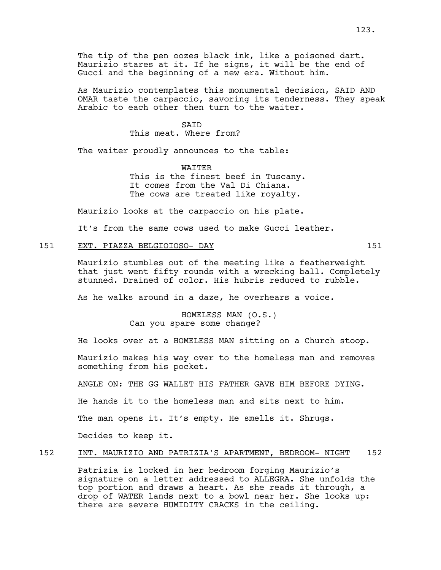The tip of the pen oozes black ink, like a poisoned dart. Maurizio stares at it. If he signs, it will be the end of Gucci and the beginning of a new era. Without him.

As Maurizio contemplates this monumental decision, SAID AND OMAR taste the carpaccio, savoring its tenderness. They speak Arabic to each other then turn to the waiter.

### **SATD**

## This meat. Where from?

The waiter proudly announces to the table:

WAITER This is the finest beef in Tuscany. It comes from the Val Di Chiana. The cows are treated like royalty.

Maurizio looks at the carpaccio on his plate.

It's from the same cows used to make Gucci leather.

## 151 EXT. PIAZZA BELGIOIOSO- DAY 151

Maurizio stumbles out of the meeting like a featherweight that just went fifty rounds with a wrecking ball. Completely stunned. Drained of color. His hubris reduced to rubble.

As he walks around in a daze, he overhears a voice.

HOMELESS MAN (O.S.) Can you spare some change?

He looks over at a HOMELESS MAN sitting on a Church stoop.

Maurizio makes his way over to the homeless man and removes something from his pocket.

ANGLE ON: THE GG WALLET HIS FATHER GAVE HIM BEFORE DYING.

He hands it to the homeless man and sits next to him.

The man opens it. It's empty. He smells it. Shrugs.

Decides to keep it.

## 152 INT. MAURIZIO AND PATRIZIA'S APARTMENT, BEDROOM- NIGHT 152

Patrizia is locked in her bedroom forging Maurizio's signature on a letter addressed to ALLEGRA. She unfolds the top portion and draws a heart. As she reads it through, a drop of WATER lands next to a bowl near her. She looks up: there are severe HUMIDITY CRACKS in the ceiling.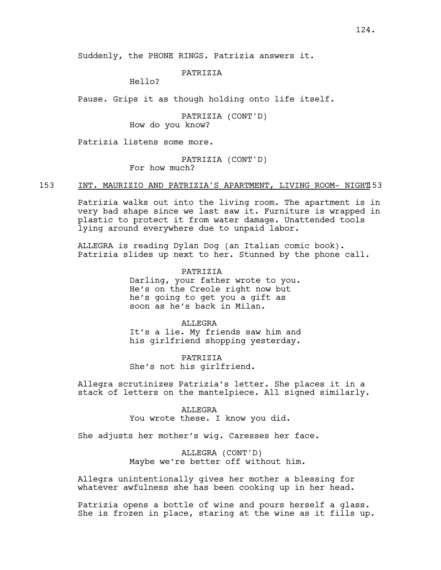### PATRIZIA

Hello?

Pause. Grips it as though holding onto life itself.

PATRIZIA (CONT'D) How do you know?

Patrizia listens some more.

PATRIZIA (CONT'D) For how much?

153 INT. MAURIZIO AND PATRIZIA'S APARTMENT, LIVING ROOM- NIGHT153

Patrizia walks out into the living room. The apartment is in very bad shape since we last saw it. Furniture is wrapped in plastic to protect it from water damage. Unattended tools lying around everywhere due to unpaid labor.

ALLEGRA is reading Dylan Dog (an Italian comic book). Patrizia slides up next to her. Stunned by the phone call.

> PATRIZIA Darling, your father wrote to you. He's on the Creole right now but he's going to get you a gift as soon as he's back in Milan.

> **ALLEGRA** It's a lie. My friends saw him and his girlfriend shopping yesterday.

PATRIZIA She's not his girlfriend.

Allegra scrutinizes Patrizia's letter. She places it in a stack of letters on the mantelpiece. All signed similarly.

#### ALLEGRA

You wrote these. I know you did.

She adjusts her mother's wig. Caresses her face.

ALLEGRA (CONT'D) Maybe we're better off without him.

Allegra unintentionally gives her mother a blessing for whatever awfulness she has been cooking up in her head.

Patrizia opens a bottle of wine and pours herself a glass. She is frozen in place, staring at the wine as it fills up.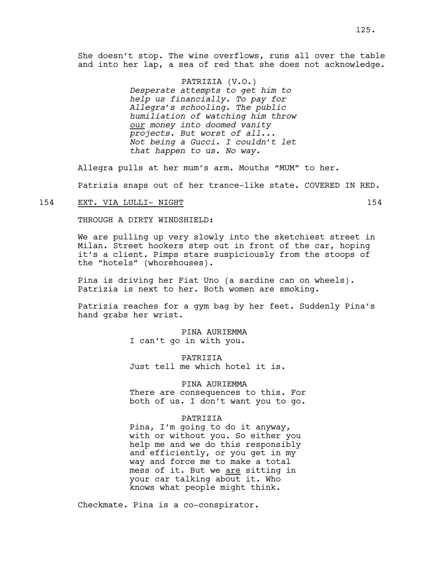She doesn't stop. The wine overflows, runs all over the table and into her lap, a sea of red that she does not acknowledge.

> PATRIZIA (V.O.) *Desperate attempts to get him to help us financially. To pay for Allegra's schooling. The public humiliation of watching him throw our money into doomed vanity projects. But worst of all... Not being a Gucci. I couldn't let that happen to us. No way.*

Allegra pulls at her mum's arm. Mouths "MUM" to her.

Patrizia snaps out of her trance-like state. COVERED IN RED.

### 154 EXT. VIA LULLI- NIGHT 154

THROUGH A DIRTY WINDSHIELD:

We are pulling up very slowly into the sketchiest street in Milan. Street hookers step out in front of the car, hoping it's a client. Pimps stare suspiciously from the stoops of the "hotels" (whorehouses).

Pina is driving her Fiat Uno (a sardine can on wheels). Patrizia is next to her. Both women are smoking.

Patrizia reaches for a gym bag by her feet. Suddenly Pina's hand grabs her wrist.

> PINA AURIEMMA I can't go in with you.

**PATRIZIA** Just tell me which hotel it is.

#### PINA AURIEMMA

There are consequences to this. For both of us. I don't want you to go.

### PATRIZIA

Pina, I'm going to do it anyway, with or without you. So either you help me and we do this responsibly and efficiently, or you get in my way and force me to make a total mess of it. But we are sitting in your car talking about it. Who knows what people might think.

Checkmate. Pina is a co-conspirator.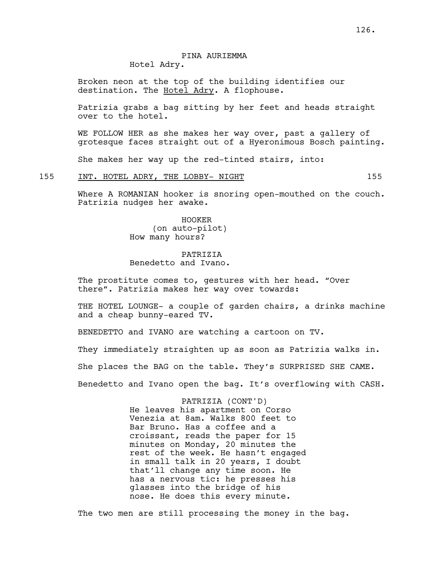## PINA AURIEMMA Hotel Adry.

Broken neon at the top of the building identifies our destination. The Hotel Adry. A flophouse.

Patrizia grabs a bag sitting by her feet and heads straight over to the hotel.

WE FOLLOW HER as she makes her way over, past a gallery of grotesque faces straight out of a Hyeronimous Bosch painting.

She makes her way up the red-tinted stairs, into:

### 155 INT. HOTEL ADRY, THE LOBBY- NIGHT 155

Where A ROMANIAN hooker is snoring open-mouthed on the couch. Patrizia nudges her awake.

> HOOKER (on auto-pilot) How many hours?

PATRIZIA Benedetto and Ivano.

The prostitute comes to, gestures with her head. "Over there". Patrizia makes her way over towards:

THE HOTEL LOUNGE- a couple of garden chairs, a drinks machine and a cheap bunny-eared TV.

BENEDETTO and IVANO are watching a cartoon on TV.

They immediately straighten up as soon as Patrizia walks in.

She places the BAG on the table. They's SURPRISED SHE CAME.

Benedetto and Ivano open the bag. It's overflowing with CASH.

PATRIZIA (CONT'D) He leaves his apartment on Corso Venezia at 8am. Walks 800 feet to Bar Bruno. Has a coffee and a croissant, reads the paper for 15 minutes on Monday, 20 minutes the rest of the week. He hasn't engaged in small talk in 20 years, I doubt that'll change any time soon. He has a nervous tic: he presses his glasses into the bridge of his nose. He does this every minute.

The two men are still processing the money in the bag.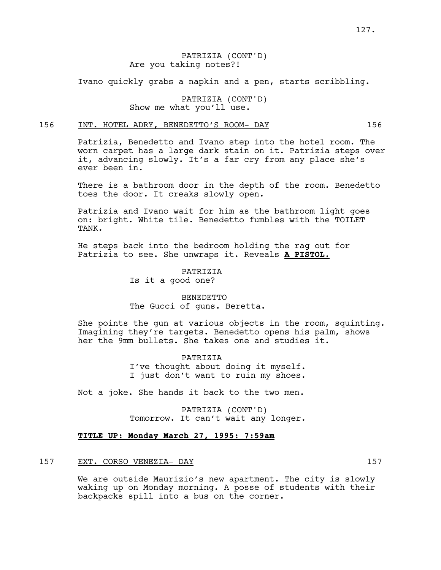## PATRIZIA (CONT'D) Are you taking notes?!

Ivano quickly grabs a napkin and a pen, starts scribbling.

PATRIZIA (CONT'D) Show me what you'll use.

## 156 INT. HOTEL ADRY, BENEDETTO'S ROOM- DAY 156

Patrizia, Benedetto and Ivano step into the hotel room. The worn carpet has a large dark stain on it. Patrizia steps over it, advancing slowly. It's a far cry from any place she's ever been in.

There is a bathroom door in the depth of the room. Benedetto toes the door. It creaks slowly open.

Patrizia and Ivano wait for him as the bathroom light goes on: bright. White tile. Benedetto fumbles with the TOILET TANK.

He steps back into the bedroom holding the rag out for Patrizia to see. She unwraps it. Reveals **A PISTOL.**

> PATRIZIA Is it a good one?

## BENEDETTO The Gucci of guns. Beretta.

She points the gun at various objects in the room, squinting. Imagining they're targets. Benedetto opens his palm, shows her the 9mm bullets. She takes one and studies it.

> PATRIZIA I've thought about doing it myself. I just don't want to ruin my shoes.

Not a joke. She hands it back to the two men.

PATRIZIA (CONT'D) Tomorrow. It can't wait any longer.

### **TITLE UP: Monday March 27, 1995: 7:59am**

#### 157 EXT. CORSO VENEZIA- DAY 157

We are outside Maurizio's new apartment. The city is slowly waking up on Monday morning. A posse of students with their backpacks spill into a bus on the corner.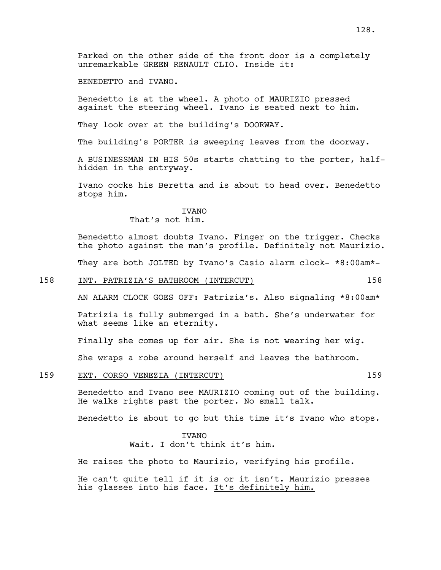Parked on the other side of the front door is a completely unremarkable GREEN RENAULT CLIO. Inside it:

BENEDETTO and IVANO.

Benedetto is at the wheel. A photo of MAURIZIO pressed against the steering wheel. Ivano is seated next to him.

They look over at the building's DOORWAY.

The building's PORTER is sweeping leaves from the doorway.

A BUSINESSMAN IN HIS 50s starts chatting to the porter, halfhidden in the entryway.

Ivano cocks his Beretta and is about to head over. Benedetto stops him.

## IVANO

## That's not him.

Benedetto almost doubts Ivano. Finger on the trigger. Checks the photo against the man's profile. Definitely not Maurizio.

They are both JOLTED by Ivano's Casio alarm clock- \*8:00am\*-

#### 158 INT. PATRIZIA'S BATHROOM (INTERCUT) 158

AN ALARM CLOCK GOES OFF: Patrizia's. Also signaling \*8:00am\*

Patrizia is fully submerged in a bath. She's underwater for what seems like an eternity.

Finally she comes up for air. She is not wearing her wig.

She wraps a robe around herself and leaves the bathroom.

#### 159 EXT. CORSO VENEZIA (INTERCUT) 159

Benedetto and Ivano see MAURIZIO coming out of the building. He walks rights past the porter. No small talk.

Benedetto is about to go but this time it's Ivano who stops.

### **TVANO**

Wait. I don't think it's him.

He raises the photo to Maurizio, verifying his profile.

He can't quite tell if it is or it isn't. Maurizio presses his glasses into his face. It's definitely him.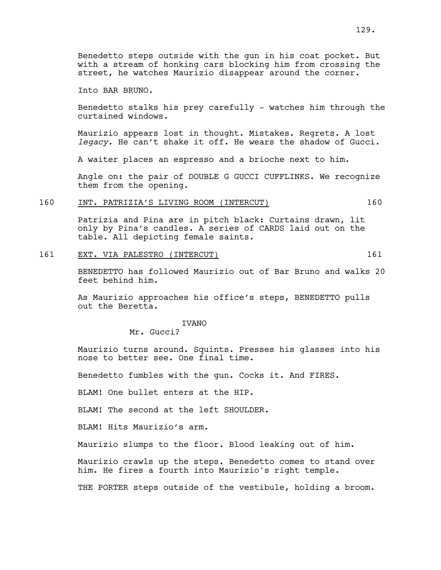Into BAR BRUNO.

Benedetto stalks his prey carefully - watches him through the curtained windows.

Maurizio appears lost in thought. Mistakes. Regrets. A lost *legacy*. He can't shake it off. He wears the shadow of Gucci.

A waiter places an espresso and a brioche next to him.

Angle on: the pair of DOUBLE G GUCCI CUFFLINKS. We recognize them from the opening.

## 160 INT. PATRIZIA'S LIVING ROOM (INTERCUT) 160

Patrizia and Pina are in pitch black: Curtains drawn, lit only by Pina's candles. A series of CARDS laid out on the table. All depicting female saints.

161 EXT. VIA PALESTRO (INTERCUT) 161

BENEDETTO has followed Maurizio out of Bar Bruno and walks 20 feet behind him.

As Maurizio approaches his office's steps, BENEDETTO pulls out the Beretta.

IVANO

Mr. Gucci?

Maurizio turns around. Squints. Presses his glasses into his nose to better see. One final time.

Benedetto fumbles with the gun. Cocks it. And FIRES.

BLAM! One bullet enters at the HIP.

BLAM! The second at the left SHOULDER.

BLAM! Hits Maurizio's arm.

Maurizio slumps to the floor. Blood leaking out of him.

Maurizio crawls up the steps. Benedetto comes to stand over him. He fires a fourth into Maurizio's right temple.

THE PORTER steps outside of the vestibule, holding a broom.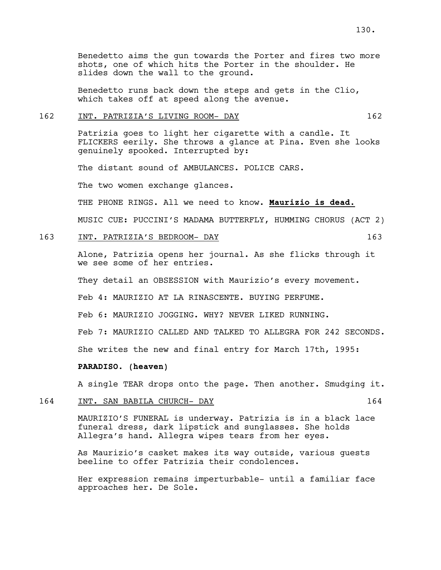Benedetto aims the gun towards the Porter and fires two more shots, one of which hits the Porter in the shoulder. He slides down the wall to the ground.

Benedetto runs back down the steps and gets in the Clio, which takes off at speed along the avenue.

#### 162 INT. PATRIZIA'S LIVING ROOM- DAY 162

Patrizia goes to light her cigarette with a candle. It FLICKERS eerily. She throws a glance at Pina. Even she looks genuinely spooked. Interrupted by:

The distant sound of AMBULANCES. POLICE CARS.

The two women exchange glances.

THE PHONE RINGS**.** All we need to know. **Maurizio is dead.**

MUSIC CUE: PUCCINI'S MADAMA BUTTERFLY, HUMMING CHORUS (ACT 2)

#### 163 INT. PATRIZIA'S BEDROOM- DAY 163

Alone, Patrizia opens her journal. As she flicks through it we see some of her entries.

They detail an OBSESSION with Maurizio's every movement.

Feb 4: MAURIZIO AT LA RINASCENTE. BUYING PERFUME.

Feb 6: MAURIZIO JOGGING. WHY? NEVER LIKED RUNNING.

Feb 7: MAURIZIO CALLED AND TALKED TO ALLEGRA FOR 242 SECONDS.

She writes the new and final entry for March 17th, 1995:

#### **PARADISO. (heaven)**

A single TEAR drops onto the page. Then another. Smudging it.

### 164 INT. SAN BABILA CHURCH- DAY 164

MAURIZIO'S FUNERAL is underway. Patrizia is in a black lace funeral dress, dark lipstick and sunglasses. She holds Allegra's hand. Allegra wipes tears from her eyes.

As Maurizio's casket makes its way outside, various guests beeline to offer Patrizia their condolences.

Her expression remains imperturbable- until a familiar face approaches her. De Sole.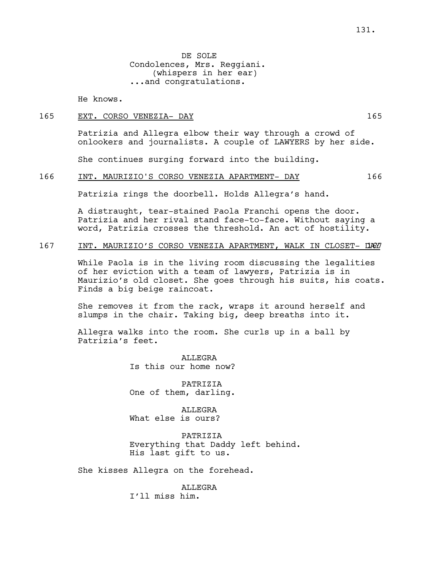DE SOLE Condolences, Mrs. Reggiani. (whispers in her ear) ...and congratulations.

He knows.

#### 165 EXT. CORSO VENEZIA- DAY 165

Patrizia and Allegra elbow their way through a crowd of onlookers and journalists. A couple of LAWYERS by her side.

She continues surging forward into the building.

#### 166 INT. MAURIZIO'S CORSO VENEZIA APARTMENT- DAY 166

Patrizia rings the doorbell. Holds Allegra's hand.

A distraught, tear-stained Paola Franchi opens the door. Patrizia and her rival stand face-to-face. Without saying a word, Patrizia crosses the threshold. An act of hostility.

### 167 INT. MAURIZIO'S CORSO VENEZIA APARTMENT, WALK IN CLOSET- DAY

While Paola is in the living room discussing the legalities of her eviction with a team of lawyers, Patrizia is in Maurizio's old closet. She goes through his suits, his coats. Finds a big beige raincoat.

She removes it from the rack, wraps it around herself and slumps in the chair. Taking big, deep breaths into it.

Allegra walks into the room. She curls up in a ball by Patrizia's feet.

> **ALLEGRA** Is this our home now?

PATRIZIA One of them, darling.

ALLEGRA What else is ours?

PATRIZIA Everything that Daddy left behind. His last gift to us.

She kisses Allegra on the forehead.

ALLEGRA I'll miss him.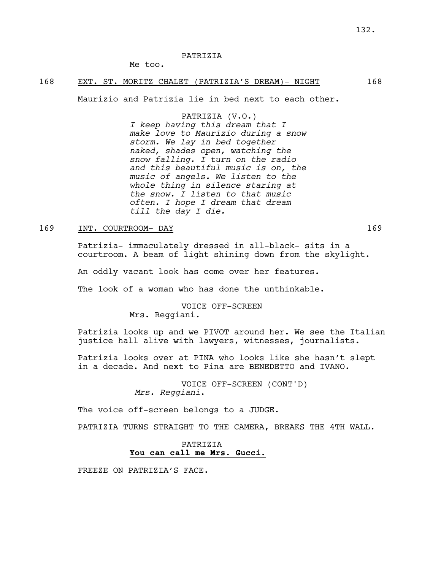### PATRIZIA

Me too.

## 168 EXT. ST. MORITZ CHALET (PATRIZIA'S DREAM)- NIGHT 168

Maurizio and Patrizia lie in bed next to each other.

## PATRIZIA (V.O.)

*I keep having this dream that I make love to Maurizio during a snow storm. We lay in bed together naked, shades open, watching the snow falling. I turn on the radio and this beautiful music is on, the music of angels. We listen to the whole thing in silence staring at the snow. I listen to that music often. I hope I dream that dream till the day I die.*

#### 169 INT. COURTROOM- DAY 169

Patrizia- immaculately dressed in all-black- sits in a courtroom. A beam of light shining down from the skylight.

An oddly vacant look has come over her features.

The look of a woman who has done the unthinkable.

VOICE OFF-SCREEN Mrs. Reggiani.

Patrizia looks up and we PIVOT around her. We see the Italian justice hall alive with lawyers, witnesses, journalists.

Patrizia looks over at PINA who looks like she hasn't slept in a decade. And next to Pina are BENEDETTO and IVANO.

> VOICE OFF-SCREEN (CONT'D) *Mrs. Reggiani*.

The voice off-screen belongs to a JUDGE.

PATRIZIA TURNS STRAIGHT TO THE CAMERA, BREAKS THE 4TH WALL.

## PATRIZIA **You can call me Mrs. Gucci.**

FREEZE ON PATRIZIA'S FACE.